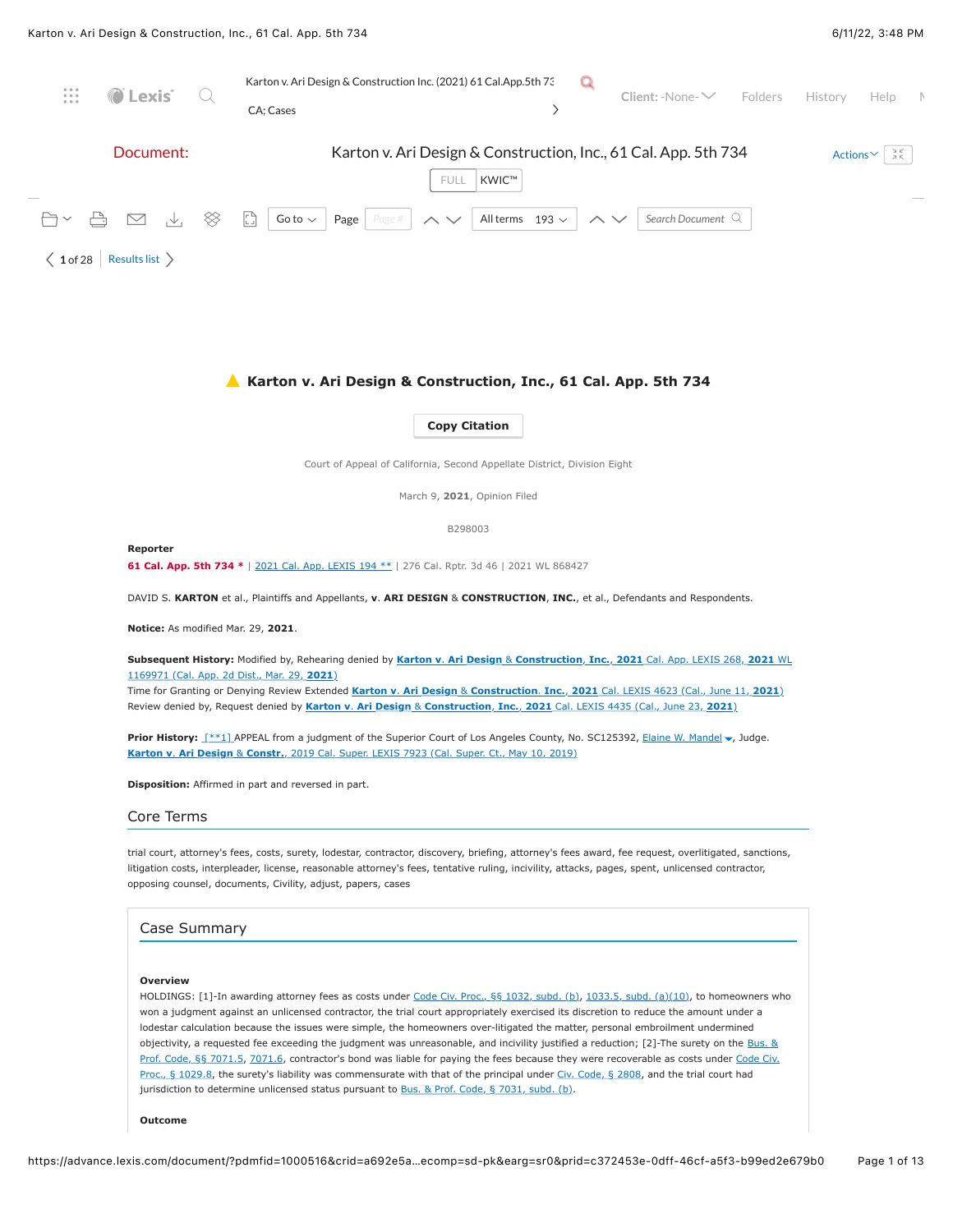

#### **Outcome**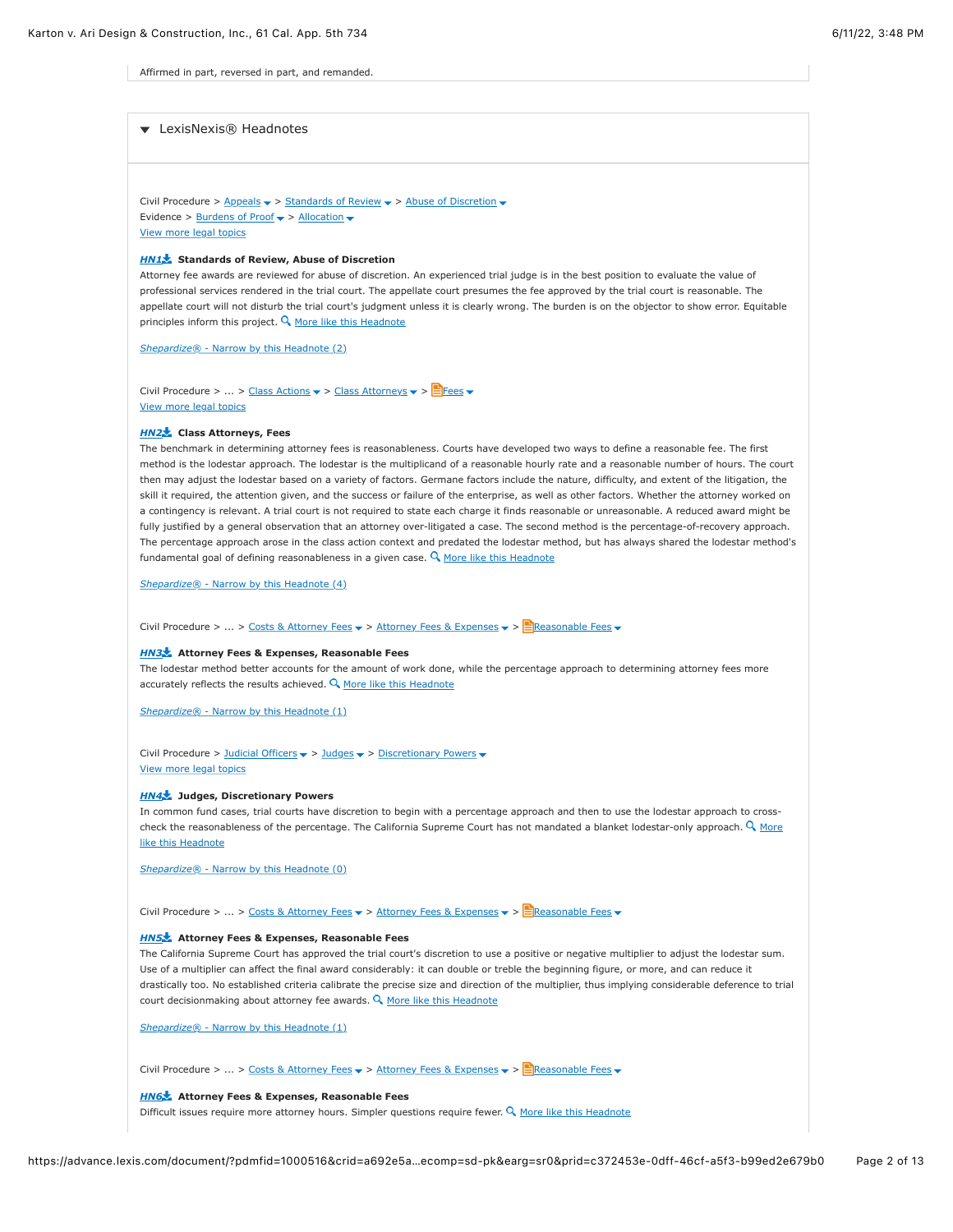Affirmed in part, reversed in part, and remanded.

# LexisNexis® Headnotes

Civil Procedure > [Appeals](https://advance.lexis.com/document/?pdmfid=1000516&crid=a692e5a3-50fc-4810-8db6-3293c05744d3&pddocfullpath=%2Fshared%2Fdocument%2Fcases%2Furn%3AcontentItem%3A625N-WKS1-FJDY-X3CW-00000-00&pdcontentcomponentid=4860&pdshepid=urn%3AcontentItem%3A6250-Y9G3-GXF7-3401-00000-00&pdteaserkey=sr0&pditab=allpods&ecomp=sd-pk&earg=sr0&prid=c372453e-0dff-46cf-a5f3-b99ed2e679b0#)  $\rightarrow$  [Standards of Review](https://advance.lexis.com/document/?pdmfid=1000516&crid=a692e5a3-50fc-4810-8db6-3293c05744d3&pddocfullpath=%2Fshared%2Fdocument%2Fcases%2Furn%3AcontentItem%3A625N-WKS1-FJDY-X3CW-00000-00&pdcontentcomponentid=4860&pdshepid=urn%3AcontentItem%3A6250-Y9G3-GXF7-3401-00000-00&pdteaserkey=sr0&pditab=allpods&ecomp=sd-pk&earg=sr0&prid=c372453e-0dff-46cf-a5f3-b99ed2e679b0#)  $\rightarrow$  > [Abuse of Discretion](https://advance.lexis.com/document/?pdmfid=1000516&crid=a692e5a3-50fc-4810-8db6-3293c05744d3&pddocfullpath=%2Fshared%2Fdocument%2Fcases%2Furn%3AcontentItem%3A625N-WKS1-FJDY-X3CW-00000-00&pdcontentcomponentid=4860&pdshepid=urn%3AcontentItem%3A6250-Y9G3-GXF7-3401-00000-00&pdteaserkey=sr0&pditab=allpods&ecomp=sd-pk&earg=sr0&prid=c372453e-0dff-46cf-a5f3-b99ed2e679b0#)  $\rightarrow$ Evidence >  $\frac{\text{Burdens of Proof}}{\text{Proof}}$  > [Allocation](https://advance.lexis.com/document/?pdmfid=1000516&crid=a692e5a3-50fc-4810-8db6-3293c05744d3&pddocfullpath=%2Fshared%2Fdocument%2Fcases%2Furn%3AcontentItem%3A625N-WKS1-FJDY-X3CW-00000-00&pdcontentcomponentid=4860&pdshepid=urn%3AcontentItem%3A6250-Y9G3-GXF7-3401-00000-00&pdteaserkey=sr0&pditab=allpods&ecomp=sd-pk&earg=sr0&prid=c372453e-0dff-46cf-a5f3-b99ed2e679b0#)  $\text{~}$ [View more legal topics](https://advance.lexis.com/document/?pdmfid=1000516&crid=a692e5a3-50fc-4810-8db6-3293c05744d3&pddocfullpath=%2Fshared%2Fdocument%2Fcases%2Furn%3AcontentItem%3A625N-WKS1-FJDY-X3CW-00000-00&pdcontentcomponentid=4860&pdshepid=urn%3AcontentItem%3A6250-Y9G3-GXF7-3401-00000-00&pdteaserkey=sr0&pditab=allpods&ecomp=sd-pk&earg=sr0&prid=c372453e-0dff-46cf-a5f3-b99ed2e679b0#)

# *[HN1](https://advance.lexis.com/document/?pdmfid=1000516&crid=a692e5a3-50fc-4810-8db6-3293c05744d3&pddocfullpath=%2Fshared%2Fdocument%2Fcases%2Furn%3AcontentItem%3A625N-WKS1-FJDY-X3CW-00000-00&pdcontentcomponentid=4860&pdshepid=urn%3AcontentItem%3A6250-Y9G3-GXF7-3401-00000-00&pdteaserkey=sr0&pditab=allpods&ecomp=sd-pk&earg=sr0&prid=c372453e-0dff-46cf-a5f3-b99ed2e679b0#)* **Standards of Review, Abuse of Discretion**

Attorney fee awards are reviewed for abuse of discretion. An experienced trial judge is in the best position to evaluate the value of professional services rendered in the trial court. The appellate court presumes the fee approved by the trial court is reasonable. The appellate court will not disturb the trial court's judgment unless it is clearly wrong. The burden is on the objector to show error. Equitable principles inform this project.  $Q$  [More like this Headnote](https://advance.lexis.com/document/?pdmfid=1000516&crid=a692e5a3-50fc-4810-8db6-3293c05744d3&pddocfullpath=%2Fshared%2Fdocument%2Fcases%2Furn%3AcontentItem%3A625N-WKS1-FJDY-X3CW-00000-00&pdcontentcomponentid=4860&pdshepid=urn%3AcontentItem%3A6250-Y9G3-GXF7-3401-00000-00&pdteaserkey=sr0&pditab=allpods&ecomp=sd-pk&earg=sr0&prid=c372453e-0dff-46cf-a5f3-b99ed2e679b0#)

*Shepardize®* [- Narrow by this Headnote \(2\)](https://advance.lexis.com/document/?pdmfid=1000516&crid=a692e5a3-50fc-4810-8db6-3293c05744d3&pddocfullpath=%2Fshared%2Fdocument%2Fcases%2Furn%3AcontentItem%3A625N-WKS1-FJDY-X3CW-00000-00&pdcontentcomponentid=4860&pdshepid=urn%3AcontentItem%3A6250-Y9G3-GXF7-3401-00000-00&pdteaserkey=sr0&pditab=allpods&ecomp=sd-pk&earg=sr0&prid=c372453e-0dff-46cf-a5f3-b99ed2e679b0#)

Civil Procedure > ... > [Class Actions](https://advance.lexis.com/document/?pdmfid=1000516&crid=a692e5a3-50fc-4810-8db6-3293c05744d3&pddocfullpath=%2Fshared%2Fdocument%2Fcases%2Furn%3AcontentItem%3A625N-WKS1-FJDY-X3CW-00000-00&pdcontentcomponentid=4860&pdshepid=urn%3AcontentItem%3A6250-Y9G3-GXF7-3401-00000-00&pdteaserkey=sr0&pditab=allpods&ecomp=sd-pk&earg=sr0&prid=c372453e-0dff-46cf-a5f3-b99ed2e679b0#)  $\blacktriangledown$  > [Class Attorneys](https://advance.lexis.com/document/?pdmfid=1000516&crid=a692e5a3-50fc-4810-8db6-3293c05744d3&pddocfullpath=%2Fshared%2Fdocument%2Fcases%2Furn%3AcontentItem%3A625N-WKS1-FJDY-X3CW-00000-00&pdcontentcomponentid=4860&pdshepid=urn%3AcontentItem%3A6250-Y9G3-GXF7-3401-00000-00&pdteaserkey=sr0&pditab=allpods&ecomp=sd-pk&earg=sr0&prid=c372453e-0dff-46cf-a5f3-b99ed2e679b0#)  $\blacktriangledown$  > [Fees](https://advance.lexis.com/document/?pdmfid=1000516&crid=a692e5a3-50fc-4810-8db6-3293c05744d3&pddocfullpath=%2Fshared%2Fdocument%2Fcases%2Furn%3AcontentItem%3A625N-WKS1-FJDY-X3CW-00000-00&pdcontentcomponentid=4860&pdshepid=urn%3AcontentItem%3A6250-Y9G3-GXF7-3401-00000-00&pdteaserkey=sr0&pditab=allpods&ecomp=sd-pk&earg=sr0&prid=c372453e-0dff-46cf-a5f3-b99ed2e679b0#)  $\blacktriangledown$ [View more legal topics](https://advance.lexis.com/document/?pdmfid=1000516&crid=a692e5a3-50fc-4810-8db6-3293c05744d3&pddocfullpath=%2Fshared%2Fdocument%2Fcases%2Furn%3AcontentItem%3A625N-WKS1-FJDY-X3CW-00000-00&pdcontentcomponentid=4860&pdshepid=urn%3AcontentItem%3A6250-Y9G3-GXF7-3401-00000-00&pdteaserkey=sr0&pditab=allpods&ecomp=sd-pk&earg=sr0&prid=c372453e-0dff-46cf-a5f3-b99ed2e679b0#)

### *[HN2](https://advance.lexis.com/document/?pdmfid=1000516&crid=a692e5a3-50fc-4810-8db6-3293c05744d3&pddocfullpath=%2Fshared%2Fdocument%2Fcases%2Furn%3AcontentItem%3A625N-WKS1-FJDY-X3CW-00000-00&pdcontentcomponentid=4860&pdshepid=urn%3AcontentItem%3A6250-Y9G3-GXF7-3401-00000-00&pdteaserkey=sr0&pditab=allpods&ecomp=sd-pk&earg=sr0&prid=c372453e-0dff-46cf-a5f3-b99ed2e679b0#)* **Class Attorneys, Fees**

The benchmark in determining attorney fees is reasonableness. Courts have developed two ways to define a reasonable fee. The first method is the lodestar approach. The lodestar is the multiplicand of a reasonable hourly rate and a reasonable number of hours. The court then may adjust the lodestar based on a variety of factors. Germane factors include the nature, difficulty, and extent of the litigation, the skill it required, the attention given, and the success or failure of the enterprise, as well as other factors. Whether the attorney worked on a contingency is relevant. A trial court is not required to state each charge it finds reasonable or unreasonable. A reduced award might be fully justified by a general observation that an attorney over-litigated a case. The second method is the percentage-of-recovery approach. The percentage approach arose in the class action context and predated the lodestar method, but has always shared the lodestar method's fundamental goal of defining reasonableness in a given case.  $Q$  [More like this Headnote](https://advance.lexis.com/document/?pdmfid=1000516&crid=a692e5a3-50fc-4810-8db6-3293c05744d3&pddocfullpath=%2Fshared%2Fdocument%2Fcases%2Furn%3AcontentItem%3A625N-WKS1-FJDY-X3CW-00000-00&pdcontentcomponentid=4860&pdshepid=urn%3AcontentItem%3A6250-Y9G3-GXF7-3401-00000-00&pdteaserkey=sr0&pditab=allpods&ecomp=sd-pk&earg=sr0&prid=c372453e-0dff-46cf-a5f3-b99ed2e679b0#)

*Shepardize®* [- Narrow by this Headnote \(4\)](https://advance.lexis.com/document/?pdmfid=1000516&crid=a692e5a3-50fc-4810-8db6-3293c05744d3&pddocfullpath=%2Fshared%2Fdocument%2Fcases%2Furn%3AcontentItem%3A625N-WKS1-FJDY-X3CW-00000-00&pdcontentcomponentid=4860&pdshepid=urn%3AcontentItem%3A6250-Y9G3-GXF7-3401-00000-00&pdteaserkey=sr0&pditab=allpods&ecomp=sd-pk&earg=sr0&prid=c372453e-0dff-46cf-a5f3-b99ed2e679b0#)

Civil Procedure > ... > [Costs & Attorney Fees](https://advance.lexis.com/document/?pdmfid=1000516&crid=a692e5a3-50fc-4810-8db6-3293c05744d3&pddocfullpath=%2Fshared%2Fdocument%2Fcases%2Furn%3AcontentItem%3A625N-WKS1-FJDY-X3CW-00000-00&pdcontentcomponentid=4860&pdshepid=urn%3AcontentItem%3A6250-Y9G3-GXF7-3401-00000-00&pdteaserkey=sr0&pditab=allpods&ecomp=sd-pk&earg=sr0&prid=c372453e-0dff-46cf-a5f3-b99ed2e679b0#)  $\triangledown$  > [Attorney Fees & Expenses](https://advance.lexis.com/document/?pdmfid=1000516&crid=a692e5a3-50fc-4810-8db6-3293c05744d3&pddocfullpath=%2Fshared%2Fdocument%2Fcases%2Furn%3AcontentItem%3A625N-WKS1-FJDY-X3CW-00000-00&pdcontentcomponentid=4860&pdshepid=urn%3AcontentItem%3A6250-Y9G3-GXF7-3401-00000-00&pdteaserkey=sr0&pditab=allpods&ecomp=sd-pk&earg=sr0&prid=c372453e-0dff-46cf-a5f3-b99ed2e679b0#)  $\blacktriangledown$  >  $\frac{1}{n}$ Reasonable Fees  $\blacktriangledown$ 

#### *[HN3](https://advance.lexis.com/document/?pdmfid=1000516&crid=a692e5a3-50fc-4810-8db6-3293c05744d3&pddocfullpath=%2Fshared%2Fdocument%2Fcases%2Furn%3AcontentItem%3A625N-WKS1-FJDY-X3CW-00000-00&pdcontentcomponentid=4860&pdshepid=urn%3AcontentItem%3A6250-Y9G3-GXF7-3401-00000-00&pdteaserkey=sr0&pditab=allpods&ecomp=sd-pk&earg=sr0&prid=c372453e-0dff-46cf-a5f3-b99ed2e679b0#)* **Attorney Fees & Expenses, Reasonable Fees**

The lodestar method better accounts for the amount of work done, while the percentage approach to determining attorney fees more accurately reflects the results achieved.  $Q$  [More like this Headnote](https://advance.lexis.com/document/?pdmfid=1000516&crid=a692e5a3-50fc-4810-8db6-3293c05744d3&pddocfullpath=%2Fshared%2Fdocument%2Fcases%2Furn%3AcontentItem%3A625N-WKS1-FJDY-X3CW-00000-00&pdcontentcomponentid=4860&pdshepid=urn%3AcontentItem%3A6250-Y9G3-GXF7-3401-00000-00&pdteaserkey=sr0&pditab=allpods&ecomp=sd-pk&earg=sr0&prid=c372453e-0dff-46cf-a5f3-b99ed2e679b0#)

*Shepardize®* [- Narrow by this Headnote \(1\)](https://advance.lexis.com/document/?pdmfid=1000516&crid=a692e5a3-50fc-4810-8db6-3293c05744d3&pddocfullpath=%2Fshared%2Fdocument%2Fcases%2Furn%3AcontentItem%3A625N-WKS1-FJDY-X3CW-00000-00&pdcontentcomponentid=4860&pdshepid=urn%3AcontentItem%3A6250-Y9G3-GXF7-3401-00000-00&pdteaserkey=sr0&pditab=allpods&ecomp=sd-pk&earg=sr0&prid=c372453e-0dff-46cf-a5f3-b99ed2e679b0#)

Civil Procedure > [Judicial Officers](https://advance.lexis.com/document/?pdmfid=1000516&crid=a692e5a3-50fc-4810-8db6-3293c05744d3&pddocfullpath=%2Fshared%2Fdocument%2Fcases%2Furn%3AcontentItem%3A625N-WKS1-FJDY-X3CW-00000-00&pdcontentcomponentid=4860&pdshepid=urn%3AcontentItem%3A6250-Y9G3-GXF7-3401-00000-00&pdteaserkey=sr0&pditab=allpods&ecomp=sd-pk&earg=sr0&prid=c372453e-0dff-46cf-a5f3-b99ed2e679b0#)  $\blacktriangleright$  > [Judges](https://advance.lexis.com/document/?pdmfid=1000516&crid=a692e5a3-50fc-4810-8db6-3293c05744d3&pddocfullpath=%2Fshared%2Fdocument%2Fcases%2Furn%3AcontentItem%3A625N-WKS1-FJDY-X3CW-00000-00&pdcontentcomponentid=4860&pdshepid=urn%3AcontentItem%3A6250-Y9G3-GXF7-3401-00000-00&pdteaserkey=sr0&pditab=allpods&ecomp=sd-pk&earg=sr0&prid=c372453e-0dff-46cf-a5f3-b99ed2e679b0#)  $\blacktriangleright$  > [Discretionary Powers](https://advance.lexis.com/document/?pdmfid=1000516&crid=a692e5a3-50fc-4810-8db6-3293c05744d3&pddocfullpath=%2Fshared%2Fdocument%2Fcases%2Furn%3AcontentItem%3A625N-WKS1-FJDY-X3CW-00000-00&pdcontentcomponentid=4860&pdshepid=urn%3AcontentItem%3A6250-Y9G3-GXF7-3401-00000-00&pdteaserkey=sr0&pditab=allpods&ecomp=sd-pk&earg=sr0&prid=c372453e-0dff-46cf-a5f3-b99ed2e679b0#)  $\blacktriangleright$ [View more legal topics](https://advance.lexis.com/document/?pdmfid=1000516&crid=a692e5a3-50fc-4810-8db6-3293c05744d3&pddocfullpath=%2Fshared%2Fdocument%2Fcases%2Furn%3AcontentItem%3A625N-WKS1-FJDY-X3CW-00000-00&pdcontentcomponentid=4860&pdshepid=urn%3AcontentItem%3A6250-Y9G3-GXF7-3401-00000-00&pdteaserkey=sr0&pditab=allpods&ecomp=sd-pk&earg=sr0&prid=c372453e-0dff-46cf-a5f3-b99ed2e679b0#)

#### *[HN4](https://advance.lexis.com/document/?pdmfid=1000516&crid=a692e5a3-50fc-4810-8db6-3293c05744d3&pddocfullpath=%2Fshared%2Fdocument%2Fcases%2Furn%3AcontentItem%3A625N-WKS1-FJDY-X3CW-00000-00&pdcontentcomponentid=4860&pdshepid=urn%3AcontentItem%3A6250-Y9G3-GXF7-3401-00000-00&pdteaserkey=sr0&pditab=allpods&ecomp=sd-pk&earg=sr0&prid=c372453e-0dff-46cf-a5f3-b99ed2e679b0#)* **Judges, Discretionary Powers**

In common fund cases, trial courts have discretion to begin with a percentage approach and then to use the lodestar approach to crosscheck the reasonableness of the percentage. The California Supreme Court has not mandated a blanket lodestar-only approach.  $\mathcal{Q}$  More like this Headnote

*Shepardize®* [- Narrow by this Headnote \(0\)](https://advance.lexis.com/document/?pdmfid=1000516&crid=a692e5a3-50fc-4810-8db6-3293c05744d3&pddocfullpath=%2Fshared%2Fdocument%2Fcases%2Furn%3AcontentItem%3A625N-WKS1-FJDY-X3CW-00000-00&pdcontentcomponentid=4860&pdshepid=urn%3AcontentItem%3A6250-Y9G3-GXF7-3401-00000-00&pdteaserkey=sr0&pditab=allpods&ecomp=sd-pk&earg=sr0&prid=c372453e-0dff-46cf-a5f3-b99ed2e679b0#)

Civil Procedure > ... > [Costs & Attorney Fees](https://advance.lexis.com/document/?pdmfid=1000516&crid=a692e5a3-50fc-4810-8db6-3293c05744d3&pddocfullpath=%2Fshared%2Fdocument%2Fcases%2Furn%3AcontentItem%3A625N-WKS1-FJDY-X3CW-00000-00&pdcontentcomponentid=4860&pdshepid=urn%3AcontentItem%3A6250-Y9G3-GXF7-3401-00000-00&pdteaserkey=sr0&pditab=allpods&ecomp=sd-pk&earg=sr0&prid=c372453e-0dff-46cf-a5f3-b99ed2e679b0#)  $\triangledown$  > [Attorney Fees & Expenses](https://advance.lexis.com/document/?pdmfid=1000516&crid=a692e5a3-50fc-4810-8db6-3293c05744d3&pddocfullpath=%2Fshared%2Fdocument%2Fcases%2Furn%3AcontentItem%3A625N-WKS1-FJDY-X3CW-00000-00&pdcontentcomponentid=4860&pdshepid=urn%3AcontentItem%3A6250-Y9G3-GXF7-3401-00000-00&pdteaserkey=sr0&pditab=allpods&ecomp=sd-pk&earg=sr0&prid=c372453e-0dff-46cf-a5f3-b99ed2e679b0#)  $\triangledown$  >  $\frac{1}{n}$ Reasonable Fees  $\triangledown$ 

# *[HN5](https://advance.lexis.com/document/?pdmfid=1000516&crid=a692e5a3-50fc-4810-8db6-3293c05744d3&pddocfullpath=%2Fshared%2Fdocument%2Fcases%2Furn%3AcontentItem%3A625N-WKS1-FJDY-X3CW-00000-00&pdcontentcomponentid=4860&pdshepid=urn%3AcontentItem%3A6250-Y9G3-GXF7-3401-00000-00&pdteaserkey=sr0&pditab=allpods&ecomp=sd-pk&earg=sr0&prid=c372453e-0dff-46cf-a5f3-b99ed2e679b0#)* **Attorney Fees & Expenses, Reasonable Fees**

The California Supreme Court has approved the trial court's discretion to use a positive or negative multiplier to adjust the lodestar sum. Use of a multiplier can affect the final award considerably: it can double or treble the beginning figure, or more, and can reduce it drastically too. No established criteria calibrate the precise size and direction of the multiplier, thus implying considerable deference to trial court decisionmaking about attorney fee awards.  $Q$  [More like this Headnote](https://advance.lexis.com/document/?pdmfid=1000516&crid=a692e5a3-50fc-4810-8db6-3293c05744d3&pddocfullpath=%2Fshared%2Fdocument%2Fcases%2Furn%3AcontentItem%3A625N-WKS1-FJDY-X3CW-00000-00&pdcontentcomponentid=4860&pdshepid=urn%3AcontentItem%3A6250-Y9G3-GXF7-3401-00000-00&pdteaserkey=sr0&pditab=allpods&ecomp=sd-pk&earg=sr0&prid=c372453e-0dff-46cf-a5f3-b99ed2e679b0#)

*Shepardize®* [- Narrow by this Headnote \(1\)](https://advance.lexis.com/document/?pdmfid=1000516&crid=a692e5a3-50fc-4810-8db6-3293c05744d3&pddocfullpath=%2Fshared%2Fdocument%2Fcases%2Furn%3AcontentItem%3A625N-WKS1-FJDY-X3CW-00000-00&pdcontentcomponentid=4860&pdshepid=urn%3AcontentItem%3A6250-Y9G3-GXF7-3401-00000-00&pdteaserkey=sr0&pditab=allpods&ecomp=sd-pk&earg=sr0&prid=c372453e-0dff-46cf-a5f3-b99ed2e679b0#)

Civil Procedure > ... > [Costs & Attorney Fees](https://advance.lexis.com/document/?pdmfid=1000516&crid=a692e5a3-50fc-4810-8db6-3293c05744d3&pddocfullpath=%2Fshared%2Fdocument%2Fcases%2Furn%3AcontentItem%3A625N-WKS1-FJDY-X3CW-00000-00&pdcontentcomponentid=4860&pdshepid=urn%3AcontentItem%3A6250-Y9G3-GXF7-3401-00000-00&pdteaserkey=sr0&pditab=allpods&ecomp=sd-pk&earg=sr0&prid=c372453e-0dff-46cf-a5f3-b99ed2e679b0#)  $\bullet$  > [Attorney Fees & Expenses](https://advance.lexis.com/document/?pdmfid=1000516&crid=a692e5a3-50fc-4810-8db6-3293c05744d3&pddocfullpath=%2Fshared%2Fdocument%2Fcases%2Furn%3AcontentItem%3A625N-WKS1-FJDY-X3CW-00000-00&pdcontentcomponentid=4860&pdshepid=urn%3AcontentItem%3A6250-Y9G3-GXF7-3401-00000-00&pdteaserkey=sr0&pditab=allpods&ecomp=sd-pk&earg=sr0&prid=c372453e-0dff-46cf-a5f3-b99ed2e679b0#)  $\bullet$  >  $\triangleq$ Reasonable Fees  $\bullet$ 

### *[HN6](https://advance.lexis.com/document/?pdmfid=1000516&crid=a692e5a3-50fc-4810-8db6-3293c05744d3&pddocfullpath=%2Fshared%2Fdocument%2Fcases%2Furn%3AcontentItem%3A625N-WKS1-FJDY-X3CW-00000-00&pdcontentcomponentid=4860&pdshepid=urn%3AcontentItem%3A6250-Y9G3-GXF7-3401-00000-00&pdteaserkey=sr0&pditab=allpods&ecomp=sd-pk&earg=sr0&prid=c372453e-0dff-46cf-a5f3-b99ed2e679b0#)* **Attorney Fees & Expenses, Reasonable Fees**

Difficult issues require more attorney hours. Simpler questions require fewer.  $Q$  [More like this Headnote](https://advance.lexis.com/document/?pdmfid=1000516&crid=a692e5a3-50fc-4810-8db6-3293c05744d3&pddocfullpath=%2Fshared%2Fdocument%2Fcases%2Furn%3AcontentItem%3A625N-WKS1-FJDY-X3CW-00000-00&pdcontentcomponentid=4860&pdshepid=urn%3AcontentItem%3A6250-Y9G3-GXF7-3401-00000-00&pdteaserkey=sr0&pditab=allpods&ecomp=sd-pk&earg=sr0&prid=c372453e-0dff-46cf-a5f3-b99ed2e679b0#)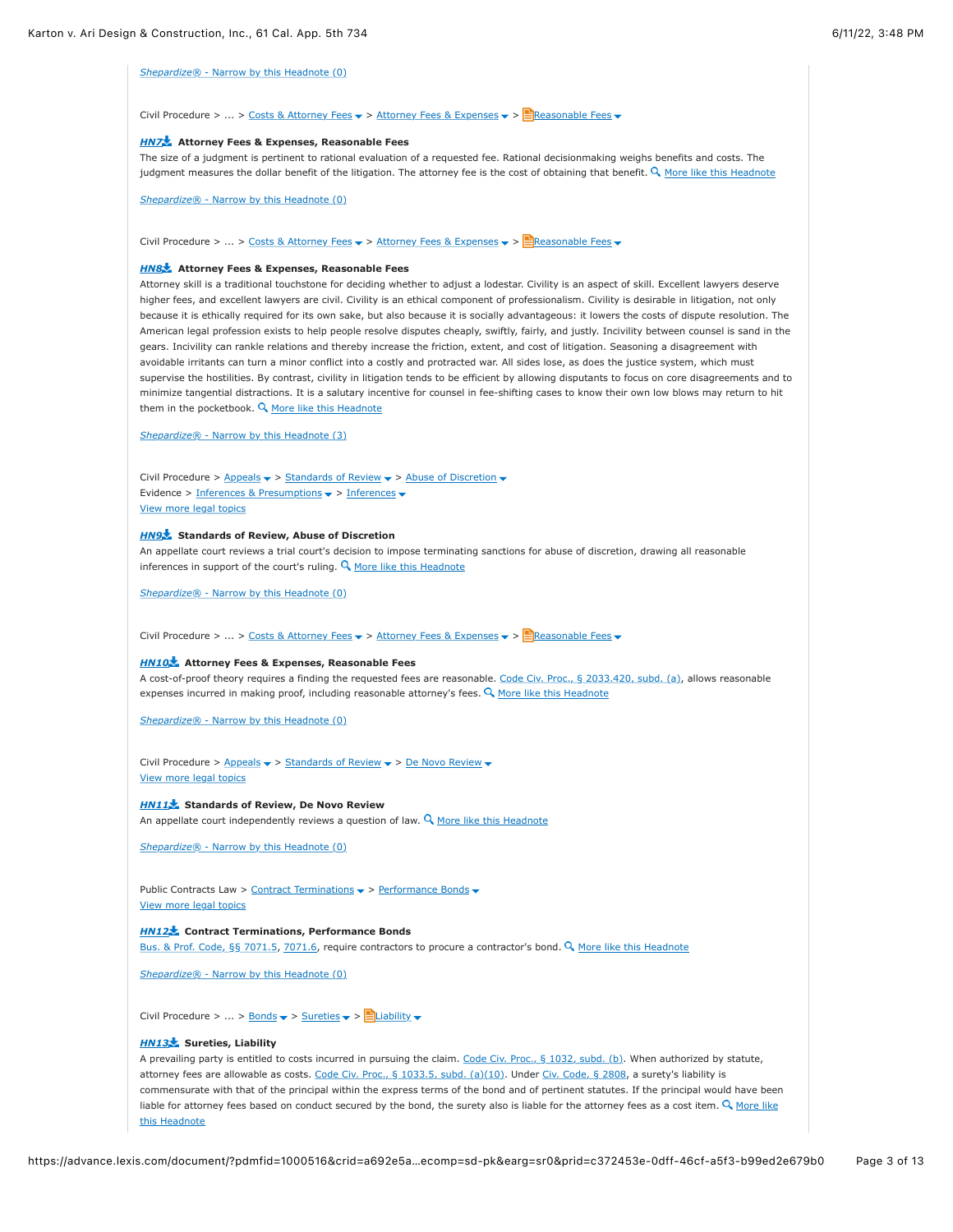*Shepardize®* [- Narrow by this Headnote \(0\)](https://advance.lexis.com/document/?pdmfid=1000516&crid=a692e5a3-50fc-4810-8db6-3293c05744d3&pddocfullpath=%2Fshared%2Fdocument%2Fcases%2Furn%3AcontentItem%3A625N-WKS1-FJDY-X3CW-00000-00&pdcontentcomponentid=4860&pdshepid=urn%3AcontentItem%3A6250-Y9G3-GXF7-3401-00000-00&pdteaserkey=sr0&pditab=allpods&ecomp=sd-pk&earg=sr0&prid=c372453e-0dff-46cf-a5f3-b99ed2e679b0#)

Civil Procedure > ... > [Costs & Attorney Fees](https://advance.lexis.com/document/?pdmfid=1000516&crid=a692e5a3-50fc-4810-8db6-3293c05744d3&pddocfullpath=%2Fshared%2Fdocument%2Fcases%2Furn%3AcontentItem%3A625N-WKS1-FJDY-X3CW-00000-00&pdcontentcomponentid=4860&pdshepid=urn%3AcontentItem%3A6250-Y9G3-GXF7-3401-00000-00&pdteaserkey=sr0&pditab=allpods&ecomp=sd-pk&earg=sr0&prid=c372453e-0dff-46cf-a5f3-b99ed2e679b0#)  $\triangledown$  > [Attorney Fees & Expenses](https://advance.lexis.com/document/?pdmfid=1000516&crid=a692e5a3-50fc-4810-8db6-3293c05744d3&pddocfullpath=%2Fshared%2Fdocument%2Fcases%2Furn%3AcontentItem%3A625N-WKS1-FJDY-X3CW-00000-00&pdcontentcomponentid=4860&pdshepid=urn%3AcontentItem%3A6250-Y9G3-GXF7-3401-00000-00&pdteaserkey=sr0&pditab=allpods&ecomp=sd-pk&earg=sr0&prid=c372453e-0dff-46cf-a5f3-b99ed2e679b0#)  $\triangledown$  >  $\triangleq$ Reasonable Fees  $\triangledown$ 

### *[HN7](https://advance.lexis.com/document/?pdmfid=1000516&crid=a692e5a3-50fc-4810-8db6-3293c05744d3&pddocfullpath=%2Fshared%2Fdocument%2Fcases%2Furn%3AcontentItem%3A625N-WKS1-FJDY-X3CW-00000-00&pdcontentcomponentid=4860&pdshepid=urn%3AcontentItem%3A6250-Y9G3-GXF7-3401-00000-00&pdteaserkey=sr0&pditab=allpods&ecomp=sd-pk&earg=sr0&prid=c372453e-0dff-46cf-a5f3-b99ed2e679b0#)* **Attorney Fees & Expenses, Reasonable Fees**

The size of a judgment is pertinent to rational evaluation of a requested fee. Rational decisionmaking weighs benefits and costs. The judgment measures the dollar benefit of the litigation. The attorney fee is the cost of obtaining that benefit. Q [More like this Headnote](https://advance.lexis.com/document/?pdmfid=1000516&crid=a692e5a3-50fc-4810-8db6-3293c05744d3&pddocfullpath=%2Fshared%2Fdocument%2Fcases%2Furn%3AcontentItem%3A625N-WKS1-FJDY-X3CW-00000-00&pdcontentcomponentid=4860&pdshepid=urn%3AcontentItem%3A6250-Y9G3-GXF7-3401-00000-00&pdteaserkey=sr0&pditab=allpods&ecomp=sd-pk&earg=sr0&prid=c372453e-0dff-46cf-a5f3-b99ed2e679b0#)

*Shepardize®* [- Narrow by this Headnote \(0\)](https://advance.lexis.com/document/?pdmfid=1000516&crid=a692e5a3-50fc-4810-8db6-3293c05744d3&pddocfullpath=%2Fshared%2Fdocument%2Fcases%2Furn%3AcontentItem%3A625N-WKS1-FJDY-X3CW-00000-00&pdcontentcomponentid=4860&pdshepid=urn%3AcontentItem%3A6250-Y9G3-GXF7-3401-00000-00&pdteaserkey=sr0&pditab=allpods&ecomp=sd-pk&earg=sr0&prid=c372453e-0dff-46cf-a5f3-b99ed2e679b0#)

Civil Procedure > ... > [Costs & Attorney Fees](https://advance.lexis.com/document/?pdmfid=1000516&crid=a692e5a3-50fc-4810-8db6-3293c05744d3&pddocfullpath=%2Fshared%2Fdocument%2Fcases%2Furn%3AcontentItem%3A625N-WKS1-FJDY-X3CW-00000-00&pdcontentcomponentid=4860&pdshepid=urn%3AcontentItem%3A6250-Y9G3-GXF7-3401-00000-00&pdteaserkey=sr0&pditab=allpods&ecomp=sd-pk&earg=sr0&prid=c372453e-0dff-46cf-a5f3-b99ed2e679b0#)  $\blacktriangledown$  > [Attorney Fees & Expenses](https://advance.lexis.com/document/?pdmfid=1000516&crid=a692e5a3-50fc-4810-8db6-3293c05744d3&pddocfullpath=%2Fshared%2Fdocument%2Fcases%2Furn%3AcontentItem%3A625N-WKS1-FJDY-X3CW-00000-00&pdcontentcomponentid=4860&pdshepid=urn%3AcontentItem%3A6250-Y9G3-GXF7-3401-00000-00&pdteaserkey=sr0&pditab=allpods&ecomp=sd-pk&earg=sr0&prid=c372453e-0dff-46cf-a5f3-b99ed2e679b0#)  $\blacktriangledown$  >  $\blacktriangleright$  [Reasonable Fees](https://advance.lexis.com/document/?pdmfid=1000516&crid=a692e5a3-50fc-4810-8db6-3293c05744d3&pddocfullpath=%2Fshared%2Fdocument%2Fcases%2Furn%3AcontentItem%3A625N-WKS1-FJDY-X3CW-00000-00&pdcontentcomponentid=4860&pdshepid=urn%3AcontentItem%3A6250-Y9G3-GXF7-3401-00000-00&pdteaserkey=sr0&pditab=allpods&ecomp=sd-pk&earg=sr0&prid=c372453e-0dff-46cf-a5f3-b99ed2e679b0#)  $\blacktriangledown$ 

## *[HN8](https://advance.lexis.com/document/?pdmfid=1000516&crid=a692e5a3-50fc-4810-8db6-3293c05744d3&pddocfullpath=%2Fshared%2Fdocument%2Fcases%2Furn%3AcontentItem%3A625N-WKS1-FJDY-X3CW-00000-00&pdcontentcomponentid=4860&pdshepid=urn%3AcontentItem%3A6250-Y9G3-GXF7-3401-00000-00&pdteaserkey=sr0&pditab=allpods&ecomp=sd-pk&earg=sr0&prid=c372453e-0dff-46cf-a5f3-b99ed2e679b0#)* **Attorney Fees & Expenses, Reasonable Fees**

Attorney skill is a traditional touchstone for deciding whether to adjust a lodestar. Civility is an aspect of skill. Excellent lawyers deserve higher fees, and excellent lawyers are civil. Civility is an ethical component of professionalism. Civility is desirable in litigation, not only because it is ethically required for its own sake, but also because it is socially advantageous: it lowers the costs of dispute resolution. The American legal profession exists to help people resolve disputes cheaply, swiftly, fairly, and justly. Incivility between counsel is sand in the gears. Incivility can rankle relations and thereby increase the friction, extent, and cost of litigation. Seasoning a disagreement with avoidable irritants can turn a minor conflict into a costly and protracted war. All sides lose, as does the justice system, which must supervise the hostilities. By contrast, civility in litigation tends to be efficient by allowing disputants to focus on core disagreements and to minimize tangential distractions. It is a salutary incentive for counsel in fee-shifting cases to know their own low blows may return to hit them in the pocketbook. **Q** [More like this Headnote](https://advance.lexis.com/document/?pdmfid=1000516&crid=a692e5a3-50fc-4810-8db6-3293c05744d3&pddocfullpath=%2Fshared%2Fdocument%2Fcases%2Furn%3AcontentItem%3A625N-WKS1-FJDY-X3CW-00000-00&pdcontentcomponentid=4860&pdshepid=urn%3AcontentItem%3A6250-Y9G3-GXF7-3401-00000-00&pdteaserkey=sr0&pditab=allpods&ecomp=sd-pk&earg=sr0&prid=c372453e-0dff-46cf-a5f3-b99ed2e679b0#)

*Shepardize®* [- Narrow by this Headnote \(3\)](https://advance.lexis.com/document/?pdmfid=1000516&crid=a692e5a3-50fc-4810-8db6-3293c05744d3&pddocfullpath=%2Fshared%2Fdocument%2Fcases%2Furn%3AcontentItem%3A625N-WKS1-FJDY-X3CW-00000-00&pdcontentcomponentid=4860&pdshepid=urn%3AcontentItem%3A6250-Y9G3-GXF7-3401-00000-00&pdteaserkey=sr0&pditab=allpods&ecomp=sd-pk&earg=sr0&prid=c372453e-0dff-46cf-a5f3-b99ed2e679b0#)

Civil Procedure >  $\triangle$  [Appeals](https://advance.lexis.com/document/?pdmfid=1000516&crid=a692e5a3-50fc-4810-8db6-3293c05744d3&pddocfullpath=%2Fshared%2Fdocument%2Fcases%2Furn%3AcontentItem%3A625N-WKS1-FJDY-X3CW-00000-00&pdcontentcomponentid=4860&pdshepid=urn%3AcontentItem%3A6250-Y9G3-GXF7-3401-00000-00&pdteaserkey=sr0&pditab=allpods&ecomp=sd-pk&earg=sr0&prid=c372453e-0dff-46cf-a5f3-b99ed2e679b0#)  $\blacktriangleright$  > [Standards of Review](https://advance.lexis.com/document/?pdmfid=1000516&crid=a692e5a3-50fc-4810-8db6-3293c05744d3&pddocfullpath=%2Fshared%2Fdocument%2Fcases%2Furn%3AcontentItem%3A625N-WKS1-FJDY-X3CW-00000-00&pdcontentcomponentid=4860&pdshepid=urn%3AcontentItem%3A6250-Y9G3-GXF7-3401-00000-00&pdteaserkey=sr0&pditab=allpods&ecomp=sd-pk&earg=sr0&prid=c372453e-0dff-46cf-a5f3-b99ed2e679b0#)  $\blacktriangleright$  > [Abuse of Discretion](https://advance.lexis.com/document/?pdmfid=1000516&crid=a692e5a3-50fc-4810-8db6-3293c05744d3&pddocfullpath=%2Fshared%2Fdocument%2Fcases%2Furn%3AcontentItem%3A625N-WKS1-FJDY-X3CW-00000-00&pdcontentcomponentid=4860&pdshepid=urn%3AcontentItem%3A6250-Y9G3-GXF7-3401-00000-00&pdteaserkey=sr0&pditab=allpods&ecomp=sd-pk&earg=sr0&prid=c372453e-0dff-46cf-a5f3-b99ed2e679b0#)  $\blacktriangleright$ Evidence > [Inferences & Presumptions](https://advance.lexis.com/document/?pdmfid=1000516&crid=a692e5a3-50fc-4810-8db6-3293c05744d3&pddocfullpath=%2Fshared%2Fdocument%2Fcases%2Furn%3AcontentItem%3A625N-WKS1-FJDY-X3CW-00000-00&pdcontentcomponentid=4860&pdshepid=urn%3AcontentItem%3A6250-Y9G3-GXF7-3401-00000-00&pdteaserkey=sr0&pditab=allpods&ecomp=sd-pk&earg=sr0&prid=c372453e-0dff-46cf-a5f3-b99ed2e679b0#)  $\rightarrow$  [Inferences](https://advance.lexis.com/document/?pdmfid=1000516&crid=a692e5a3-50fc-4810-8db6-3293c05744d3&pddocfullpath=%2Fshared%2Fdocument%2Fcases%2Furn%3AcontentItem%3A625N-WKS1-FJDY-X3CW-00000-00&pdcontentcomponentid=4860&pdshepid=urn%3AcontentItem%3A6250-Y9G3-GXF7-3401-00000-00&pdteaserkey=sr0&pditab=allpods&ecomp=sd-pk&earg=sr0&prid=c372453e-0dff-46cf-a5f3-b99ed2e679b0#)  $\rightarrow$ [View more legal topics](https://advance.lexis.com/document/?pdmfid=1000516&crid=a692e5a3-50fc-4810-8db6-3293c05744d3&pddocfullpath=%2Fshared%2Fdocument%2Fcases%2Furn%3AcontentItem%3A625N-WKS1-FJDY-X3CW-00000-00&pdcontentcomponentid=4860&pdshepid=urn%3AcontentItem%3A6250-Y9G3-GXF7-3401-00000-00&pdteaserkey=sr0&pditab=allpods&ecomp=sd-pk&earg=sr0&prid=c372453e-0dff-46cf-a5f3-b99ed2e679b0#)

# *[HN9](https://advance.lexis.com/document/?pdmfid=1000516&crid=a692e5a3-50fc-4810-8db6-3293c05744d3&pddocfullpath=%2Fshared%2Fdocument%2Fcases%2Furn%3AcontentItem%3A625N-WKS1-FJDY-X3CW-00000-00&pdcontentcomponentid=4860&pdshepid=urn%3AcontentItem%3A6250-Y9G3-GXF7-3401-00000-00&pdteaserkey=sr0&pditab=allpods&ecomp=sd-pk&earg=sr0&prid=c372453e-0dff-46cf-a5f3-b99ed2e679b0#)* **Standards of Review, Abuse of Discretion**

An appellate court reviews a trial court's decision to impose terminating sanctions for abuse of discretion, drawing all reasonable inferences in support of the court's ruling.  $Q$  [More like this Headnote](https://advance.lexis.com/document/?pdmfid=1000516&crid=a692e5a3-50fc-4810-8db6-3293c05744d3&pddocfullpath=%2Fshared%2Fdocument%2Fcases%2Furn%3AcontentItem%3A625N-WKS1-FJDY-X3CW-00000-00&pdcontentcomponentid=4860&pdshepid=urn%3AcontentItem%3A6250-Y9G3-GXF7-3401-00000-00&pdteaserkey=sr0&pditab=allpods&ecomp=sd-pk&earg=sr0&prid=c372453e-0dff-46cf-a5f3-b99ed2e679b0#)

*Shepardize®* [- Narrow by this Headnote \(0\)](https://advance.lexis.com/document/?pdmfid=1000516&crid=a692e5a3-50fc-4810-8db6-3293c05744d3&pddocfullpath=%2Fshared%2Fdocument%2Fcases%2Furn%3AcontentItem%3A625N-WKS1-FJDY-X3CW-00000-00&pdcontentcomponentid=4860&pdshepid=urn%3AcontentItem%3A6250-Y9G3-GXF7-3401-00000-00&pdteaserkey=sr0&pditab=allpods&ecomp=sd-pk&earg=sr0&prid=c372453e-0dff-46cf-a5f3-b99ed2e679b0#)

Civil Procedure > ... > [Costs & Attorney Fees](https://advance.lexis.com/document/?pdmfid=1000516&crid=a692e5a3-50fc-4810-8db6-3293c05744d3&pddocfullpath=%2Fshared%2Fdocument%2Fcases%2Furn%3AcontentItem%3A625N-WKS1-FJDY-X3CW-00000-00&pdcontentcomponentid=4860&pdshepid=urn%3AcontentItem%3A6250-Y9G3-GXF7-3401-00000-00&pdteaserkey=sr0&pditab=allpods&ecomp=sd-pk&earg=sr0&prid=c372453e-0dff-46cf-a5f3-b99ed2e679b0#)  $\bullet$  > [Attorney Fees & Expenses](https://advance.lexis.com/document/?pdmfid=1000516&crid=a692e5a3-50fc-4810-8db6-3293c05744d3&pddocfullpath=%2Fshared%2Fdocument%2Fcases%2Furn%3AcontentItem%3A625N-WKS1-FJDY-X3CW-00000-00&pdcontentcomponentid=4860&pdshepid=urn%3AcontentItem%3A6250-Y9G3-GXF7-3401-00000-00&pdteaserkey=sr0&pditab=allpods&ecomp=sd-pk&earg=sr0&prid=c372453e-0dff-46cf-a5f3-b99ed2e679b0#)  $\bullet$  >  $\blacksquare$ Reasonable Fees  $\bullet$ 

### *[HN10](https://advance.lexis.com/document/?pdmfid=1000516&crid=a692e5a3-50fc-4810-8db6-3293c05744d3&pddocfullpath=%2Fshared%2Fdocument%2Fcases%2Furn%3AcontentItem%3A625N-WKS1-FJDY-X3CW-00000-00&pdcontentcomponentid=4860&pdshepid=urn%3AcontentItem%3A6250-Y9G3-GXF7-3401-00000-00&pdteaserkey=sr0&pditab=allpods&ecomp=sd-pk&earg=sr0&prid=c372453e-0dff-46cf-a5f3-b99ed2e679b0#)* **Attorney Fees & Expenses, Reasonable Fees**

A cost-of-proof theory requires a finding the requested fees are reasonable. [Code Civ. Proc., § 2033.420, subd. \(a\),](https://advance.lexis.com/document/?pdmfid=1000516&crid=a692e5a3-50fc-4810-8db6-3293c05744d3&pddocfullpath=%2Fshared%2Fdocument%2Fcases%2Furn%3AcontentItem%3A625N-WKS1-FJDY-X3CW-00000-00&pdcontentcomponentid=4860&pdshepid=urn%3AcontentItem%3A6250-Y9G3-GXF7-3401-00000-00&pdteaserkey=sr0&pditab=allpods&ecomp=sd-pk&earg=sr0&prid=c372453e-0dff-46cf-a5f3-b99ed2e679b0#) allows reasonable expenses incurred in making proof, including reasonable attorney's fees. **Q** [More like this Headnote](https://advance.lexis.com/document/?pdmfid=1000516&crid=a692e5a3-50fc-4810-8db6-3293c05744d3&pddocfullpath=%2Fshared%2Fdocument%2Fcases%2Furn%3AcontentItem%3A625N-WKS1-FJDY-X3CW-00000-00&pdcontentcomponentid=4860&pdshepid=urn%3AcontentItem%3A6250-Y9G3-GXF7-3401-00000-00&pdteaserkey=sr0&pditab=allpods&ecomp=sd-pk&earg=sr0&prid=c372453e-0dff-46cf-a5f3-b99ed2e679b0#)

*Shepardize®* [- Narrow by this Headnote \(0\)](https://advance.lexis.com/document/?pdmfid=1000516&crid=a692e5a3-50fc-4810-8db6-3293c05744d3&pddocfullpath=%2Fshared%2Fdocument%2Fcases%2Furn%3AcontentItem%3A625N-WKS1-FJDY-X3CW-00000-00&pdcontentcomponentid=4860&pdshepid=urn%3AcontentItem%3A6250-Y9G3-GXF7-3401-00000-00&pdteaserkey=sr0&pditab=allpods&ecomp=sd-pk&earg=sr0&prid=c372453e-0dff-46cf-a5f3-b99ed2e679b0#)

Civil Procedure >  $\Delta p$   $\geq$   $\geq$   $\Delta q$   $\geq$   $\Delta q$   $\geq$   $\Delta q$   $\geq$   $\Delta q$   $\geq$   $\Delta q$   $\geq$   $\Delta q$   $\geq$   $\Delta q$   $\geq$   $\Delta q$   $\geq$   $\Delta q$   $\geq$   $\Delta q$   $\geq$   $\Delta q$   $\geq$   $\Delta q$   $\geq$   $\Delta q$   $\geq$   $\Delta q$   $\geq$   $\Delta q$   $\geq$   $\Delta q$ [View more legal topics](https://advance.lexis.com/document/?pdmfid=1000516&crid=a692e5a3-50fc-4810-8db6-3293c05744d3&pddocfullpath=%2Fshared%2Fdocument%2Fcases%2Furn%3AcontentItem%3A625N-WKS1-FJDY-X3CW-00000-00&pdcontentcomponentid=4860&pdshepid=urn%3AcontentItem%3A6250-Y9G3-GXF7-3401-00000-00&pdteaserkey=sr0&pditab=allpods&ecomp=sd-pk&earg=sr0&prid=c372453e-0dff-46cf-a5f3-b99ed2e679b0#)

*[HN11](https://advance.lexis.com/document/?pdmfid=1000516&crid=a692e5a3-50fc-4810-8db6-3293c05744d3&pddocfullpath=%2Fshared%2Fdocument%2Fcases%2Furn%3AcontentItem%3A625N-WKS1-FJDY-X3CW-00000-00&pdcontentcomponentid=4860&pdshepid=urn%3AcontentItem%3A6250-Y9G3-GXF7-3401-00000-00&pdteaserkey=sr0&pditab=allpods&ecomp=sd-pk&earg=sr0&prid=c372453e-0dff-46cf-a5f3-b99ed2e679b0#)* **Standards of Review, De Novo Review** An appellate court independently reviews a question of law.  $Q$  [More like this Headnote](https://advance.lexis.com/document/?pdmfid=1000516&crid=a692e5a3-50fc-4810-8db6-3293c05744d3&pddocfullpath=%2Fshared%2Fdocument%2Fcases%2Furn%3AcontentItem%3A625N-WKS1-FJDY-X3CW-00000-00&pdcontentcomponentid=4860&pdshepid=urn%3AcontentItem%3A6250-Y9G3-GXF7-3401-00000-00&pdteaserkey=sr0&pditab=allpods&ecomp=sd-pk&earg=sr0&prid=c372453e-0dff-46cf-a5f3-b99ed2e679b0#)

*Shepardize®* [- Narrow by this Headnote \(0\)](https://advance.lexis.com/document/?pdmfid=1000516&crid=a692e5a3-50fc-4810-8db6-3293c05744d3&pddocfullpath=%2Fshared%2Fdocument%2Fcases%2Furn%3AcontentItem%3A625N-WKS1-FJDY-X3CW-00000-00&pdcontentcomponentid=4860&pdshepid=urn%3AcontentItem%3A6250-Y9G3-GXF7-3401-00000-00&pdteaserkey=sr0&pditab=allpods&ecomp=sd-pk&earg=sr0&prid=c372453e-0dff-46cf-a5f3-b99ed2e679b0#)

Public Contracts Law > [Contract Terminations](https://advance.lexis.com/document/?pdmfid=1000516&crid=a692e5a3-50fc-4810-8db6-3293c05744d3&pddocfullpath=%2Fshared%2Fdocument%2Fcases%2Furn%3AcontentItem%3A625N-WKS1-FJDY-X3CW-00000-00&pdcontentcomponentid=4860&pdshepid=urn%3AcontentItem%3A6250-Y9G3-GXF7-3401-00000-00&pdteaserkey=sr0&pditab=allpods&ecomp=sd-pk&earg=sr0&prid=c372453e-0dff-46cf-a5f3-b99ed2e679b0#)  $\rightarrow$  > [Performance Bonds](https://advance.lexis.com/document/?pdmfid=1000516&crid=a692e5a3-50fc-4810-8db6-3293c05744d3&pddocfullpath=%2Fshared%2Fdocument%2Fcases%2Furn%3AcontentItem%3A625N-WKS1-FJDY-X3CW-00000-00&pdcontentcomponentid=4860&pdshepid=urn%3AcontentItem%3A6250-Y9G3-GXF7-3401-00000-00&pdteaserkey=sr0&pditab=allpods&ecomp=sd-pk&earg=sr0&prid=c372453e-0dff-46cf-a5f3-b99ed2e679b0#)  $\rightarrow$ [View more legal topics](https://advance.lexis.com/document/?pdmfid=1000516&crid=a692e5a3-50fc-4810-8db6-3293c05744d3&pddocfullpath=%2Fshared%2Fdocument%2Fcases%2Furn%3AcontentItem%3A625N-WKS1-FJDY-X3CW-00000-00&pdcontentcomponentid=4860&pdshepid=urn%3AcontentItem%3A6250-Y9G3-GXF7-3401-00000-00&pdteaserkey=sr0&pditab=allpods&ecomp=sd-pk&earg=sr0&prid=c372453e-0dff-46cf-a5f3-b99ed2e679b0#)

*[HN12](https://advance.lexis.com/document/?pdmfid=1000516&crid=a692e5a3-50fc-4810-8db6-3293c05744d3&pddocfullpath=%2Fshared%2Fdocument%2Fcases%2Furn%3AcontentItem%3A625N-WKS1-FJDY-X3CW-00000-00&pdcontentcomponentid=4860&pdshepid=urn%3AcontentItem%3A6250-Y9G3-GXF7-3401-00000-00&pdteaserkey=sr0&pditab=allpods&ecomp=sd-pk&earg=sr0&prid=c372453e-0dff-46cf-a5f3-b99ed2e679b0#)* **Contract Terminations, Performance Bonds** [Bus. & Prof. Code, §§ 7071.5](https://advance.lexis.com/document/?pdmfid=1000516&crid=a692e5a3-50fc-4810-8db6-3293c05744d3&pddocfullpath=%2Fshared%2Fdocument%2Fcases%2Furn%3AcontentItem%3A625N-WKS1-FJDY-X3CW-00000-00&pdcontentcomponentid=4860&pdshepid=urn%3AcontentItem%3A6250-Y9G3-GXF7-3401-00000-00&pdteaserkey=sr0&pditab=allpods&ecomp=sd-pk&earg=sr0&prid=c372453e-0dff-46cf-a5f3-b99ed2e679b0#), [7071.6,](https://advance.lexis.com/document/?pdmfid=1000516&crid=a692e5a3-50fc-4810-8db6-3293c05744d3&pddocfullpath=%2Fshared%2Fdocument%2Fcases%2Furn%3AcontentItem%3A625N-WKS1-FJDY-X3CW-00000-00&pdcontentcomponentid=4860&pdshepid=urn%3AcontentItem%3A6250-Y9G3-GXF7-3401-00000-00&pdteaserkey=sr0&pditab=allpods&ecomp=sd-pk&earg=sr0&prid=c372453e-0dff-46cf-a5f3-b99ed2e679b0#) require contractors to procure a contractor's bond. Q [More like this Headnote](https://advance.lexis.com/document/?pdmfid=1000516&crid=a692e5a3-50fc-4810-8db6-3293c05744d3&pddocfullpath=%2Fshared%2Fdocument%2Fcases%2Furn%3AcontentItem%3A625N-WKS1-FJDY-X3CW-00000-00&pdcontentcomponentid=4860&pdshepid=urn%3AcontentItem%3A6250-Y9G3-GXF7-3401-00000-00&pdteaserkey=sr0&pditab=allpods&ecomp=sd-pk&earg=sr0&prid=c372453e-0dff-46cf-a5f3-b99ed2e679b0#)

*Shepardize®* [- Narrow by this Headnote \(0\)](https://advance.lexis.com/document/?pdmfid=1000516&crid=a692e5a3-50fc-4810-8db6-3293c05744d3&pddocfullpath=%2Fshared%2Fdocument%2Fcases%2Furn%3AcontentItem%3A625N-WKS1-FJDY-X3CW-00000-00&pdcontentcomponentid=4860&pdshepid=urn%3AcontentItem%3A6250-Y9G3-GXF7-3401-00000-00&pdteaserkey=sr0&pditab=allpods&ecomp=sd-pk&earg=sr0&prid=c372453e-0dff-46cf-a5f3-b99ed2e679b0#)

Civil Procedure > ... > <u>Bonds</u>  $\blacktriangledown$  > [Sureties](https://advance.lexis.com/document/?pdmfid=1000516&crid=a692e5a3-50fc-4810-8db6-3293c05744d3&pddocfullpath=%2Fshared%2Fdocument%2Fcases%2Furn%3AcontentItem%3A625N-WKS1-FJDY-X3CW-00000-00&pdcontentcomponentid=4860&pdshepid=urn%3AcontentItem%3A6250-Y9G3-GXF7-3401-00000-00&pdteaserkey=sr0&pditab=allpods&ecomp=sd-pk&earg=sr0&prid=c372453e-0dff-46cf-a5f3-b99ed2e679b0#)  $\blacktriangledown$  >  $\blacksquare$  [Liability](https://advance.lexis.com/document/?pdmfid=1000516&crid=a692e5a3-50fc-4810-8db6-3293c05744d3&pddocfullpath=%2Fshared%2Fdocument%2Fcases%2Furn%3AcontentItem%3A625N-WKS1-FJDY-X3CW-00000-00&pdcontentcomponentid=4860&pdshepid=urn%3AcontentItem%3A6250-Y9G3-GXF7-3401-00000-00&pdteaserkey=sr0&pditab=allpods&ecomp=sd-pk&earg=sr0&prid=c372453e-0dff-46cf-a5f3-b99ed2e679b0#)  $\blacktriangledown$ 

# *[HN13](https://advance.lexis.com/document/?pdmfid=1000516&crid=a692e5a3-50fc-4810-8db6-3293c05744d3&pddocfullpath=%2Fshared%2Fdocument%2Fcases%2Furn%3AcontentItem%3A625N-WKS1-FJDY-X3CW-00000-00&pdcontentcomponentid=4860&pdshepid=urn%3AcontentItem%3A6250-Y9G3-GXF7-3401-00000-00&pdteaserkey=sr0&pditab=allpods&ecomp=sd-pk&earg=sr0&prid=c372453e-0dff-46cf-a5f3-b99ed2e679b0#)* **Sureties, Liability**

A prevailing party is entitled to costs incurred in pursuing the claim. [Code Civ. Proc., § 1032, subd. \(b\)](https://advance.lexis.com/document/?pdmfid=1000516&crid=a692e5a3-50fc-4810-8db6-3293c05744d3&pddocfullpath=%2Fshared%2Fdocument%2Fcases%2Furn%3AcontentItem%3A625N-WKS1-FJDY-X3CW-00000-00&pdcontentcomponentid=4860&pdshepid=urn%3AcontentItem%3A6250-Y9G3-GXF7-3401-00000-00&pdteaserkey=sr0&pditab=allpods&ecomp=sd-pk&earg=sr0&prid=c372453e-0dff-46cf-a5f3-b99ed2e679b0#). When authorized by statute, attorney fees are allowable as costs. [Code Civ. Proc., § 1033.5, subd. \(a\)\(10\)](https://advance.lexis.com/document/?pdmfid=1000516&crid=a692e5a3-50fc-4810-8db6-3293c05744d3&pddocfullpath=%2Fshared%2Fdocument%2Fcases%2Furn%3AcontentItem%3A625N-WKS1-FJDY-X3CW-00000-00&pdcontentcomponentid=4860&pdshepid=urn%3AcontentItem%3A6250-Y9G3-GXF7-3401-00000-00&pdteaserkey=sr0&pditab=allpods&ecomp=sd-pk&earg=sr0&prid=c372453e-0dff-46cf-a5f3-b99ed2e679b0#). Under [Civ. Code, § 2808](https://advance.lexis.com/document/?pdmfid=1000516&crid=a692e5a3-50fc-4810-8db6-3293c05744d3&pddocfullpath=%2Fshared%2Fdocument%2Fcases%2Furn%3AcontentItem%3A625N-WKS1-FJDY-X3CW-00000-00&pdcontentcomponentid=4860&pdshepid=urn%3AcontentItem%3A6250-Y9G3-GXF7-3401-00000-00&pdteaserkey=sr0&pditab=allpods&ecomp=sd-pk&earg=sr0&prid=c372453e-0dff-46cf-a5f3-b99ed2e679b0#), a surety's liability is commensurate with that of the principal within the express terms of the bond and of pertinent statutes. If the principal would have been liable for attorney fees based on conduct secured by the bond, the surety also is liable for the attorney fees as a cost item.  $Q$  More like this Headnote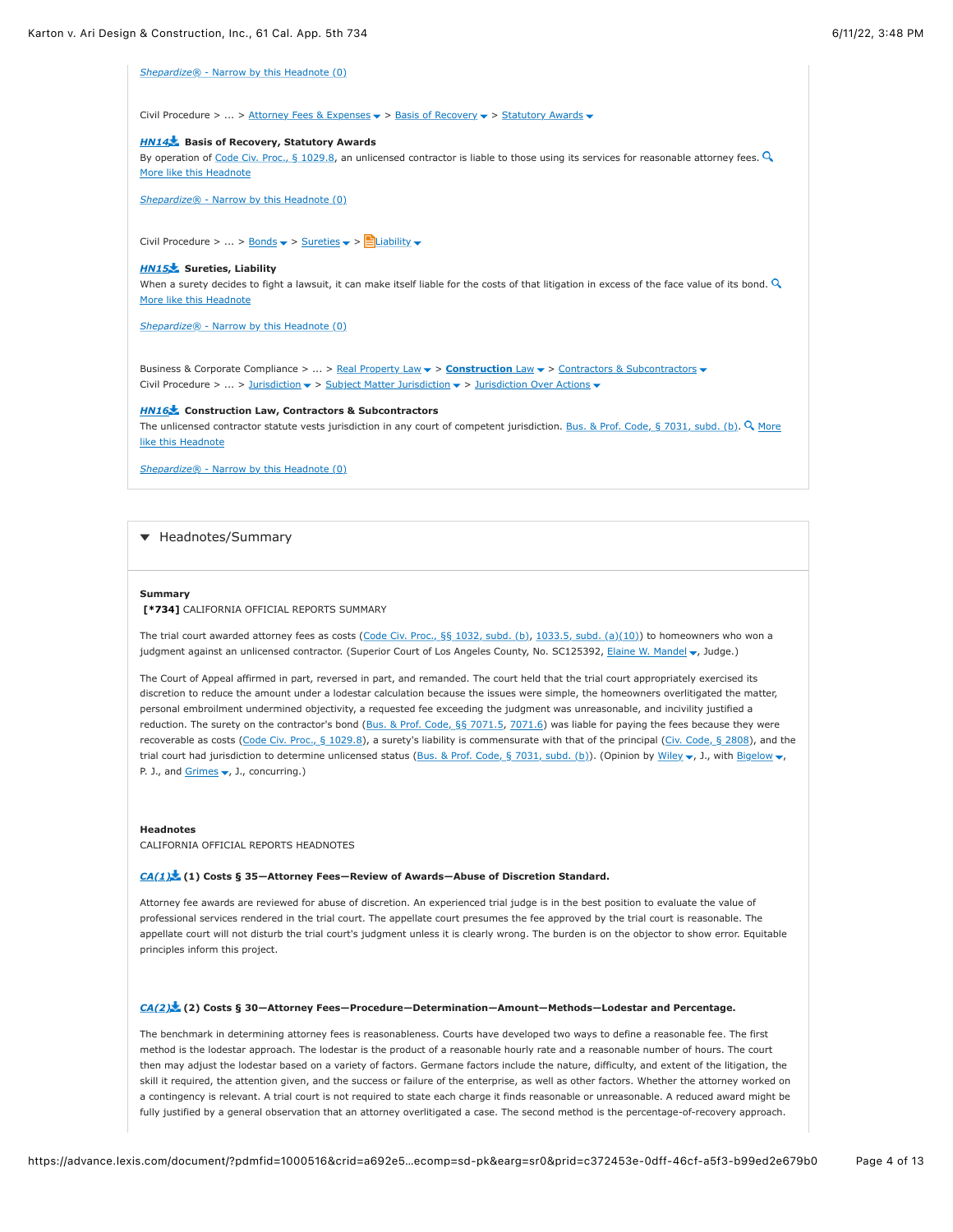*Shepardize®* [- Narrow by this Headnote \(0\)](https://advance.lexis.com/document/?pdmfid=1000516&crid=a692e5a3-50fc-4810-8db6-3293c05744d3&pddocfullpath=%2Fshared%2Fdocument%2Fcases%2Furn%3AcontentItem%3A625N-WKS1-FJDY-X3CW-00000-00&pdcontentcomponentid=4860&pdshepid=urn%3AcontentItem%3A6250-Y9G3-GXF7-3401-00000-00&pdteaserkey=sr0&pditab=allpods&ecomp=sd-pk&earg=sr0&prid=c372453e-0dff-46cf-a5f3-b99ed2e679b0#)

Civil Procedure > ... > [Attorney Fees & Expenses](https://advance.lexis.com/document/?pdmfid=1000516&crid=a692e5a3-50fc-4810-8db6-3293c05744d3&pddocfullpath=%2Fshared%2Fdocument%2Fcases%2Furn%3AcontentItem%3A625N-WKS1-FJDY-X3CW-00000-00&pdcontentcomponentid=4860&pdshepid=urn%3AcontentItem%3A6250-Y9G3-GXF7-3401-00000-00&pdteaserkey=sr0&pditab=allpods&ecomp=sd-pk&earg=sr0&prid=c372453e-0dff-46cf-a5f3-b99ed2e679b0#)  $\blacktriangleright$  > [Basis of Recovery](https://advance.lexis.com/document/?pdmfid=1000516&crid=a692e5a3-50fc-4810-8db6-3293c05744d3&pddocfullpath=%2Fshared%2Fdocument%2Fcases%2Furn%3AcontentItem%3A625N-WKS1-FJDY-X3CW-00000-00&pdcontentcomponentid=4860&pdshepid=urn%3AcontentItem%3A6250-Y9G3-GXF7-3401-00000-00&pdteaserkey=sr0&pditab=allpods&ecomp=sd-pk&earg=sr0&prid=c372453e-0dff-46cf-a5f3-b99ed2e679b0#)  $\blacktriangleright$  > [Statutory Awards](https://advance.lexis.com/document/?pdmfid=1000516&crid=a692e5a3-50fc-4810-8db6-3293c05744d3&pddocfullpath=%2Fshared%2Fdocument%2Fcases%2Furn%3AcontentItem%3A625N-WKS1-FJDY-X3CW-00000-00&pdcontentcomponentid=4860&pdshepid=urn%3AcontentItem%3A6250-Y9G3-GXF7-3401-00000-00&pdteaserkey=sr0&pditab=allpods&ecomp=sd-pk&earg=sr0&prid=c372453e-0dff-46cf-a5f3-b99ed2e679b0#)  $\blacktriangleright$ 

### *[HN14](https://advance.lexis.com/document/?pdmfid=1000516&crid=a692e5a3-50fc-4810-8db6-3293c05744d3&pddocfullpath=%2Fshared%2Fdocument%2Fcases%2Furn%3AcontentItem%3A625N-WKS1-FJDY-X3CW-00000-00&pdcontentcomponentid=4860&pdshepid=urn%3AcontentItem%3A6250-Y9G3-GXF7-3401-00000-00&pdteaserkey=sr0&pditab=allpods&ecomp=sd-pk&earg=sr0&prid=c372453e-0dff-46cf-a5f3-b99ed2e679b0#)* **Basis of Recovery, Statutory Awards**

[By operation of Code Civ. Proc., § 1029.8, an unlicensed contractor is liable to those using its services for reasonable attorney fees.](https://advance.lexis.com/document/?pdmfid=1000516&crid=a692e5a3-50fc-4810-8db6-3293c05744d3&pddocfullpath=%2Fshared%2Fdocument%2Fcases%2Furn%3AcontentItem%3A625N-WKS1-FJDY-X3CW-00000-00&pdcontentcomponentid=4860&pdshepid=urn%3AcontentItem%3A6250-Y9G3-GXF7-3401-00000-00&pdteaserkey=sr0&pditab=allpods&ecomp=sd-pk&earg=sr0&prid=c372453e-0dff-46cf-a5f3-b99ed2e679b0#)  $Q$ More like this Headnote

*Shepardize®* [- Narrow by this Headnote \(0\)](https://advance.lexis.com/document/?pdmfid=1000516&crid=a692e5a3-50fc-4810-8db6-3293c05744d3&pddocfullpath=%2Fshared%2Fdocument%2Fcases%2Furn%3AcontentItem%3A625N-WKS1-FJDY-X3CW-00000-00&pdcontentcomponentid=4860&pdshepid=urn%3AcontentItem%3A6250-Y9G3-GXF7-3401-00000-00&pdteaserkey=sr0&pditab=allpods&ecomp=sd-pk&earg=sr0&prid=c372453e-0dff-46cf-a5f3-b99ed2e679b0#)

Civil Procedure > ... > <u>Bonds</u>  $\blacktriangledown$  > [Sureties](https://advance.lexis.com/document/?pdmfid=1000516&crid=a692e5a3-50fc-4810-8db6-3293c05744d3&pddocfullpath=%2Fshared%2Fdocument%2Fcases%2Furn%3AcontentItem%3A625N-WKS1-FJDY-X3CW-00000-00&pdcontentcomponentid=4860&pdshepid=urn%3AcontentItem%3A6250-Y9G3-GXF7-3401-00000-00&pdteaserkey=sr0&pditab=allpods&ecomp=sd-pk&earg=sr0&prid=c372453e-0dff-46cf-a5f3-b99ed2e679b0#)  $\blacktriangledown$  >  $\blacksquare$  [Liability](https://advance.lexis.com/document/?pdmfid=1000516&crid=a692e5a3-50fc-4810-8db6-3293c05744d3&pddocfullpath=%2Fshared%2Fdocument%2Fcases%2Furn%3AcontentItem%3A625N-WKS1-FJDY-X3CW-00000-00&pdcontentcomponentid=4860&pdshepid=urn%3AcontentItem%3A6250-Y9G3-GXF7-3401-00000-00&pdteaserkey=sr0&pditab=allpods&ecomp=sd-pk&earg=sr0&prid=c372453e-0dff-46cf-a5f3-b99ed2e679b0#)  $\blacktriangledown$ 

### *[HN15](https://advance.lexis.com/document/?pdmfid=1000516&crid=a692e5a3-50fc-4810-8db6-3293c05744d3&pddocfullpath=%2Fshared%2Fdocument%2Fcases%2Furn%3AcontentItem%3A625N-WKS1-FJDY-X3CW-00000-00&pdcontentcomponentid=4860&pdshepid=urn%3AcontentItem%3A6250-Y9G3-GXF7-3401-00000-00&pdteaserkey=sr0&pditab=allpods&ecomp=sd-pk&earg=sr0&prid=c372453e-0dff-46cf-a5f3-b99ed2e679b0#)* **Sureties, Liability**

[When a surety decides to fight a lawsuit, it can make itself liable for the costs of that litigation in excess of the face value of its bond.](https://advance.lexis.com/document/?pdmfid=1000516&crid=a692e5a3-50fc-4810-8db6-3293c05744d3&pddocfullpath=%2Fshared%2Fdocument%2Fcases%2Furn%3AcontentItem%3A625N-WKS1-FJDY-X3CW-00000-00&pdcontentcomponentid=4860&pdshepid=urn%3AcontentItem%3A6250-Y9G3-GXF7-3401-00000-00&pdteaserkey=sr0&pditab=allpods&ecomp=sd-pk&earg=sr0&prid=c372453e-0dff-46cf-a5f3-b99ed2e679b0#)  $Q$ More like this Headnote

*Shepardize®* [- Narrow by this Headnote \(0\)](https://advance.lexis.com/document/?pdmfid=1000516&crid=a692e5a3-50fc-4810-8db6-3293c05744d3&pddocfullpath=%2Fshared%2Fdocument%2Fcases%2Furn%3AcontentItem%3A625N-WKS1-FJDY-X3CW-00000-00&pdcontentcomponentid=4860&pdshepid=urn%3AcontentItem%3A6250-Y9G3-GXF7-3401-00000-00&pdteaserkey=sr0&pditab=allpods&ecomp=sd-pk&earg=sr0&prid=c372453e-0dff-46cf-a5f3-b99ed2e679b0#)

Business & Corporate Compliance > ... > [Real Property Law](https://advance.lexis.com/document/?pdmfid=1000516&crid=a692e5a3-50fc-4810-8db6-3293c05744d3&pddocfullpath=%2Fshared%2Fdocument%2Fcases%2Furn%3AcontentItem%3A625N-WKS1-FJDY-X3CW-00000-00&pdcontentcomponentid=4860&pdshepid=urn%3AcontentItem%3A6250-Y9G3-GXF7-3401-00000-00&pdteaserkey=sr0&pditab=allpods&ecomp=sd-pk&earg=sr0&prid=c372453e-0dff-46cf-a5f3-b99ed2e679b0#) > **[Construction](https://advance.lexis.com/document/?pdmfid=1000516&crid=a692e5a3-50fc-4810-8db6-3293c05744d3&pddocfullpath=%2Fshared%2Fdocument%2Fcases%2Furn%3AcontentItem%3A625N-WKS1-FJDY-X3CW-00000-00&pdcontentcomponentid=4860&pdshepid=urn%3AcontentItem%3A6250-Y9G3-GXF7-3401-00000-00&pdteaserkey=sr0&pditab=allpods&ecomp=sd-pk&earg=sr0&prid=c372453e-0dff-46cf-a5f3-b99ed2e679b0#)** Law > [Contractors & Subcontractors](https://advance.lexis.com/document/?pdmfid=1000516&crid=a692e5a3-50fc-4810-8db6-3293c05744d3&pddocfullpath=%2Fshared%2Fdocument%2Fcases%2Furn%3AcontentItem%3A625N-WKS1-FJDY-X3CW-00000-00&pdcontentcomponentid=4860&pdshepid=urn%3AcontentItem%3A6250-Y9G3-GXF7-3401-00000-00&pdteaserkey=sr0&pditab=allpods&ecomp=sd-pk&earg=sr0&prid=c372453e-0dff-46cf-a5f3-b99ed2e679b0#) Civil Procedure > ... > [Jurisdiction](https://advance.lexis.com/document/?pdmfid=1000516&crid=a692e5a3-50fc-4810-8db6-3293c05744d3&pddocfullpath=%2Fshared%2Fdocument%2Fcases%2Furn%3AcontentItem%3A625N-WKS1-FJDY-X3CW-00000-00&pdcontentcomponentid=4860&pdshepid=urn%3AcontentItem%3A6250-Y9G3-GXF7-3401-00000-00&pdteaserkey=sr0&pditab=allpods&ecomp=sd-pk&earg=sr0&prid=c372453e-0dff-46cf-a5f3-b99ed2e679b0#)  $\blacktriangledown$  > [Subject Matter Jurisdiction](https://advance.lexis.com/document/?pdmfid=1000516&crid=a692e5a3-50fc-4810-8db6-3293c05744d3&pddocfullpath=%2Fshared%2Fdocument%2Fcases%2Furn%3AcontentItem%3A625N-WKS1-FJDY-X3CW-00000-00&pdcontentcomponentid=4860&pdshepid=urn%3AcontentItem%3A6250-Y9G3-GXF7-3401-00000-00&pdteaserkey=sr0&pditab=allpods&ecomp=sd-pk&earg=sr0&prid=c372453e-0dff-46cf-a5f3-b99ed2e679b0#)  $\blacktriangledown$  > [Jurisdiction Over Actions](https://advance.lexis.com/document/?pdmfid=1000516&crid=a692e5a3-50fc-4810-8db6-3293c05744d3&pddocfullpath=%2Fshared%2Fdocument%2Fcases%2Furn%3AcontentItem%3A625N-WKS1-FJDY-X3CW-00000-00&pdcontentcomponentid=4860&pdshepid=urn%3AcontentItem%3A6250-Y9G3-GXF7-3401-00000-00&pdteaserkey=sr0&pditab=allpods&ecomp=sd-pk&earg=sr0&prid=c372453e-0dff-46cf-a5f3-b99ed2e679b0#)  $\blacktriangledown$ 

### *[HN16](https://advance.lexis.com/document/?pdmfid=1000516&crid=a692e5a3-50fc-4810-8db6-3293c05744d3&pddocfullpath=%2Fshared%2Fdocument%2Fcases%2Furn%3AcontentItem%3A625N-WKS1-FJDY-X3CW-00000-00&pdcontentcomponentid=4860&pdshepid=urn%3AcontentItem%3A6250-Y9G3-GXF7-3401-00000-00&pdteaserkey=sr0&pditab=allpods&ecomp=sd-pk&earg=sr0&prid=c372453e-0dff-46cf-a5f3-b99ed2e679b0#)* **Construction Law, Contractors & Subcontractors**

The unlicensed contractor statute vests jurisdiction in any court of competent jurisdiction. Bus. & Prof. Code, § 7031, subd. (b). Q More like this Headnote

*Shepardize®* [- Narrow by this Headnote \(0\)](https://advance.lexis.com/document/?pdmfid=1000516&crid=a692e5a3-50fc-4810-8db6-3293c05744d3&pddocfullpath=%2Fshared%2Fdocument%2Fcases%2Furn%3AcontentItem%3A625N-WKS1-FJDY-X3CW-00000-00&pdcontentcomponentid=4860&pdshepid=urn%3AcontentItem%3A6250-Y9G3-GXF7-3401-00000-00&pdteaserkey=sr0&pditab=allpods&ecomp=sd-pk&earg=sr0&prid=c372453e-0dff-46cf-a5f3-b99ed2e679b0#)

# **+** Headnotes/Summary

#### **Summary**

## **[\[\\*734\]](https://advance.lexis.com/document/?pdmfid=1000516&crid=a692e5a3-50fc-4810-8db6-3293c05744d3&pddocfullpath=%2Fshared%2Fdocument%2Fcases%2Furn%3AcontentItem%3A625N-WKS1-FJDY-X3CW-00000-00&pdcontentcomponentid=4860&pdshepid=urn%3AcontentItem%3A6250-Y9G3-GXF7-3401-00000-00&pdteaserkey=sr0&pditab=allpods&ecomp=sd-pk&earg=sr0&prid=c372453e-0dff-46cf-a5f3-b99ed2e679b0#)** CALIFORNIA OFFICIAL REPORTS SUMMARY

The trial court awarded attorney fees as costs ([Code Civ. Proc., §§ 1032, subd. \(b\)](https://advance.lexis.com/document/?pdmfid=1000516&crid=a692e5a3-50fc-4810-8db6-3293c05744d3&pddocfullpath=%2Fshared%2Fdocument%2Fcases%2Furn%3AcontentItem%3A625N-WKS1-FJDY-X3CW-00000-00&pdcontentcomponentid=4860&pdshepid=urn%3AcontentItem%3A6250-Y9G3-GXF7-3401-00000-00&pdteaserkey=sr0&pditab=allpods&ecomp=sd-pk&earg=sr0&prid=c372453e-0dff-46cf-a5f3-b99ed2e679b0#), [1033.5, subd. \(a\)\(10\)\)](https://advance.lexis.com/document/?pdmfid=1000516&crid=a692e5a3-50fc-4810-8db6-3293c05744d3&pddocfullpath=%2Fshared%2Fdocument%2Fcases%2Furn%3AcontentItem%3A625N-WKS1-FJDY-X3CW-00000-00&pdcontentcomponentid=4860&pdshepid=urn%3AcontentItem%3A6250-Y9G3-GXF7-3401-00000-00&pdteaserkey=sr0&pditab=allpods&ecomp=sd-pk&earg=sr0&prid=c372453e-0dff-46cf-a5f3-b99ed2e679b0#) to homeowners who won a judgment against an unlicensed contractor. (Superior Court of Los Angeles County, No. SC125392, [Elaine W. Mandel](https://advance.lexis.com/document/?pdmfid=1000516&crid=a692e5a3-50fc-4810-8db6-3293c05744d3&pddocfullpath=%2Fshared%2Fdocument%2Fcases%2Furn%3AcontentItem%3A625N-WKS1-FJDY-X3CW-00000-00&pdcontentcomponentid=4860&pdshepid=urn%3AcontentItem%3A6250-Y9G3-GXF7-3401-00000-00&pdteaserkey=sr0&pditab=allpods&ecomp=sd-pk&earg=sr0&prid=c372453e-0dff-46cf-a5f3-b99ed2e679b0#) , Judge.)

The Court of Appeal affirmed in part, reversed in part, and remanded. The court held that the trial court appropriately exercised its discretion to reduce the amount under a lodestar calculation because the issues were simple, the homeowners overlitigated the matter, personal embroilment undermined objectivity, a requested fee exceeding the judgment was unreasonable, and incivility justified a reduction. The surety on the contractor's bond [\(Bus. & Prof. Code, §§ 7071.5,](https://advance.lexis.com/document/?pdmfid=1000516&crid=a692e5a3-50fc-4810-8db6-3293c05744d3&pddocfullpath=%2Fshared%2Fdocument%2Fcases%2Furn%3AcontentItem%3A625N-WKS1-FJDY-X3CW-00000-00&pdcontentcomponentid=4860&pdshepid=urn%3AcontentItem%3A6250-Y9G3-GXF7-3401-00000-00&pdteaserkey=sr0&pditab=allpods&ecomp=sd-pk&earg=sr0&prid=c372453e-0dff-46cf-a5f3-b99ed2e679b0#) [7071.6](https://advance.lexis.com/document/?pdmfid=1000516&crid=a692e5a3-50fc-4810-8db6-3293c05744d3&pddocfullpath=%2Fshared%2Fdocument%2Fcases%2Furn%3AcontentItem%3A625N-WKS1-FJDY-X3CW-00000-00&pdcontentcomponentid=4860&pdshepid=urn%3AcontentItem%3A6250-Y9G3-GXF7-3401-00000-00&pdteaserkey=sr0&pditab=allpods&ecomp=sd-pk&earg=sr0&prid=c372453e-0dff-46cf-a5f3-b99ed2e679b0#)) was liable for paying the fees because they were recoverable as costs [\(Code Civ. Proc., § 1029.8\)](https://advance.lexis.com/document/?pdmfid=1000516&crid=a692e5a3-50fc-4810-8db6-3293c05744d3&pddocfullpath=%2Fshared%2Fdocument%2Fcases%2Furn%3AcontentItem%3A625N-WKS1-FJDY-X3CW-00000-00&pdcontentcomponentid=4860&pdshepid=urn%3AcontentItem%3A6250-Y9G3-GXF7-3401-00000-00&pdteaserkey=sr0&pditab=allpods&ecomp=sd-pk&earg=sr0&prid=c372453e-0dff-46cf-a5f3-b99ed2e679b0#), a surety's liability is commensurate with that of the principal ([Civ. Code, § 2808](https://advance.lexis.com/document/?pdmfid=1000516&crid=a692e5a3-50fc-4810-8db6-3293c05744d3&pddocfullpath=%2Fshared%2Fdocument%2Fcases%2Furn%3AcontentItem%3A625N-WKS1-FJDY-X3CW-00000-00&pdcontentcomponentid=4860&pdshepid=urn%3AcontentItem%3A6250-Y9G3-GXF7-3401-00000-00&pdteaserkey=sr0&pditab=allpods&ecomp=sd-pk&earg=sr0&prid=c372453e-0dff-46cf-a5f3-b99ed2e679b0#)), and the trial court had jurisdiction to determine unlicensed status [\(Bus. & Prof. Code, § 7031, subd. \(b\)\)](https://advance.lexis.com/document/?pdmfid=1000516&crid=a692e5a3-50fc-4810-8db6-3293c05744d3&pddocfullpath=%2Fshared%2Fdocument%2Fcases%2Furn%3AcontentItem%3A625N-WKS1-FJDY-X3CW-00000-00&pdcontentcomponentid=4860&pdshepid=urn%3AcontentItem%3A6250-Y9G3-GXF7-3401-00000-00&pdteaserkey=sr0&pditab=allpods&ecomp=sd-pk&earg=sr0&prid=c372453e-0dff-46cf-a5f3-b99ed2e679b0#). (Opinion by [Wiley](https://advance.lexis.com/document/?pdmfid=1000516&crid=a692e5a3-50fc-4810-8db6-3293c05744d3&pddocfullpath=%2Fshared%2Fdocument%2Fcases%2Furn%3AcontentItem%3A625N-WKS1-FJDY-X3CW-00000-00&pdcontentcomponentid=4860&pdshepid=urn%3AcontentItem%3A6250-Y9G3-GXF7-3401-00000-00&pdteaserkey=sr0&pditab=allpods&ecomp=sd-pk&earg=sr0&prid=c372453e-0dff-46cf-a5f3-b99ed2e679b0#)  $\bullet$ , J., with [Bigelow](https://advance.lexis.com/document/?pdmfid=1000516&crid=a692e5a3-50fc-4810-8db6-3293c05744d3&pddocfullpath=%2Fshared%2Fdocument%2Fcases%2Furn%3AcontentItem%3A625N-WKS1-FJDY-X3CW-00000-00&pdcontentcomponentid=4860&pdshepid=urn%3AcontentItem%3A6250-Y9G3-GXF7-3401-00000-00&pdteaserkey=sr0&pditab=allpods&ecomp=sd-pk&earg=sr0&prid=c372453e-0dff-46cf-a5f3-b99ed2e679b0#)  $\bullet$ , P. J., and  $Grimes \blacktriangleright$ , J., concurring.)

#### **Headnotes**

CALIFORNIA OFFICIAL REPORTS HEADNOTES

### *[CA\(1\)](https://advance.lexis.com/document/?pdmfid=1000516&crid=a692e5a3-50fc-4810-8db6-3293c05744d3&pddocfullpath=%2Fshared%2Fdocument%2Fcases%2Furn%3AcontentItem%3A625N-WKS1-FJDY-X3CW-00000-00&pdcontentcomponentid=4860&pdshepid=urn%3AcontentItem%3A6250-Y9G3-GXF7-3401-00000-00&pdteaserkey=sr0&pditab=allpods&ecomp=sd-pk&earg=sr0&prid=c372453e-0dff-46cf-a5f3-b99ed2e679b0#)* **(1) Costs § 35—Attorney Fees—Review of Awards—Abuse of Discretion Standard.**

Attorney fee awards are reviewed for abuse of discretion. An experienced trial judge is in the best position to evaluate the value of professional services rendered in the trial court. The appellate court presumes the fee approved by the trial court is reasonable. The appellate court will not disturb the trial court's judgment unless it is clearly wrong. The burden is on the objector to show error. Equitable principles inform this project.

# *[CA\(2\)](https://advance.lexis.com/document/?pdmfid=1000516&crid=a692e5a3-50fc-4810-8db6-3293c05744d3&pddocfullpath=%2Fshared%2Fdocument%2Fcases%2Furn%3AcontentItem%3A625N-WKS1-FJDY-X3CW-00000-00&pdcontentcomponentid=4860&pdshepid=urn%3AcontentItem%3A6250-Y9G3-GXF7-3401-00000-00&pdteaserkey=sr0&pditab=allpods&ecomp=sd-pk&earg=sr0&prid=c372453e-0dff-46cf-a5f3-b99ed2e679b0#)* **(2) Costs § 30—Attorney Fees—Procedure—Determination—Amount—Methods—Lodestar and Percentage.**

The benchmark in determining attorney fees is reasonableness. Courts have developed two ways to define a reasonable fee. The first method is the lodestar approach. The lodestar is the product of a reasonable hourly rate and a reasonable number of hours. The court then may adjust the lodestar based on a variety of factors. Germane factors include the nature, difficulty, and extent of the litigation, the skill it required, the attention given, and the success or failure of the enterprise, as well as other factors. Whether the attorney worked on a contingency is relevant. A trial court is not required to state each charge it finds reasonable or unreasonable. A reduced award might be fully justified by a general observation that an attorney overlitigated a case. The second method is the percentage-of-recovery approach.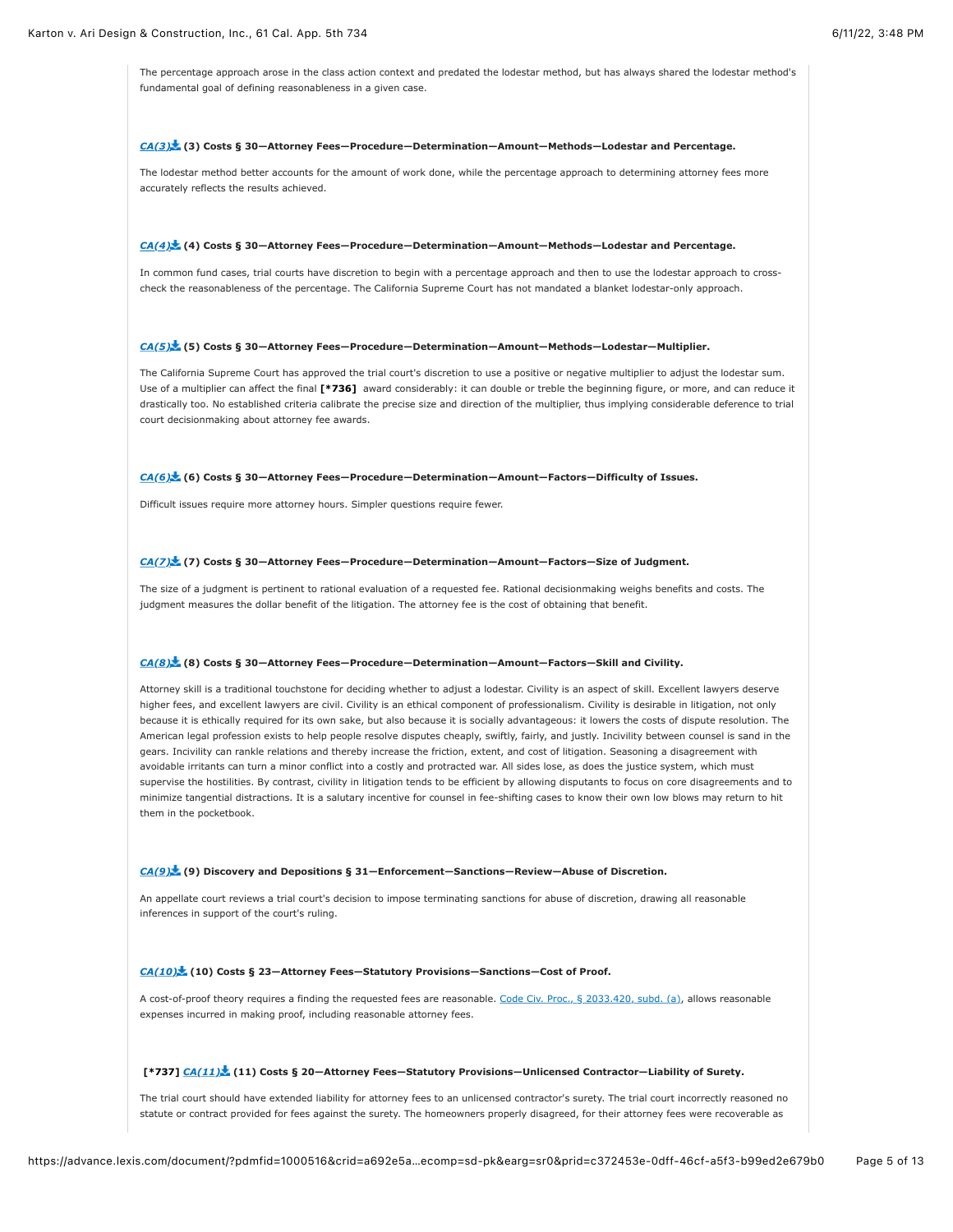The percentage approach arose in the class action context and predated the lodestar method, but has always shared the lodestar method's fundamental goal of defining reasonableness in a given case.

#### *[CA\(3\)](https://advance.lexis.com/document/?pdmfid=1000516&crid=a692e5a3-50fc-4810-8db6-3293c05744d3&pddocfullpath=%2Fshared%2Fdocument%2Fcases%2Furn%3AcontentItem%3A625N-WKS1-FJDY-X3CW-00000-00&pdcontentcomponentid=4860&pdshepid=urn%3AcontentItem%3A6250-Y9G3-GXF7-3401-00000-00&pdteaserkey=sr0&pditab=allpods&ecomp=sd-pk&earg=sr0&prid=c372453e-0dff-46cf-a5f3-b99ed2e679b0#)* **(3) Costs § 30—Attorney Fees—Procedure—Determination—Amount—Methods—Lodestar and Percentage.**

The lodestar method better accounts for the amount of work done, while the percentage approach to determining attorney fees more accurately reflects the results achieved.

#### *[CA\(4\)](https://advance.lexis.com/document/?pdmfid=1000516&crid=a692e5a3-50fc-4810-8db6-3293c05744d3&pddocfullpath=%2Fshared%2Fdocument%2Fcases%2Furn%3AcontentItem%3A625N-WKS1-FJDY-X3CW-00000-00&pdcontentcomponentid=4860&pdshepid=urn%3AcontentItem%3A6250-Y9G3-GXF7-3401-00000-00&pdteaserkey=sr0&pditab=allpods&ecomp=sd-pk&earg=sr0&prid=c372453e-0dff-46cf-a5f3-b99ed2e679b0#)* **(4) Costs § 30—Attorney Fees—Procedure—Determination—Amount—Methods—Lodestar and Percentage.**

In common fund cases, trial courts have discretion to begin with a percentage approach and then to use the lodestar approach to crosscheck the reasonableness of the percentage. The California Supreme Court has not mandated a blanket lodestar-only approach.

#### *[CA\(5\)](https://advance.lexis.com/document/?pdmfid=1000516&crid=a692e5a3-50fc-4810-8db6-3293c05744d3&pddocfullpath=%2Fshared%2Fdocument%2Fcases%2Furn%3AcontentItem%3A625N-WKS1-FJDY-X3CW-00000-00&pdcontentcomponentid=4860&pdshepid=urn%3AcontentItem%3A6250-Y9G3-GXF7-3401-00000-00&pdteaserkey=sr0&pditab=allpods&ecomp=sd-pk&earg=sr0&prid=c372453e-0dff-46cf-a5f3-b99ed2e679b0#)* **(5) Costs § 30—Attorney Fees—Procedure—Determination—Amount—Methods—Lodestar—Multiplier.**

The California Supreme Court has approved the trial court's discretion to use a positive or negative multiplier to adjust the lodestar sum. Use of a multiplier can affect the final **[\[\\*736\]](https://advance.lexis.com/document/?pdmfid=1000516&crid=a692e5a3-50fc-4810-8db6-3293c05744d3&pddocfullpath=%2Fshared%2Fdocument%2Fcases%2Furn%3AcontentItem%3A625N-WKS1-FJDY-X3CW-00000-00&pdcontentcomponentid=4860&pdshepid=urn%3AcontentItem%3A6250-Y9G3-GXF7-3401-00000-00&pdteaserkey=sr0&pditab=allpods&ecomp=sd-pk&earg=sr0&prid=c372453e-0dff-46cf-a5f3-b99ed2e679b0#)** award considerably: it can double or treble the beginning figure, or more, and can reduce it drastically too. No established criteria calibrate the precise size and direction of the multiplier, thus implying considerable deference to trial court decisionmaking about attorney fee awards.

# *[CA\(6\)](https://advance.lexis.com/document/?pdmfid=1000516&crid=a692e5a3-50fc-4810-8db6-3293c05744d3&pddocfullpath=%2Fshared%2Fdocument%2Fcases%2Furn%3AcontentItem%3A625N-WKS1-FJDY-X3CW-00000-00&pdcontentcomponentid=4860&pdshepid=urn%3AcontentItem%3A6250-Y9G3-GXF7-3401-00000-00&pdteaserkey=sr0&pditab=allpods&ecomp=sd-pk&earg=sr0&prid=c372453e-0dff-46cf-a5f3-b99ed2e679b0#)* **(6) Costs § 30—Attorney Fees—Procedure—Determination—Amount—Factors—Difficulty of Issues.**

Difficult issues require more attorney hours. Simpler questions require fewer.

# *[CA\(7\)](https://advance.lexis.com/document/?pdmfid=1000516&crid=a692e5a3-50fc-4810-8db6-3293c05744d3&pddocfullpath=%2Fshared%2Fdocument%2Fcases%2Furn%3AcontentItem%3A625N-WKS1-FJDY-X3CW-00000-00&pdcontentcomponentid=4860&pdshepid=urn%3AcontentItem%3A6250-Y9G3-GXF7-3401-00000-00&pdteaserkey=sr0&pditab=allpods&ecomp=sd-pk&earg=sr0&prid=c372453e-0dff-46cf-a5f3-b99ed2e679b0#)* **(7) Costs § 30—Attorney Fees—Procedure—Determination—Amount—Factors—Size of Judgment.**

The size of a judgment is pertinent to rational evaluation of a requested fee. Rational decisionmaking weighs benefits and costs. The judgment measures the dollar benefit of the litigation. The attorney fee is the cost of obtaining that benefit.

#### *[CA\(8\)](https://advance.lexis.com/document/?pdmfid=1000516&crid=a692e5a3-50fc-4810-8db6-3293c05744d3&pddocfullpath=%2Fshared%2Fdocument%2Fcases%2Furn%3AcontentItem%3A625N-WKS1-FJDY-X3CW-00000-00&pdcontentcomponentid=4860&pdshepid=urn%3AcontentItem%3A6250-Y9G3-GXF7-3401-00000-00&pdteaserkey=sr0&pditab=allpods&ecomp=sd-pk&earg=sr0&prid=c372453e-0dff-46cf-a5f3-b99ed2e679b0#)* **(8) Costs § 30—Attorney Fees—Procedure—Determination—Amount—Factors—Skill and Civility.**

Attorney skill is a traditional touchstone for deciding whether to adjust a lodestar. Civility is an aspect of skill. Excellent lawyers deserve higher fees, and excellent lawyers are civil. Civility is an ethical component of professionalism. Civility is desirable in litigation, not only because it is ethically required for its own sake, but also because it is socially advantageous: it lowers the costs of dispute resolution. The American legal profession exists to help people resolve disputes cheaply, swiftly, fairly, and justly. Incivility between counsel is sand in the gears. Incivility can rankle relations and thereby increase the friction, extent, and cost of litigation. Seasoning a disagreement with avoidable irritants can turn a minor conflict into a costly and protracted war. All sides lose, as does the justice system, which must supervise the hostilities. By contrast, civility in litigation tends to be efficient by allowing disputants to focus on core disagreements and to minimize tangential distractions. It is a salutary incentive for counsel in fee-shifting cases to know their own low blows may return to hit them in the pocketbook.

### *[CA\(9\)](https://advance.lexis.com/document/?pdmfid=1000516&crid=a692e5a3-50fc-4810-8db6-3293c05744d3&pddocfullpath=%2Fshared%2Fdocument%2Fcases%2Furn%3AcontentItem%3A625N-WKS1-FJDY-X3CW-00000-00&pdcontentcomponentid=4860&pdshepid=urn%3AcontentItem%3A6250-Y9G3-GXF7-3401-00000-00&pdteaserkey=sr0&pditab=allpods&ecomp=sd-pk&earg=sr0&prid=c372453e-0dff-46cf-a5f3-b99ed2e679b0#)* **(9) Discovery and Depositions § 31—Enforcement—Sanctions—Review—Abuse of Discretion.**

An appellate court reviews a trial court's decision to impose terminating sanctions for abuse of discretion, drawing all reasonable inferences in support of the court's ruling.

# *[CA\(10\)](https://advance.lexis.com/document/?pdmfid=1000516&crid=a692e5a3-50fc-4810-8db6-3293c05744d3&pddocfullpath=%2Fshared%2Fdocument%2Fcases%2Furn%3AcontentItem%3A625N-WKS1-FJDY-X3CW-00000-00&pdcontentcomponentid=4860&pdshepid=urn%3AcontentItem%3A6250-Y9G3-GXF7-3401-00000-00&pdteaserkey=sr0&pditab=allpods&ecomp=sd-pk&earg=sr0&prid=c372453e-0dff-46cf-a5f3-b99ed2e679b0#)* **(10) Costs § 23—Attorney Fees—Statutory Provisions—Sanctions—Cost of Proof.**

A cost-of-proof theory requires a finding the requested fees are reasonable. [Code Civ. Proc., § 2033.420, subd. \(a\),](https://advance.lexis.com/document/?pdmfid=1000516&crid=a692e5a3-50fc-4810-8db6-3293c05744d3&pddocfullpath=%2Fshared%2Fdocument%2Fcases%2Furn%3AcontentItem%3A625N-WKS1-FJDY-X3CW-00000-00&pdcontentcomponentid=4860&pdshepid=urn%3AcontentItem%3A6250-Y9G3-GXF7-3401-00000-00&pdteaserkey=sr0&pditab=allpods&ecomp=sd-pk&earg=sr0&prid=c372453e-0dff-46cf-a5f3-b99ed2e679b0#) allows reasonable expenses incurred in making proof, including reasonable attorney fees.

### **[\[\\*737\]](https://advance.lexis.com/document/?pdmfid=1000516&crid=a692e5a3-50fc-4810-8db6-3293c05744d3&pddocfullpath=%2Fshared%2Fdocument%2Fcases%2Furn%3AcontentItem%3A625N-WKS1-FJDY-X3CW-00000-00&pdcontentcomponentid=4860&pdshepid=urn%3AcontentItem%3A6250-Y9G3-GXF7-3401-00000-00&pdteaserkey=sr0&pditab=allpods&ecomp=sd-pk&earg=sr0&prid=c372453e-0dff-46cf-a5f3-b99ed2e679b0#)** *[CA\(11\)](https://advance.lexis.com/document/?pdmfid=1000516&crid=a692e5a3-50fc-4810-8db6-3293c05744d3&pddocfullpath=%2Fshared%2Fdocument%2Fcases%2Furn%3AcontentItem%3A625N-WKS1-FJDY-X3CW-00000-00&pdcontentcomponentid=4860&pdshepid=urn%3AcontentItem%3A6250-Y9G3-GXF7-3401-00000-00&pdteaserkey=sr0&pditab=allpods&ecomp=sd-pk&earg=sr0&prid=c372453e-0dff-46cf-a5f3-b99ed2e679b0#)* **(11) Costs § 20—Attorney Fees—Statutory Provisions—Unlicensed Contractor—Liability of Surety.**

The trial court should have extended liability for attorney fees to an unlicensed contractor's surety. The trial court incorrectly reasoned no statute or contract provided for fees against the surety. The homeowners properly disagreed, for their attorney fees were recoverable as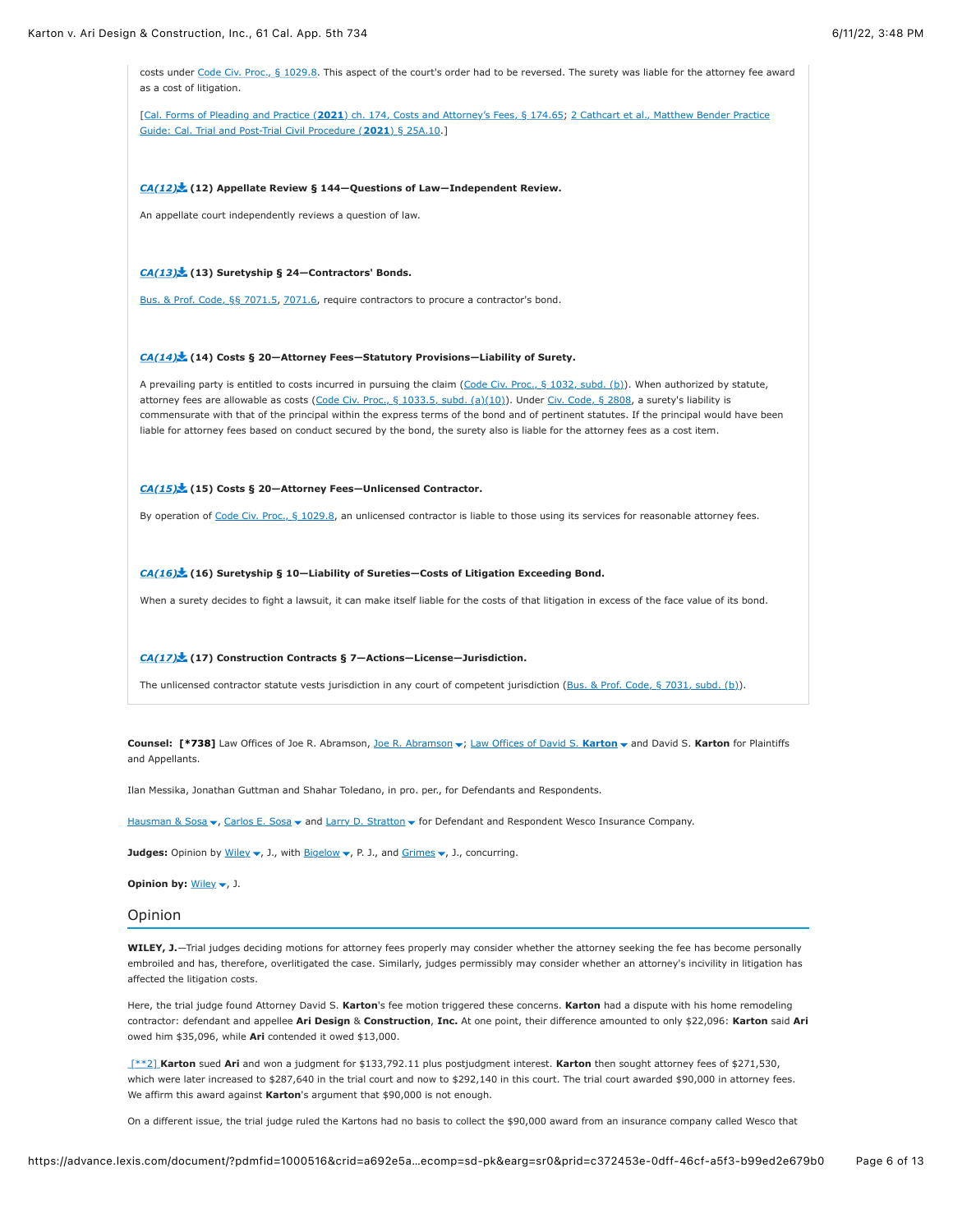costs under [Code Civ. Proc., § 1029.8.](https://advance.lexis.com/document/?pdmfid=1000516&crid=a692e5a3-50fc-4810-8db6-3293c05744d3&pddocfullpath=%2Fshared%2Fdocument%2Fcases%2Furn%3AcontentItem%3A625N-WKS1-FJDY-X3CW-00000-00&pdcontentcomponentid=4860&pdshepid=urn%3AcontentItem%3A6250-Y9G3-GXF7-3401-00000-00&pdteaserkey=sr0&pditab=allpods&ecomp=sd-pk&earg=sr0&prid=c372453e-0dff-46cf-a5f3-b99ed2e679b0#) This aspect of the court's order had to be reversed. The surety was liable for the attorney fee award as a cost of litigation.

[Cal. Forms of Pleading and Practice (**2021**[\) ch. 174, Costs and Attorney's Fees, § 174.65; 2 Cathcart et al., Matthew Bender Practice](https://advance.lexis.com/document/?pdmfid=1000516&crid=a692e5a3-50fc-4810-8db6-3293c05744d3&pddocfullpath=%2Fshared%2Fdocument%2Fcases%2Furn%3AcontentItem%3A625N-WKS1-FJDY-X3CW-00000-00&pdcontentcomponentid=4860&pdshepid=urn%3AcontentItem%3A6250-Y9G3-GXF7-3401-00000-00&pdteaserkey=sr0&pditab=allpods&ecomp=sd-pk&earg=sr0&prid=c372453e-0dff-46cf-a5f3-b99ed2e679b0#) Guide: Cal. Trial and Post-Trial Civil Procedure (**2021**) § 25A.10.]

### *[CA\(12\)](https://advance.lexis.com/document/?pdmfid=1000516&crid=a692e5a3-50fc-4810-8db6-3293c05744d3&pddocfullpath=%2Fshared%2Fdocument%2Fcases%2Furn%3AcontentItem%3A625N-WKS1-FJDY-X3CW-00000-00&pdcontentcomponentid=4860&pdshepid=urn%3AcontentItem%3A6250-Y9G3-GXF7-3401-00000-00&pdteaserkey=sr0&pditab=allpods&ecomp=sd-pk&earg=sr0&prid=c372453e-0dff-46cf-a5f3-b99ed2e679b0#)* **(12) Appellate Review § 144—Questions of Law—Independent Review.**

An appellate court independently reviews a question of law.

### *[CA\(13\)](https://advance.lexis.com/document/?pdmfid=1000516&crid=a692e5a3-50fc-4810-8db6-3293c05744d3&pddocfullpath=%2Fshared%2Fdocument%2Fcases%2Furn%3AcontentItem%3A625N-WKS1-FJDY-X3CW-00000-00&pdcontentcomponentid=4860&pdshepid=urn%3AcontentItem%3A6250-Y9G3-GXF7-3401-00000-00&pdteaserkey=sr0&pditab=allpods&ecomp=sd-pk&earg=sr0&prid=c372453e-0dff-46cf-a5f3-b99ed2e679b0#)* **(13) Suretyship § 24—Contractors' Bonds.**

[Bus. & Prof. Code, §§ 7071.5](https://advance.lexis.com/document/?pdmfid=1000516&crid=a692e5a3-50fc-4810-8db6-3293c05744d3&pddocfullpath=%2Fshared%2Fdocument%2Fcases%2Furn%3AcontentItem%3A625N-WKS1-FJDY-X3CW-00000-00&pdcontentcomponentid=4860&pdshepid=urn%3AcontentItem%3A6250-Y9G3-GXF7-3401-00000-00&pdteaserkey=sr0&pditab=allpods&ecomp=sd-pk&earg=sr0&prid=c372453e-0dff-46cf-a5f3-b99ed2e679b0#), [7071.6,](https://advance.lexis.com/document/?pdmfid=1000516&crid=a692e5a3-50fc-4810-8db6-3293c05744d3&pddocfullpath=%2Fshared%2Fdocument%2Fcases%2Furn%3AcontentItem%3A625N-WKS1-FJDY-X3CW-00000-00&pdcontentcomponentid=4860&pdshepid=urn%3AcontentItem%3A6250-Y9G3-GXF7-3401-00000-00&pdteaserkey=sr0&pditab=allpods&ecomp=sd-pk&earg=sr0&prid=c372453e-0dff-46cf-a5f3-b99ed2e679b0#) require contractors to procure a contractor's bond.

## *[CA\(14\)](https://advance.lexis.com/document/?pdmfid=1000516&crid=a692e5a3-50fc-4810-8db6-3293c05744d3&pddocfullpath=%2Fshared%2Fdocument%2Fcases%2Furn%3AcontentItem%3A625N-WKS1-FJDY-X3CW-00000-00&pdcontentcomponentid=4860&pdshepid=urn%3AcontentItem%3A6250-Y9G3-GXF7-3401-00000-00&pdteaserkey=sr0&pditab=allpods&ecomp=sd-pk&earg=sr0&prid=c372453e-0dff-46cf-a5f3-b99ed2e679b0#)* **(14) Costs § 20—Attorney Fees—Statutory Provisions—Liability of Surety.**

A prevailing party is entitled to costs incurred in pursuing the claim [\(Code Civ. Proc., § 1032, subd. \(b\)](https://advance.lexis.com/document/?pdmfid=1000516&crid=a692e5a3-50fc-4810-8db6-3293c05744d3&pddocfullpath=%2Fshared%2Fdocument%2Fcases%2Furn%3AcontentItem%3A625N-WKS1-FJDY-X3CW-00000-00&pdcontentcomponentid=4860&pdshepid=urn%3AcontentItem%3A6250-Y9G3-GXF7-3401-00000-00&pdteaserkey=sr0&pditab=allpods&ecomp=sd-pk&earg=sr0&prid=c372453e-0dff-46cf-a5f3-b99ed2e679b0#)). When authorized by statute, attorney fees are allowable as costs [\(Code Civ. Proc., § 1033.5, subd. \(a\)\(10\)\)](https://advance.lexis.com/document/?pdmfid=1000516&crid=a692e5a3-50fc-4810-8db6-3293c05744d3&pddocfullpath=%2Fshared%2Fdocument%2Fcases%2Furn%3AcontentItem%3A625N-WKS1-FJDY-X3CW-00000-00&pdcontentcomponentid=4860&pdshepid=urn%3AcontentItem%3A6250-Y9G3-GXF7-3401-00000-00&pdteaserkey=sr0&pditab=allpods&ecomp=sd-pk&earg=sr0&prid=c372453e-0dff-46cf-a5f3-b99ed2e679b0#). Under [Civ. Code, § 2808,](https://advance.lexis.com/document/?pdmfid=1000516&crid=a692e5a3-50fc-4810-8db6-3293c05744d3&pddocfullpath=%2Fshared%2Fdocument%2Fcases%2Furn%3AcontentItem%3A625N-WKS1-FJDY-X3CW-00000-00&pdcontentcomponentid=4860&pdshepid=urn%3AcontentItem%3A6250-Y9G3-GXF7-3401-00000-00&pdteaserkey=sr0&pditab=allpods&ecomp=sd-pk&earg=sr0&prid=c372453e-0dff-46cf-a5f3-b99ed2e679b0#) a surety's liability is commensurate with that of the principal within the express terms of the bond and of pertinent statutes. If the principal would have been liable for attorney fees based on conduct secured by the bond, the surety also is liable for the attorney fees as a cost item.

### *[CA\(15\)](https://advance.lexis.com/document/?pdmfid=1000516&crid=a692e5a3-50fc-4810-8db6-3293c05744d3&pddocfullpath=%2Fshared%2Fdocument%2Fcases%2Furn%3AcontentItem%3A625N-WKS1-FJDY-X3CW-00000-00&pdcontentcomponentid=4860&pdshepid=urn%3AcontentItem%3A6250-Y9G3-GXF7-3401-00000-00&pdteaserkey=sr0&pditab=allpods&ecomp=sd-pk&earg=sr0&prid=c372453e-0dff-46cf-a5f3-b99ed2e679b0#)* **(15) Costs § 20—Attorney Fees—Unlicensed Contractor.**

By operation of [Code Civ. Proc., § 1029.8,](https://advance.lexis.com/document/?pdmfid=1000516&crid=a692e5a3-50fc-4810-8db6-3293c05744d3&pddocfullpath=%2Fshared%2Fdocument%2Fcases%2Furn%3AcontentItem%3A625N-WKS1-FJDY-X3CW-00000-00&pdcontentcomponentid=4860&pdshepid=urn%3AcontentItem%3A6250-Y9G3-GXF7-3401-00000-00&pdteaserkey=sr0&pditab=allpods&ecomp=sd-pk&earg=sr0&prid=c372453e-0dff-46cf-a5f3-b99ed2e679b0#) an unlicensed contractor is liable to those using its services for reasonable attorney fees.

#### *[CA\(16\)](https://advance.lexis.com/document/?pdmfid=1000516&crid=a692e5a3-50fc-4810-8db6-3293c05744d3&pddocfullpath=%2Fshared%2Fdocument%2Fcases%2Furn%3AcontentItem%3A625N-WKS1-FJDY-X3CW-00000-00&pdcontentcomponentid=4860&pdshepid=urn%3AcontentItem%3A6250-Y9G3-GXF7-3401-00000-00&pdteaserkey=sr0&pditab=allpods&ecomp=sd-pk&earg=sr0&prid=c372453e-0dff-46cf-a5f3-b99ed2e679b0#)* **(16) Suretyship § 10—Liability of Sureties—Costs of Litigation Exceeding Bond.**

When a surety decides to fight a lawsuit, it can make itself liable for the costs of that litigation in excess of the face value of its bond.

## *[CA\(17\)](https://advance.lexis.com/document/?pdmfid=1000516&crid=a692e5a3-50fc-4810-8db6-3293c05744d3&pddocfullpath=%2Fshared%2Fdocument%2Fcases%2Furn%3AcontentItem%3A625N-WKS1-FJDY-X3CW-00000-00&pdcontentcomponentid=4860&pdshepid=urn%3AcontentItem%3A6250-Y9G3-GXF7-3401-00000-00&pdteaserkey=sr0&pditab=allpods&ecomp=sd-pk&earg=sr0&prid=c372453e-0dff-46cf-a5f3-b99ed2e679b0#)* **(17) Construction Contracts § 7—Actions—License—Jurisdiction.**

The unlicensed contractor statute vests jurisdiction in any court of competent jurisdiction [\(Bus. & Prof. Code, § 7031, subd. \(b\)\)](https://advance.lexis.com/document/?pdmfid=1000516&crid=a692e5a3-50fc-4810-8db6-3293c05744d3&pddocfullpath=%2Fshared%2Fdocument%2Fcases%2Furn%3AcontentItem%3A625N-WKS1-FJDY-X3CW-00000-00&pdcontentcomponentid=4860&pdshepid=urn%3AcontentItem%3A6250-Y9G3-GXF7-3401-00000-00&pdteaserkey=sr0&pditab=allpods&ecomp=sd-pk&earg=sr0&prid=c372453e-0dff-46cf-a5f3-b99ed2e679b0#).

# Counsel: [\[\\*738\]](https://advance.lexis.com/document/?pdmfid=1000516&crid=a692e5a3-50fc-4810-8db6-3293c05744d3&pddocfullpath=%2Fshared%2Fdocument%2Fcases%2Furn%3AcontentItem%3A625N-WKS1-FJDY-X3CW-00000-00&pdcontentcomponentid=4860&pdshepid=urn%3AcontentItem%3A6250-Y9G3-GXF7-3401-00000-00&pdteaserkey=sr0&pditab=allpods&ecomp=sd-pk&earg=sr0&prid=c372453e-0dff-46cf-a5f3-b99ed2e679b0#) Law Offices of [Joe R. Abramson](https://advance.lexis.com/document/?pdmfid=1000516&crid=a692e5a3-50fc-4810-8db6-3293c05744d3&pddocfullpath=%2Fshared%2Fdocument%2Fcases%2Furn%3AcontentItem%3A625N-WKS1-FJDY-X3CW-00000-00&pdcontentcomponentid=4860&pdshepid=urn%3AcontentItem%3A6250-Y9G3-GXF7-3401-00000-00&pdteaserkey=sr0&pditab=allpods&ecomp=sd-pk&earg=sr0&prid=c372453e-0dff-46cf-a5f3-b99ed2e679b0#), Joe R. Abramson v; [Law Offices of David S.](https://advance.lexis.com/document/?pdmfid=1000516&crid=a692e5a3-50fc-4810-8db6-3293c05744d3&pddocfullpath=%2Fshared%2Fdocument%2Fcases%2Furn%3AcontentItem%3A625N-WKS1-FJDY-X3CW-00000-00&pdcontentcomponentid=4860&pdshepid=urn%3AcontentItem%3A6250-Y9G3-GXF7-3401-00000-00&pdteaserkey=sr0&pditab=allpods&ecomp=sd-pk&earg=sr0&prid=c372453e-0dff-46cf-a5f3-b99ed2e679b0#) Karton v and David S. Karton for Plaintiffs and Appellants.

Ilan Messika, Jonathan Guttman and Shahar Toledano, in pro. per., for Defendants and Respondents.

man & Sosa v, [Carlos E. Sosa](https://advance.lexis.com/document/?pdmfid=1000516&crid=a692e5a3-50fc-4810-8db6-3293c05744d3&pddocfullpath=%2Fshared%2Fdocument%2Fcases%2Furn%3AcontentItem%3A625N-WKS1-FJDY-X3CW-00000-00&pdcontentcomponentid=4860&pdshepid=urn%3AcontentItem%3A6250-Y9G3-GXF7-3401-00000-00&pdteaserkey=sr0&pditab=allpods&ecomp=sd-pk&earg=sr0&prid=c372453e-0dff-46cf-a5f3-b99ed2e679b0#) v and [Larry D. Stratton](https://advance.lexis.com/document/?pdmfid=1000516&crid=a692e5a3-50fc-4810-8db6-3293c05744d3&pddocfullpath=%2Fshared%2Fdocument%2Fcases%2Furn%3AcontentItem%3A625N-WKS1-FJDY-X3CW-00000-00&pdcontentcomponentid=4860&pdshepid=urn%3AcontentItem%3A6250-Y9G3-GXF7-3401-00000-00&pdteaserkey=sr0&pditab=allpods&ecomp=sd-pk&earg=sr0&prid=c372453e-0dff-46cf-a5f3-b99ed2e679b0#) v for Defendant and Respondent Wesco Insurance Company.

Judges: Opinion by [Wiley](https://advance.lexis.com/document/?pdmfid=1000516&crid=a692e5a3-50fc-4810-8db6-3293c05744d3&pddocfullpath=%2Fshared%2Fdocument%2Fcases%2Furn%3AcontentItem%3A625N-WKS1-FJDY-X3CW-00000-00&pdcontentcomponentid=4860&pdshepid=urn%3AcontentItem%3A6250-Y9G3-GXF7-3401-00000-00&pdteaserkey=sr0&pditab=allpods&ecomp=sd-pk&earg=sr0&prid=c372453e-0dff-46cf-a5f3-b99ed2e679b0#) v, J., with [Bigelow](https://advance.lexis.com/document/?pdmfid=1000516&crid=a692e5a3-50fc-4810-8db6-3293c05744d3&pddocfullpath=%2Fshared%2Fdocument%2Fcases%2Furn%3AcontentItem%3A625N-WKS1-FJDY-X3CW-00000-00&pdcontentcomponentid=4860&pdshepid=urn%3AcontentItem%3A6250-Y9G3-GXF7-3401-00000-00&pdteaserkey=sr0&pditab=allpods&ecomp=sd-pk&earg=sr0&prid=c372453e-0dff-46cf-a5f3-b99ed2e679b0#) v, P. J., and [Grimes](https://advance.lexis.com/document/?pdmfid=1000516&crid=a692e5a3-50fc-4810-8db6-3293c05744d3&pddocfullpath=%2Fshared%2Fdocument%2Fcases%2Furn%3AcontentItem%3A625N-WKS1-FJDY-X3CW-00000-00&pdcontentcomponentid=4860&pdshepid=urn%3AcontentItem%3A6250-Y9G3-GXF7-3401-00000-00&pdteaserkey=sr0&pditab=allpods&ecomp=sd-pk&earg=sr0&prid=c372453e-0dff-46cf-a5f3-b99ed2e679b0#) v, J., concurring.

**Opinion by:** [Wiley](https://advance.lexis.com/document/?pdmfid=1000516&crid=a692e5a3-50fc-4810-8db6-3293c05744d3&pddocfullpath=%2Fshared%2Fdocument%2Fcases%2Furn%3AcontentItem%3A625N-WKS1-FJDY-X3CW-00000-00&pdcontentcomponentid=4860&pdshepid=urn%3AcontentItem%3A6250-Y9G3-GXF7-3401-00000-00&pdteaserkey=sr0&pditab=allpods&ecomp=sd-pk&earg=sr0&prid=c372453e-0dff-46cf-a5f3-b99ed2e679b0#)  $\blacktriangledown$ , J.

# Opinion

**WILEY, J.**—Trial judges deciding motions for attorney fees properly may consider whether the attorney seeking the fee has become personally embroiled and has, therefore, overlitigated the case. Similarly, judges permissibly may consider whether an attorney's incivility in litigation has affected the litigation costs.

Here, the trial judge found Attorney David S. **Karton**'s fee motion triggered these concerns. **Karton** had a dispute with his home remodeling contractor: defendant and appellee **Ari Design** & **Construction**, **Inc.** At one point, their difference amounted to only \$22,096: **Karton** said **Ari** owed him \$35,096, while **Ari** contended it owed \$13,000.

 [\[\\*\\*2\]](https://advance.lexis.com/document/?pdmfid=1000516&crid=a692e5a3-50fc-4810-8db6-3293c05744d3&pddocfullpath=%2Fshared%2Fdocument%2Fcases%2Furn%3AcontentItem%3A625N-WKS1-FJDY-X3CW-00000-00&pdcontentcomponentid=4860&pdshepid=urn%3AcontentItem%3A6250-Y9G3-GXF7-3401-00000-00&pdteaserkey=sr0&pditab=allpods&ecomp=sd-pk&earg=sr0&prid=c372453e-0dff-46cf-a5f3-b99ed2e679b0#) **Karton** sued **Ari** and won a judgment for \$133,792.11 plus postjudgment interest. **Karton** then sought attorney fees of \$271,530, which were later increased to \$287,640 in the trial court and now to \$292,140 in this court. The trial court awarded \$90,000 in attorney fees. We affirm this award against **Karton**'s argument that \$90,000 is not enough.

On a different issue, the trial judge ruled the Kartons had no basis to collect the \$90,000 award from an insurance company called Wesco that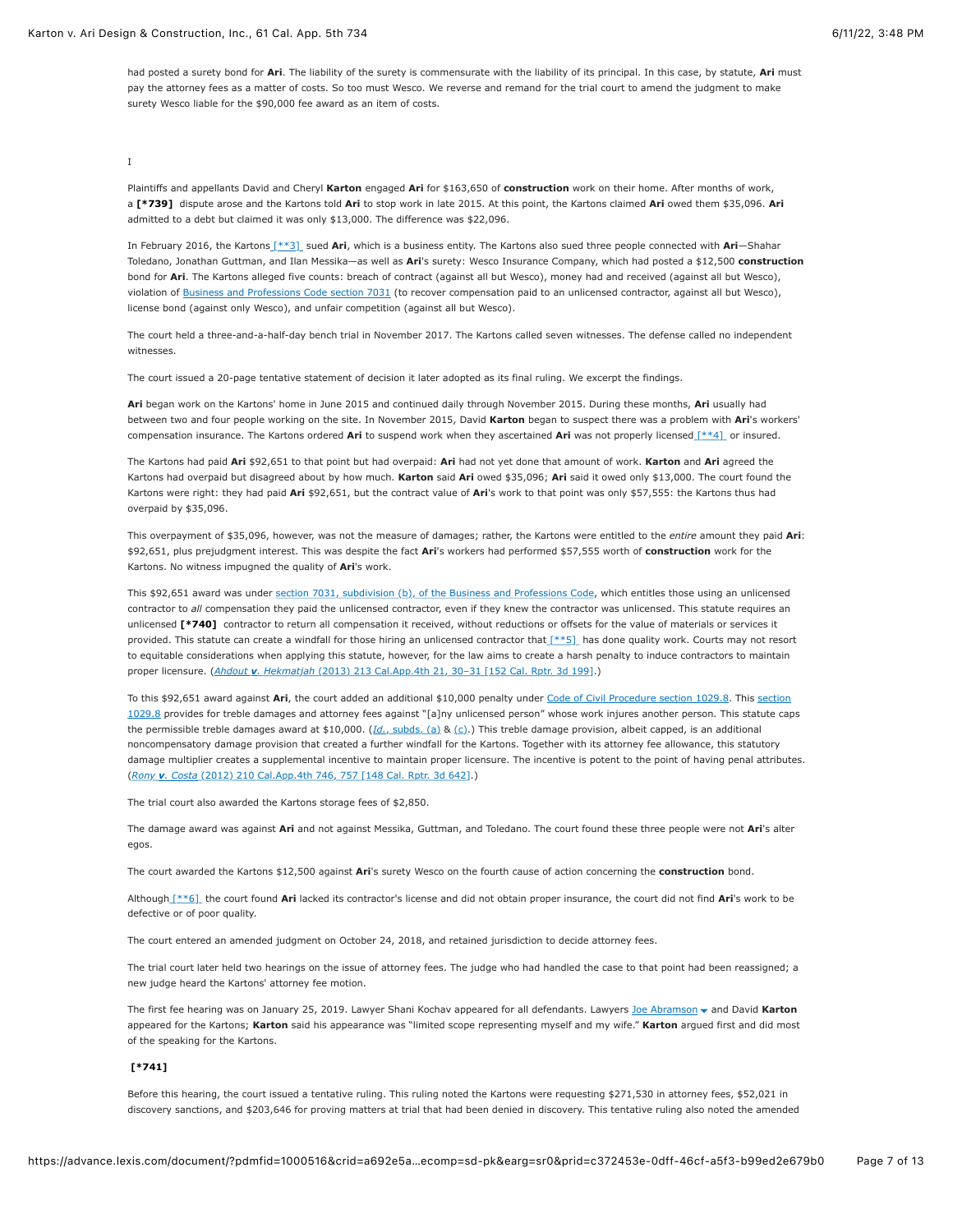had posted a surety bond for **Ari**. The liability of the surety is commensurate with the liability of its principal. In this case, by statute, **Ari** must pay the attorney fees as a matter of costs. So too must Wesco. We reverse and remand for the trial court to amend the judgment to make surety Wesco liable for the \$90,000 fee award as an item of costs.

# I

Plaintiffs and appellants David and Cheryl **Karton** engaged **Ari** for \$163,650 of **construction** work on their home. After months of work, a **[\[\\*739\]](https://advance.lexis.com/document/?pdmfid=1000516&crid=a692e5a3-50fc-4810-8db6-3293c05744d3&pddocfullpath=%2Fshared%2Fdocument%2Fcases%2Furn%3AcontentItem%3A625N-WKS1-FJDY-X3CW-00000-00&pdcontentcomponentid=4860&pdshepid=urn%3AcontentItem%3A6250-Y9G3-GXF7-3401-00000-00&pdteaserkey=sr0&pditab=allpods&ecomp=sd-pk&earg=sr0&prid=c372453e-0dff-46cf-a5f3-b99ed2e679b0#)** dispute arose and the Kartons told **Ari** to stop work in late 2015. At this point, the Kartons claimed **Ari** owed them \$35,096. **Ari** admitted to a debt but claimed it was only \$13,000. The difference was \$22,096.

In February 2016, the Kartons [\[\\*\\*3\]](https://advance.lexis.com/document/?pdmfid=1000516&crid=a692e5a3-50fc-4810-8db6-3293c05744d3&pddocfullpath=%2Fshared%2Fdocument%2Fcases%2Furn%3AcontentItem%3A625N-WKS1-FJDY-X3CW-00000-00&pdcontentcomponentid=4860&pdshepid=urn%3AcontentItem%3A6250-Y9G3-GXF7-3401-00000-00&pdteaserkey=sr0&pditab=allpods&ecomp=sd-pk&earg=sr0&prid=c372453e-0dff-46cf-a5f3-b99ed2e679b0#) sued **Ari**, which is a business entity. The Kartons also sued three people connected with **Ari**—Shahar Toledano, Jonathan Guttman, and Ilan Messika—as well as **Ari**'s surety: Wesco Insurance Company, which had posted a \$12,500 **construction** bond for **Ari**. The Kartons alleged five counts: breach of contract (against all but Wesco), money had and received (against all but Wesco), violation of [Business and Professions Code section 7031](https://advance.lexis.com/document/?pdmfid=1000516&crid=a692e5a3-50fc-4810-8db6-3293c05744d3&pddocfullpath=%2Fshared%2Fdocument%2Fcases%2Furn%3AcontentItem%3A625N-WKS1-FJDY-X3CW-00000-00&pdcontentcomponentid=4860&pdshepid=urn%3AcontentItem%3A6250-Y9G3-GXF7-3401-00000-00&pdteaserkey=sr0&pditab=allpods&ecomp=sd-pk&earg=sr0&prid=c372453e-0dff-46cf-a5f3-b99ed2e679b0#) (to recover compensation paid to an unlicensed contractor, against all but Wesco), license bond (against only Wesco), and unfair competition (against all but Wesco).

The court held a three-and-a-half-day bench trial in November 2017. The Kartons called seven witnesses. The defense called no independent witnesses.

The court issued a 20-page tentative statement of decision it later adopted as its final ruling. We excerpt the findings.

**Ari** began work on the Kartons' home in June 2015 and continued daily through November 2015. During these months, **Ari** usually had between two and four people working on the site. In November 2015, David **Karton** began to suspect there was a problem with **Ari**'s workers' compensation insurance. The Kartons ordered **Ari** to suspend work when they ascertained **Ari** was not properly licensed [\[\\*\\*4\]](https://advance.lexis.com/document/?pdmfid=1000516&crid=a692e5a3-50fc-4810-8db6-3293c05744d3&pddocfullpath=%2Fshared%2Fdocument%2Fcases%2Furn%3AcontentItem%3A625N-WKS1-FJDY-X3CW-00000-00&pdcontentcomponentid=4860&pdshepid=urn%3AcontentItem%3A6250-Y9G3-GXF7-3401-00000-00&pdteaserkey=sr0&pditab=allpods&ecomp=sd-pk&earg=sr0&prid=c372453e-0dff-46cf-a5f3-b99ed2e679b0#) or insured.

The Kartons had paid **Ari** \$92,651 to that point but had overpaid: **Ari** had not yet done that amount of work. **Karton** and **Ari** agreed the Kartons had overpaid but disagreed about by how much. **Karton** said Ari owed \$35,096; Ari said it owed only \$13,000. The court found the Kartons were right: they had paid **Ari** \$92,651, but the contract value of **Ari**'s work to that point was only \$57,555: the Kartons thus had overpaid by \$35,096.

This overpayment of \$35,096, however, was not the measure of damages; rather, the Kartons were entitled to the *entire* amount they paid **Ari**: \$92,651, plus prejudgment interest. This was despite the fact **Ari**'s workers had performed \$57,555 worth of **construction** work for the Kartons. No witness impugned the quality of **Ari**'s work.

This \$92,651 award was under [section 7031, subdivision \(b\), of the Business and Professions Code,](https://advance.lexis.com/document/?pdmfid=1000516&crid=a692e5a3-50fc-4810-8db6-3293c05744d3&pddocfullpath=%2Fshared%2Fdocument%2Fcases%2Furn%3AcontentItem%3A625N-WKS1-FJDY-X3CW-00000-00&pdcontentcomponentid=4860&pdshepid=urn%3AcontentItem%3A6250-Y9G3-GXF7-3401-00000-00&pdteaserkey=sr0&pditab=allpods&ecomp=sd-pk&earg=sr0&prid=c372453e-0dff-46cf-a5f3-b99ed2e679b0#) which entitles those using an unlicensed contractor to *all* compensation they paid the unlicensed contractor, even if they knew the contractor was unlicensed. This statute requires an unlicensed **[\[\\*740\]](https://advance.lexis.com/document/?pdmfid=1000516&crid=a692e5a3-50fc-4810-8db6-3293c05744d3&pddocfullpath=%2Fshared%2Fdocument%2Fcases%2Furn%3AcontentItem%3A625N-WKS1-FJDY-X3CW-00000-00&pdcontentcomponentid=4860&pdshepid=urn%3AcontentItem%3A6250-Y9G3-GXF7-3401-00000-00&pdteaserkey=sr0&pditab=allpods&ecomp=sd-pk&earg=sr0&prid=c372453e-0dff-46cf-a5f3-b99ed2e679b0#)** contractor to return all compensation it received, without reductions or offsets for the value of materials or services it provided. This statute can create a windfall for those hiring an unlicensed contractor tha[t \[\\*\\*5\]](https://advance.lexis.com/document/?pdmfid=1000516&crid=a692e5a3-50fc-4810-8db6-3293c05744d3&pddocfullpath=%2Fshared%2Fdocument%2Fcases%2Furn%3AcontentItem%3A625N-WKS1-FJDY-X3CW-00000-00&pdcontentcomponentid=4860&pdshepid=urn%3AcontentItem%3A6250-Y9G3-GXF7-3401-00000-00&pdteaserkey=sr0&pditab=allpods&ecomp=sd-pk&earg=sr0&prid=c372453e-0dff-46cf-a5f3-b99ed2e679b0#) has done quality work. Courts may not resort to equitable considerations when applying this statute, however, for the law aims to create a harsh penalty to induce contractors to maintain proper licensure. (*Ahdout v. Hekmatjah* [\(2013\) 213 Cal.App.4th 21, 30–31 \[152 Cal. Rptr. 3d 199\]](https://advance.lexis.com/document/?pdmfid=1000516&crid=a692e5a3-50fc-4810-8db6-3293c05744d3&pddocfullpath=%2Fshared%2Fdocument%2Fcases%2Furn%3AcontentItem%3A625N-WKS1-FJDY-X3CW-00000-00&pdcontentcomponentid=4860&pdshepid=urn%3AcontentItem%3A6250-Y9G3-GXF7-3401-00000-00&pdteaserkey=sr0&pditab=allpods&ecomp=sd-pk&earg=sr0&prid=c372453e-0dff-46cf-a5f3-b99ed2e679b0#).)

To this \$92,651 award against Ari, the court added an additional \$10,000 penalty under [Code of Civil Procedure section 1029.8](https://advance.lexis.com/document/?pdmfid=1000516&crid=a692e5a3-50fc-4810-8db6-3293c05744d3&pddocfullpath=%2Fshared%2Fdocument%2Fcases%2Furn%3AcontentItem%3A625N-WKS1-FJDY-X3CW-00000-00&pdcontentcomponentid=4860&pdshepid=urn%3AcontentItem%3A6250-Y9G3-GXF7-3401-00000-00&pdteaserkey=sr0&pditab=allpods&ecomp=sd-pk&earg=sr0&prid=c372453e-0dff-46cf-a5f3-b99ed2e679b0#). This section [1029.8 provides for treble damages and attorney fees against "\[a\]ny unlicensed person" whose work injures another person. This statute cap](https://advance.lexis.com/document/?pdmfid=1000516&crid=a692e5a3-50fc-4810-8db6-3293c05744d3&pddocfullpath=%2Fshared%2Fdocument%2Fcases%2Furn%3AcontentItem%3A625N-WKS1-FJDY-X3CW-00000-00&pdcontentcomponentid=4860&pdshepid=urn%3AcontentItem%3A6250-Y9G3-GXF7-3401-00000-00&pdteaserkey=sr0&pditab=allpods&ecomp=sd-pk&earg=sr0&prid=c372453e-0dff-46cf-a5f3-b99ed2e679b0#)s the permissible treble damages award at \$10,000. (*Id.*[, subds. \(a\)](https://advance.lexis.com/document/?pdmfid=1000516&crid=a692e5a3-50fc-4810-8db6-3293c05744d3&pddocfullpath=%2Fshared%2Fdocument%2Fcases%2Furn%3AcontentItem%3A625N-WKS1-FJDY-X3CW-00000-00&pdcontentcomponentid=4860&pdshepid=urn%3AcontentItem%3A6250-Y9G3-GXF7-3401-00000-00&pdteaserkey=sr0&pditab=allpods&ecomp=sd-pk&earg=sr0&prid=c372453e-0dff-46cf-a5f3-b99ed2e679b0#) & [\(c\)](https://advance.lexis.com/document/?pdmfid=1000516&crid=a692e5a3-50fc-4810-8db6-3293c05744d3&pddocfullpath=%2Fshared%2Fdocument%2Fcases%2Furn%3AcontentItem%3A625N-WKS1-FJDY-X3CW-00000-00&pdcontentcomponentid=4860&pdshepid=urn%3AcontentItem%3A6250-Y9G3-GXF7-3401-00000-00&pdteaserkey=sr0&pditab=allpods&ecomp=sd-pk&earg=sr0&prid=c372453e-0dff-46cf-a5f3-b99ed2e679b0#).) This treble damage provision, albeit capped, is an additional noncompensatory damage provision that created a further windfall for the Kartons. Together with its attorney fee allowance, this statutory damage multiplier creates a supplemental incentive to maintain proper licensure. The incentive is potent to the point of having penal attributes. (*Rony v. Costa* [\(2012\) 210 Cal.App.4th 746, 757 \[148 Cal. Rptr. 3d 642\]](https://advance.lexis.com/document/?pdmfid=1000516&crid=a692e5a3-50fc-4810-8db6-3293c05744d3&pddocfullpath=%2Fshared%2Fdocument%2Fcases%2Furn%3AcontentItem%3A625N-WKS1-FJDY-X3CW-00000-00&pdcontentcomponentid=4860&pdshepid=urn%3AcontentItem%3A6250-Y9G3-GXF7-3401-00000-00&pdteaserkey=sr0&pditab=allpods&ecomp=sd-pk&earg=sr0&prid=c372453e-0dff-46cf-a5f3-b99ed2e679b0#).)

The trial court also awarded the Kartons storage fees of \$2,850.

The damage award was against **Ari** and not against Messika, Guttman, and Toledano. The court found these three people were not **Ari**'s alter egos.

The court awarded the Kartons \$12,500 against **Ari**'s surety Wesco on the fourth cause of action concerning the **construction** bond.

Although [\[\\*\\*6\]](https://advance.lexis.com/document/?pdmfid=1000516&crid=a692e5a3-50fc-4810-8db6-3293c05744d3&pddocfullpath=%2Fshared%2Fdocument%2Fcases%2Furn%3AcontentItem%3A625N-WKS1-FJDY-X3CW-00000-00&pdcontentcomponentid=4860&pdshepid=urn%3AcontentItem%3A6250-Y9G3-GXF7-3401-00000-00&pdteaserkey=sr0&pditab=allpods&ecomp=sd-pk&earg=sr0&prid=c372453e-0dff-46cf-a5f3-b99ed2e679b0#) the court found **Ari** lacked its contractor's license and did not obtain proper insurance, the court did not find **Ari**'s work to be defective or of poor quality.

The court entered an amended judgment on October 24, 2018, and retained jurisdiction to decide attorney fees.

The trial court later held two hearings on the issue of attorney fees. The judge who had handled the case to that point had been reassigned; a new judge heard the Kartons' attorney fee motion.

The first fee hearing was on January 25, 2019. Lawyer Shani Kochav appeared for all defendants. Lawyers [Joe Abramson](https://advance.lexis.com/document/?pdmfid=1000516&crid=a692e5a3-50fc-4810-8db6-3293c05744d3&pddocfullpath=%2Fshared%2Fdocument%2Fcases%2Furn%3AcontentItem%3A625N-WKS1-FJDY-X3CW-00000-00&pdcontentcomponentid=4860&pdshepid=urn%3AcontentItem%3A6250-Y9G3-GXF7-3401-00000-00&pdteaserkey=sr0&pditab=allpods&ecomp=sd-pk&earg=sr0&prid=c372453e-0dff-46cf-a5f3-b99ed2e679b0#) v and David Karton appeared for the Kartons; **Karton** said his appearance was "limited scope representing myself and my wife." **Karton** argued first and did most of the speaking for the Kartons.

# **[\[\\*741\]](https://advance.lexis.com/document/?pdmfid=1000516&crid=a692e5a3-50fc-4810-8db6-3293c05744d3&pddocfullpath=%2Fshared%2Fdocument%2Fcases%2Furn%3AcontentItem%3A625N-WKS1-FJDY-X3CW-00000-00&pdcontentcomponentid=4860&pdshepid=urn%3AcontentItem%3A6250-Y9G3-GXF7-3401-00000-00&pdteaserkey=sr0&pditab=allpods&ecomp=sd-pk&earg=sr0&prid=c372453e-0dff-46cf-a5f3-b99ed2e679b0#)**

Before this hearing, the court issued a tentative ruling. This ruling noted the Kartons were requesting \$271,530 in attorney fees, \$52,021 in discovery sanctions, and \$203,646 for proving matters at trial that had been denied in discovery. This tentative ruling also noted the amended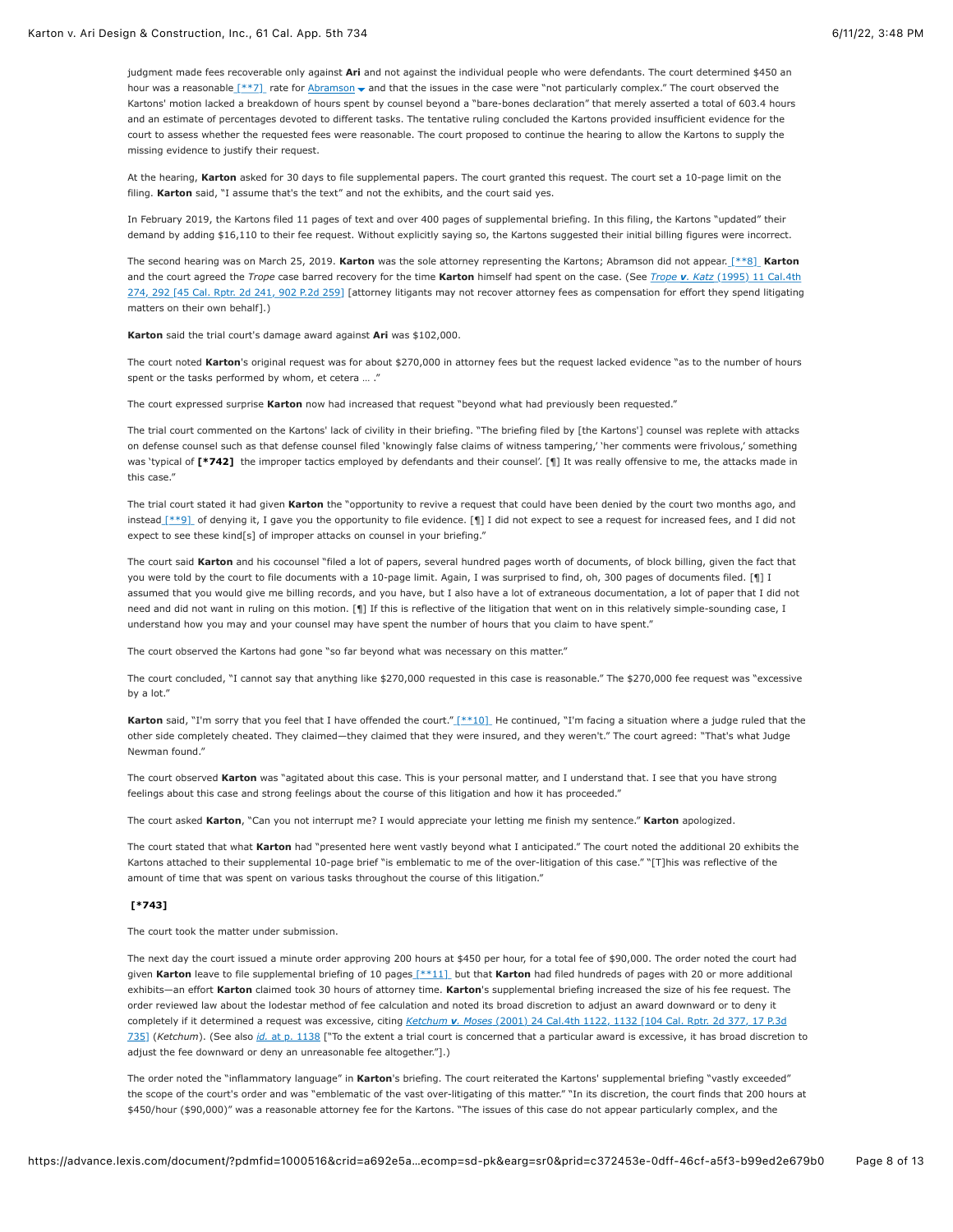judgment made fees recoverable only against **Ari** and not against the individual people who were defendants. The court determined \$450 an hour was a reasonable  $\left[\frac{**7}{*}\right]$  rate for [Abramson](https://advance.lexis.com/document/?pdmfid=1000516&crid=a692e5a3-50fc-4810-8db6-3293c05744d3&pddocfullpath=%2Fshared%2Fdocument%2Fcases%2Furn%3AcontentItem%3A625N-WKS1-FJDY-X3CW-00000-00&pdcontentcomponentid=4860&pdshepid=urn%3AcontentItem%3A6250-Y9G3-GXF7-3401-00000-00&pdteaserkey=sr0&pditab=allpods&ecomp=sd-pk&earg=sr0&prid=c372453e-0dff-46cf-a5f3-b99ed2e679b0#)  $\bullet$  and that the issues in the case were "not particularly complex." The court observed the Kartons' motion lacked a breakdown of hours spent by counsel beyond a "bare-bones declaration" that merely asserted a total of 603.4 hours and an estimate of percentages devoted to different tasks. The tentative ruling concluded the Kartons provided insufficient evidence for the court to assess whether the requested fees were reasonable. The court proposed to continue the hearing to allow the Kartons to supply the missing evidence to justify their request.

At the hearing, **Karton** asked for 30 days to file supplemental papers. The court granted this request. The court set a 10-page limit on the filing. **Karton** said, "I assume that's the text" and not the exhibits, and the court said yes.

In February 2019, the Kartons filed 11 pages of text and over 400 pages of supplemental briefing. In this filing, the Kartons "updated" their demand by adding \$16,110 to their fee request. Without explicitly saying so, the Kartons suggested their initial billing figures were incorrect.

The second hearing was on March 25, 2019. **Karton** was the sole attorney representing the Kartons; Abramson did not appear. [\[\\*\\*8\]](https://advance.lexis.com/document/?pdmfid=1000516&crid=a692e5a3-50fc-4810-8db6-3293c05744d3&pddocfullpath=%2Fshared%2Fdocument%2Fcases%2Furn%3AcontentItem%3A625N-WKS1-FJDY-X3CW-00000-00&pdcontentcomponentid=4860&pdshepid=urn%3AcontentItem%3A6250-Y9G3-GXF7-3401-00000-00&pdteaserkey=sr0&pditab=allpods&ecomp=sd-pk&earg=sr0&prid=c372453e-0dff-46cf-a5f3-b99ed2e679b0#) **Karton** and the court agreed the *Trope* case barred recovery for the time **Karton** himself had spent on the case. (See *Trope v. Katz* (1995) 11 Cal.4th [274, 292 \[45 Cal. Rptr. 2d 241, 902 P.2d 259\] \[attorney litigants may not recover attorney fees as compensation for effort they spend litigating](https://advance.lexis.com/document/?pdmfid=1000516&crid=a692e5a3-50fc-4810-8db6-3293c05744d3&pddocfullpath=%2Fshared%2Fdocument%2Fcases%2Furn%3AcontentItem%3A625N-WKS1-FJDY-X3CW-00000-00&pdcontentcomponentid=4860&pdshepid=urn%3AcontentItem%3A6250-Y9G3-GXF7-3401-00000-00&pdteaserkey=sr0&pditab=allpods&ecomp=sd-pk&earg=sr0&prid=c372453e-0dff-46cf-a5f3-b99ed2e679b0#) matters on their own behalf].)

**Karton** said the trial court's damage award against **Ari** was \$102,000.

The court noted **Karton**'s original request was for about \$270,000 in attorney fees but the request lacked evidence "as to the number of hours spent or the tasks performed by whom, et cetera … ."

The court expressed surprise **Karton** now had increased that request "beyond what had previously been requested."

The trial court commented on the Kartons' lack of civility in their briefing. "The briefing filed by [the Kartons'] counsel was replete with attacks on defense counsel such as that defense counsel filed 'knowingly false claims of witness tampering,' 'her comments were frivolous,' something was 'typical of [\[\\*742\]](https://advance.lexis.com/document/?pdmfid=1000516&crid=a692e5a3-50fc-4810-8db6-3293c05744d3&pddocfullpath=%2Fshared%2Fdocument%2Fcases%2Furn%3AcontentItem%3A625N-WKS1-FJDY-X3CW-00000-00&pdcontentcomponentid=4860&pdshepid=urn%3AcontentItem%3A6250-Y9G3-GXF7-3401-00000-00&pdteaserkey=sr0&pditab=allpods&ecomp=sd-pk&earg=sr0&prid=c372453e-0dff-46cf-a5f3-b99ed2e679b0#) the improper tactics employed by defendants and their counsel'. [¶] It was really offensive to me, the attacks made in this case."

The trial court stated it had given **Karton** the "opportunity to revive a request that could have been denied by the court two months ago, and instead [\[\\*\\*9\]](https://advance.lexis.com/document/?pdmfid=1000516&crid=a692e5a3-50fc-4810-8db6-3293c05744d3&pddocfullpath=%2Fshared%2Fdocument%2Fcases%2Furn%3AcontentItem%3A625N-WKS1-FJDY-X3CW-00000-00&pdcontentcomponentid=4860&pdshepid=urn%3AcontentItem%3A6250-Y9G3-GXF7-3401-00000-00&pdteaserkey=sr0&pditab=allpods&ecomp=sd-pk&earg=sr0&prid=c372453e-0dff-46cf-a5f3-b99ed2e679b0#) of denying it, I gave you the opportunity to file evidence. [¶] I did not expect to see a request for increased fees, and I did not expect to see these kind[s] of improper attacks on counsel in your briefing."

The court said **Karton** and his cocounsel "filed a lot of papers, several hundred pages worth of documents, of block billing, given the fact that you were told by the court to file documents with a 10-page limit. Again, I was surprised to find, oh, 300 pages of documents filed. [¶] I assumed that you would give me billing records, and you have, but I also have a lot of extraneous documentation, a lot of paper that I did not need and did not want in ruling on this motion. [¶] If this is reflective of the litigation that went on in this relatively simple-sounding case, I understand how you may and your counsel may have spent the number of hours that you claim to have spent."

The court observed the Kartons had gone "so far beyond what was necessary on this matter."

The court concluded, "I cannot say that anything like \$270,000 requested in this case is reasonable." The \$270,000 fee request was "excessive by a lot."

**Karton** said, "I'm sorry that you feel that I have offended the court.[" \[\\*\\*10\]](https://advance.lexis.com/document/?pdmfid=1000516&crid=a692e5a3-50fc-4810-8db6-3293c05744d3&pddocfullpath=%2Fshared%2Fdocument%2Fcases%2Furn%3AcontentItem%3A625N-WKS1-FJDY-X3CW-00000-00&pdcontentcomponentid=4860&pdshepid=urn%3AcontentItem%3A6250-Y9G3-GXF7-3401-00000-00&pdteaserkey=sr0&pditab=allpods&ecomp=sd-pk&earg=sr0&prid=c372453e-0dff-46cf-a5f3-b99ed2e679b0#) He continued, "I'm facing a situation where a judge ruled that the other side completely cheated. They claimed—they claimed that they were insured, and they weren't." The court agreed: "That's what Judge Newman found."

The court observed **Karton** was "agitated about this case. This is your personal matter, and I understand that. I see that you have strong feelings about this case and strong feelings about the course of this litigation and how it has proceeded."

The court asked **Karton**, "Can you not interrupt me? I would appreciate your letting me finish my sentence." **Karton** apologized.

The court stated that what **Karton** had "presented here went vastly beyond what I anticipated." The court noted the additional 20 exhibits the Kartons attached to their supplemental 10-page brief "is emblematic to me of the over-litigation of this case." "[T]his was reflective of the amount of time that was spent on various tasks throughout the course of this litigation."

# **[\[\\*743\]](https://advance.lexis.com/document/?pdmfid=1000516&crid=a692e5a3-50fc-4810-8db6-3293c05744d3&pddocfullpath=%2Fshared%2Fdocument%2Fcases%2Furn%3AcontentItem%3A625N-WKS1-FJDY-X3CW-00000-00&pdcontentcomponentid=4860&pdshepid=urn%3AcontentItem%3A6250-Y9G3-GXF7-3401-00000-00&pdteaserkey=sr0&pditab=allpods&ecomp=sd-pk&earg=sr0&prid=c372453e-0dff-46cf-a5f3-b99ed2e679b0#)**

The court took the matter under submission.

The next day the court issued a minute order approving 200 hours at \$450 per hour, for a total fee of \$90,000. The order noted the court had given **Karton** leave to file supplemental briefing of 10 page[s \[\\*\\*11\]](https://advance.lexis.com/document/?pdmfid=1000516&crid=a692e5a3-50fc-4810-8db6-3293c05744d3&pddocfullpath=%2Fshared%2Fdocument%2Fcases%2Furn%3AcontentItem%3A625N-WKS1-FJDY-X3CW-00000-00&pdcontentcomponentid=4860&pdshepid=urn%3AcontentItem%3A6250-Y9G3-GXF7-3401-00000-00&pdteaserkey=sr0&pditab=allpods&ecomp=sd-pk&earg=sr0&prid=c372453e-0dff-46cf-a5f3-b99ed2e679b0#) but that **Karton** had filed hundreds of pages with 20 or more additional exhibits—an effort **Karton** claimed took 30 hours of attorney time. **Karton**'s supplemental briefing increased the size of his fee request. The order reviewed law about the lodestar method of fee calculation and noted its broad discretion to adjust an award downward or to deny it completely if it determined a request was excessive, citing *Ketchum v. Moses* (2001) 24 Cal.4th 1122, 1132 [104 Cal. Rptr. 2d 377, 17 P.3d 735] (*Ketchum*). (See also *id.* [at p. 1138 \["To the extent a trial court is concerned that a particular award is excessive, it has broad discretio](https://advance.lexis.com/document/?pdmfid=1000516&crid=a692e5a3-50fc-4810-8db6-3293c05744d3&pddocfullpath=%2Fshared%2Fdocument%2Fcases%2Furn%3AcontentItem%3A625N-WKS1-FJDY-X3CW-00000-00&pdcontentcomponentid=4860&pdshepid=urn%3AcontentItem%3A6250-Y9G3-GXF7-3401-00000-00&pdteaserkey=sr0&pditab=allpods&ecomp=sd-pk&earg=sr0&prid=c372453e-0dff-46cf-a5f3-b99ed2e679b0#)n to adjust the fee downward or deny an unreasonable fee altogether."].)

The order noted the "inflammatory language" in **Karton**'s briefing. The court reiterated the Kartons' supplemental briefing "vastly exceeded" the scope of the court's order and was "emblematic of the vast over-litigating of this matter." "In its discretion, the court finds that 200 hours at \$450/hour (\$90,000)" was a reasonable attorney fee for the Kartons. "The issues of this case do not appear particularly complex, and the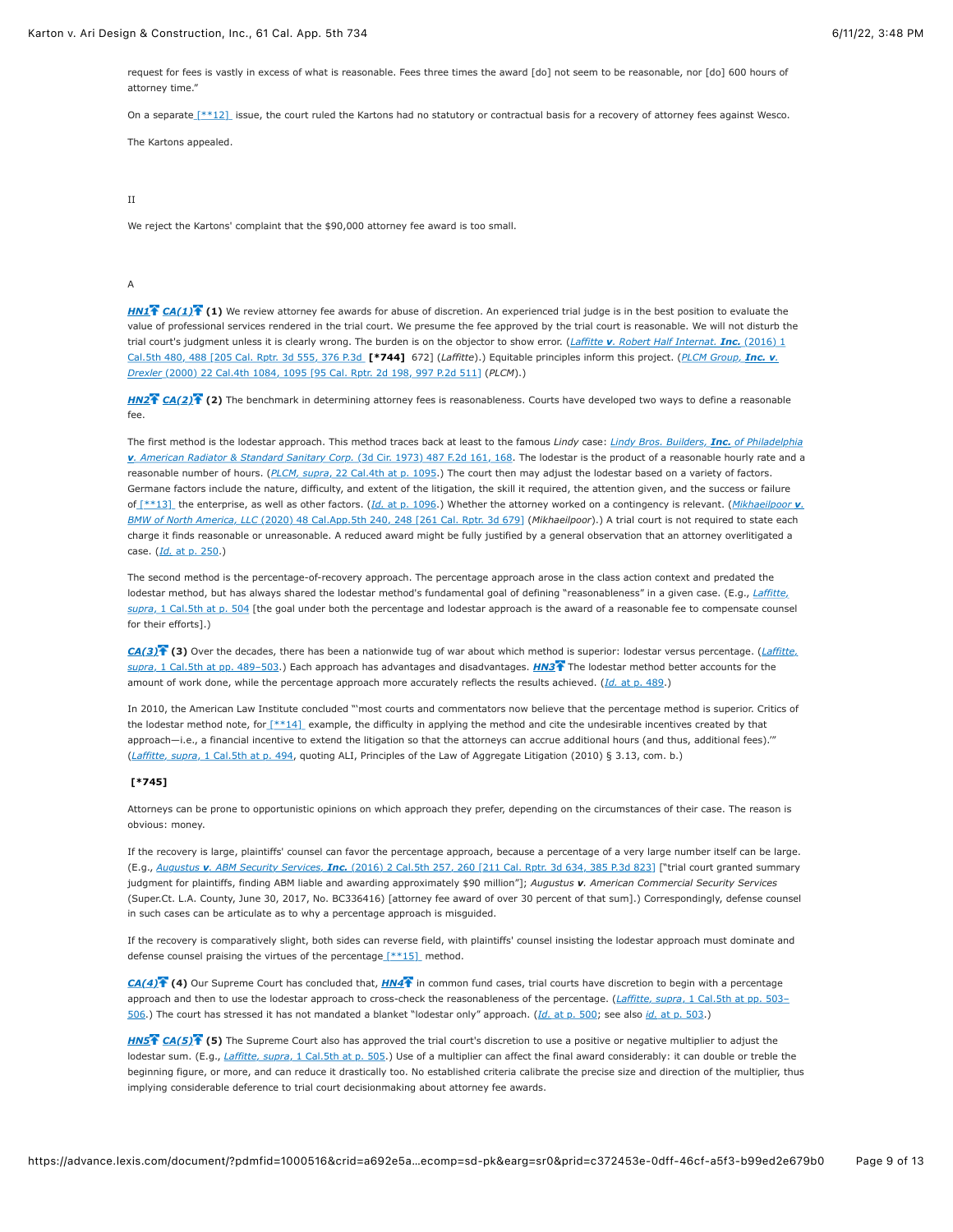request for fees is vastly in excess of what is reasonable. Fees three times the award [do] not seem to be reasonable, nor [do] 600 hours of attorney time."

On a separate  $[***12]$  issue, the court ruled the Kartons had no statutory or contractual basis for a recovery of attorney fees against Wesco.

The Kartons appealed.

#### II

We reject the Kartons' complaint that the \$90,000 attorney fee award is too small.

## A

*[HN1](https://advance.lexis.com/document/?pdmfid=1000516&crid=a692e5a3-50fc-4810-8db6-3293c05744d3&pddocfullpath=%2Fshared%2Fdocument%2Fcases%2Furn%3AcontentItem%3A625N-WKS1-FJDY-X3CW-00000-00&pdcontentcomponentid=4860&pdshepid=urn%3AcontentItem%3A6250-Y9G3-GXF7-3401-00000-00&pdteaserkey=sr0&pditab=allpods&ecomp=sd-pk&earg=sr0&prid=c372453e-0dff-46cf-a5f3-b99ed2e679b0#)*  $\overline{FA(1)}$  (1) We review attorney fee awards for abuse of discretion. An experienced trial judge is in the best position to evaluate the value of professional services rendered in the trial court. We presume the fee approved by the trial court is reasonable. We will not disturb the [trial court's judgment unless it is clearly wrong. The burden is on the objector to show error. \(](https://advance.lexis.com/document/?pdmfid=1000516&crid=a692e5a3-50fc-4810-8db6-3293c05744d3&pddocfullpath=%2Fshared%2Fdocument%2Fcases%2Furn%3AcontentItem%3A625N-WKS1-FJDY-X3CW-00000-00&pdcontentcomponentid=4860&pdshepid=urn%3AcontentItem%3A6250-Y9G3-GXF7-3401-00000-00&pdteaserkey=sr0&pditab=allpods&ecomp=sd-pk&earg=sr0&prid=c372453e-0dff-46cf-a5f3-b99ed2e679b0#)*Laffitte v. Robert Half Internat. Inc.* (2016) 1 Cal.5th 480, 488 [205 Cal. Rptr. 3d 555, 376 P.3d **[\[\\*744\]](https://advance.lexis.com/document/?pdmfid=1000516&crid=a692e5a3-50fc-4810-8db6-3293c05744d3&pddocfullpath=%2Fshared%2Fdocument%2Fcases%2Furn%3AcontentItem%3A625N-WKS1-FJDY-X3CW-00000-00&pdcontentcomponentid=4860&pdshepid=urn%3AcontentItem%3A6250-Y9G3-GXF7-3401-00000-00&pdteaserkey=sr0&pditab=allpods&ecomp=sd-pk&earg=sr0&prid=c372453e-0dff-46cf-a5f3-b99ed2e679b0#)** 672] (*Laffitte*).) Equitable principles inform this project. (*PLCM Group, Inc. v. Drexler* [\(2000\) 22 Cal.4th 1084, 1095 \[95 Cal. Rptr. 2d 198, 997 P.2d 511\] \(](https://advance.lexis.com/document/?pdmfid=1000516&crid=a692e5a3-50fc-4810-8db6-3293c05744d3&pddocfullpath=%2Fshared%2Fdocument%2Fcases%2Furn%3AcontentItem%3A625N-WKS1-FJDY-X3CW-00000-00&pdcontentcomponentid=4860&pdshepid=urn%3AcontentItem%3A6250-Y9G3-GXF7-3401-00000-00&pdteaserkey=sr0&pditab=allpods&ecomp=sd-pk&earg=sr0&prid=c372453e-0dff-46cf-a5f3-b99ed2e679b0#)*PLCM*).)

*[HN2](https://advance.lexis.com/document/?pdmfid=1000516&crid=a692e5a3-50fc-4810-8db6-3293c05744d3&pddocfullpath=%2Fshared%2Fdocument%2Fcases%2Furn%3AcontentItem%3A625N-WKS1-FJDY-X3CW-00000-00&pdcontentcomponentid=4860&pdshepid=urn%3AcontentItem%3A6250-Y9G3-GXF7-3401-00000-00&pdteaserkey=sr0&pditab=allpods&ecomp=sd-pk&earg=sr0&prid=c372453e-0dff-46cf-a5f3-b99ed2e679b0#) [CA\(2\)](https://advance.lexis.com/document/?pdmfid=1000516&crid=a692e5a3-50fc-4810-8db6-3293c05744d3&pddocfullpath=%2Fshared%2Fdocument%2Fcases%2Furn%3AcontentItem%3A625N-WKS1-FJDY-X3CW-00000-00&pdcontentcomponentid=4860&pdshepid=urn%3AcontentItem%3A6250-Y9G3-GXF7-3401-00000-00&pdteaserkey=sr0&pditab=allpods&ecomp=sd-pk&earg=sr0&prid=c372453e-0dff-46cf-a5f3-b99ed2e679b0#)* **(2)** The benchmark in determining attorney fees is reasonableness. Courts have developed two ways to define a reasonable fee.

The first method is the lodestar approach. This method traces back at least to the famous *Lindy* case: *Lindy Bros. Builders, Inc. of Philadelphia v. American Radiator & Standard Sanitary Corp.* [\(3d Cir. 1973\) 487 F.2d 161, 168. The lodestar is the product of a reasonable hourly rate and a](https://advance.lexis.com/document/?pdmfid=1000516&crid=a692e5a3-50fc-4810-8db6-3293c05744d3&pddocfullpath=%2Fshared%2Fdocument%2Fcases%2Furn%3AcontentItem%3A625N-WKS1-FJDY-X3CW-00000-00&pdcontentcomponentid=4860&pdshepid=urn%3AcontentItem%3A6250-Y9G3-GXF7-3401-00000-00&pdteaserkey=sr0&pditab=allpods&ecomp=sd-pk&earg=sr0&prid=c372453e-0dff-46cf-a5f3-b99ed2e679b0#) reasonable number of hours. (*PLCM, supra*[, 22 Cal.4th at p. 1095.](https://advance.lexis.com/document/?pdmfid=1000516&crid=a692e5a3-50fc-4810-8db6-3293c05744d3&pddocfullpath=%2Fshared%2Fdocument%2Fcases%2Furn%3AcontentItem%3A625N-WKS1-FJDY-X3CW-00000-00&pdcontentcomponentid=4860&pdshepid=urn%3AcontentItem%3A6250-Y9G3-GXF7-3401-00000-00&pdteaserkey=sr0&pditab=allpods&ecomp=sd-pk&earg=sr0&prid=c372453e-0dff-46cf-a5f3-b99ed2e679b0#)) The court then may adjust the lodestar based on a variety of factors. Germane factors include the nature, difficulty, and extent of the litigation, the skill it required, the attention given, and the success or failure of [\[\\*\\*13\]](https://advance.lexis.com/document/?pdmfid=1000516&crid=a692e5a3-50fc-4810-8db6-3293c05744d3&pddocfullpath=%2Fshared%2Fdocument%2Fcases%2Furn%3AcontentItem%3A625N-WKS1-FJDY-X3CW-00000-00&pdcontentcomponentid=4860&pdshepid=urn%3AcontentItem%3A6250-Y9G3-GXF7-3401-00000-00&pdteaserkey=sr0&pditab=allpods&ecomp=sd-pk&earg=sr0&prid=c372453e-0dff-46cf-a5f3-b99ed2e679b0#) the enterprise, as well as other factors. (*Id.* [at p. 1096.\) Whether the attorney worked on a contingency is relevant. \(](https://advance.lexis.com/document/?pdmfid=1000516&crid=a692e5a3-50fc-4810-8db6-3293c05744d3&pddocfullpath=%2Fshared%2Fdocument%2Fcases%2Furn%3AcontentItem%3A625N-WKS1-FJDY-X3CW-00000-00&pdcontentcomponentid=4860&pdshepid=urn%3AcontentItem%3A6250-Y9G3-GXF7-3401-00000-00&pdteaserkey=sr0&pditab=allpods&ecomp=sd-pk&earg=sr0&prid=c372453e-0dff-46cf-a5f3-b99ed2e679b0#)*Mikhaeilpoor v. BMW of North America, LLC* (2020) 48 Cal.App.5th 240, 248 [261 Cal. Rptr. 3d 679] (*Mikhaeilpoor*).) A trial court is not required to state each charge it finds reasonable or unreasonable. A reduced award might be fully justified by a general observation that an attorney overlitigated a case. (*Id.* [at p. 250](https://advance.lexis.com/document/?pdmfid=1000516&crid=a692e5a3-50fc-4810-8db6-3293c05744d3&pddocfullpath=%2Fshared%2Fdocument%2Fcases%2Furn%3AcontentItem%3A625N-WKS1-FJDY-X3CW-00000-00&pdcontentcomponentid=4860&pdshepid=urn%3AcontentItem%3A6250-Y9G3-GXF7-3401-00000-00&pdteaserkey=sr0&pditab=allpods&ecomp=sd-pk&earg=sr0&prid=c372453e-0dff-46cf-a5f3-b99ed2e679b0#).)

The second method is the percentage-of-recovery approach. The percentage approach arose in the class action context and predated the lodestar method, but has always shared the lodestar method's fundamental goal of defining "reasonableness" in a given case. (E.g., *Laffitte, supra*[, 1 Cal.5th at p. 504 \[the goal under both the percentage and lodestar approach is the award of a reasonable fee to compensate couns](https://advance.lexis.com/document/?pdmfid=1000516&crid=a692e5a3-50fc-4810-8db6-3293c05744d3&pddocfullpath=%2Fshared%2Fdocument%2Fcases%2Furn%3AcontentItem%3A625N-WKS1-FJDY-X3CW-00000-00&pdcontentcomponentid=4860&pdshepid=urn%3AcontentItem%3A6250-Y9G3-GXF7-3401-00000-00&pdteaserkey=sr0&pditab=allpods&ecomp=sd-pk&earg=sr0&prid=c372453e-0dff-46cf-a5f3-b99ed2e679b0#)el for their efforts].)

*[CA\(3\)](https://advance.lexis.com/document/?pdmfid=1000516&crid=a692e5a3-50fc-4810-8db6-3293c05744d3&pddocfullpath=%2Fshared%2Fdocument%2Fcases%2Furn%3AcontentItem%3A625N-WKS1-FJDY-X3CW-00000-00&pdcontentcomponentid=4860&pdshepid=urn%3AcontentItem%3A6250-Y9G3-GXF7-3401-00000-00&pdteaserkey=sr0&pditab=allpods&ecomp=sd-pk&earg=sr0&prid=c372453e-0dff-46cf-a5f3-b99ed2e679b0#)* **(3)** [Over the decades, there has been a nationwide tug of war about which method is superior: lodestar versus percentage. \(](https://advance.lexis.com/document/?pdmfid=1000516&crid=a692e5a3-50fc-4810-8db6-3293c05744d3&pddocfullpath=%2Fshared%2Fdocument%2Fcases%2Furn%3AcontentItem%3A625N-WKS1-FJDY-X3CW-00000-00&pdcontentcomponentid=4860&pdshepid=urn%3AcontentItem%3A6250-Y9G3-GXF7-3401-00000-00&pdteaserkey=sr0&pditab=allpods&ecomp=sd-pk&earg=sr0&prid=c372453e-0dff-46cf-a5f3-b99ed2e679b0#)*Laffitte, supra*, 1 Cal.5th at pp. 489–503.) Each approach has advantages and disadvantages. *[HN3](https://advance.lexis.com/document/?pdmfid=1000516&crid=a692e5a3-50fc-4810-8db6-3293c05744d3&pddocfullpath=%2Fshared%2Fdocument%2Fcases%2Furn%3AcontentItem%3A625N-WKS1-FJDY-X3CW-00000-00&pdcontentcomponentid=4860&pdshepid=urn%3AcontentItem%3A6250-Y9G3-GXF7-3401-00000-00&pdteaserkey=sr0&pditab=allpods&ecomp=sd-pk&earg=sr0&prid=c372453e-0dff-46cf-a5f3-b99ed2e679b0#)* The lodestar method better accounts for the amount of work done, while the percentage approach more accurately reflects the results achieved. (*Id.* [at p. 489.](https://advance.lexis.com/document/?pdmfid=1000516&crid=a692e5a3-50fc-4810-8db6-3293c05744d3&pddocfullpath=%2Fshared%2Fdocument%2Fcases%2Furn%3AcontentItem%3A625N-WKS1-FJDY-X3CW-00000-00&pdcontentcomponentid=4860&pdshepid=urn%3AcontentItem%3A6250-Y9G3-GXF7-3401-00000-00&pdteaserkey=sr0&pditab=allpods&ecomp=sd-pk&earg=sr0&prid=c372453e-0dff-46cf-a5f3-b99ed2e679b0#))

In 2010, the American Law Institute concluded "'most courts and commentators now believe that the percentage method is superior. Critics of the lodestar method note, for  $\lceil$ \*\*14] example, the difficulty in applying the method and cite the undesirable incentives created by that approach—i.e., a financial incentive to extend the litigation so that the attorneys can accrue additional hours (and thus, additional fees).'" (*Laffitte, supra*[, 1 Cal.5th at p. 494](https://advance.lexis.com/document/?pdmfid=1000516&crid=a692e5a3-50fc-4810-8db6-3293c05744d3&pddocfullpath=%2Fshared%2Fdocument%2Fcases%2Furn%3AcontentItem%3A625N-WKS1-FJDY-X3CW-00000-00&pdcontentcomponentid=4860&pdshepid=urn%3AcontentItem%3A6250-Y9G3-GXF7-3401-00000-00&pdteaserkey=sr0&pditab=allpods&ecomp=sd-pk&earg=sr0&prid=c372453e-0dff-46cf-a5f3-b99ed2e679b0#), quoting ALI, Principles of the Law of Aggregate Litigation (2010) § 3.13, com. b.)

#### **[\[\\*745\]](https://advance.lexis.com/document/?pdmfid=1000516&crid=a692e5a3-50fc-4810-8db6-3293c05744d3&pddocfullpath=%2Fshared%2Fdocument%2Fcases%2Furn%3AcontentItem%3A625N-WKS1-FJDY-X3CW-00000-00&pdcontentcomponentid=4860&pdshepid=urn%3AcontentItem%3A6250-Y9G3-GXF7-3401-00000-00&pdteaserkey=sr0&pditab=allpods&ecomp=sd-pk&earg=sr0&prid=c372453e-0dff-46cf-a5f3-b99ed2e679b0#)**

Attorneys can be prone to opportunistic opinions on which approach they prefer, depending on the circumstances of their case. The reason is obvious: money.

If the recovery is large, plaintiffs' counsel can favor the percentage approach, because a percentage of a very large number itself can be large. (E.g., *Augustus v. ABM Security Services, Inc.* [\(2016\) 2 Cal.5th 257, 260 \[211 Cal. Rptr. 3d 634, 385 P.3d 823\]](https://advance.lexis.com/document/?pdmfid=1000516&crid=a692e5a3-50fc-4810-8db6-3293c05744d3&pddocfullpath=%2Fshared%2Fdocument%2Fcases%2Furn%3AcontentItem%3A625N-WKS1-FJDY-X3CW-00000-00&pdcontentcomponentid=4860&pdshepid=urn%3AcontentItem%3A6250-Y9G3-GXF7-3401-00000-00&pdteaserkey=sr0&pditab=allpods&ecomp=sd-pk&earg=sr0&prid=c372453e-0dff-46cf-a5f3-b99ed2e679b0#) ["trial court granted summary judgment for plaintiffs, finding ABM liable and awarding approximately \$90 million"]; *Augustus v. American Commercial Security Services* (Super.Ct. L.A. County, June 30, 2017, No. BC336416) [attorney fee award of over 30 percent of that sum].) Correspondingly, defense counsel in such cases can be articulate as to why a percentage approach is misguided.

If the recovery is comparatively slight, both sides can reverse field, with plaintiffs' counsel insisting the lodestar approach must dominate and defense counsel praising the virtues of the percentag[e \[\\*\\*15\]](https://advance.lexis.com/document/?pdmfid=1000516&crid=a692e5a3-50fc-4810-8db6-3293c05744d3&pddocfullpath=%2Fshared%2Fdocument%2Fcases%2Furn%3AcontentItem%3A625N-WKS1-FJDY-X3CW-00000-00&pdcontentcomponentid=4860&pdshepid=urn%3AcontentItem%3A6250-Y9G3-GXF7-3401-00000-00&pdteaserkey=sr0&pditab=allpods&ecomp=sd-pk&earg=sr0&prid=c372453e-0dff-46cf-a5f3-b99ed2e679b0#) method.

*[CA\(4\)](https://advance.lexis.com/document/?pdmfid=1000516&crid=a692e5a3-50fc-4810-8db6-3293c05744d3&pddocfullpath=%2Fshared%2Fdocument%2Fcases%2Furn%3AcontentItem%3A625N-WKS1-FJDY-X3CW-00000-00&pdcontentcomponentid=4860&pdshepid=urn%3AcontentItem%3A6250-Y9G3-GXF7-3401-00000-00&pdteaserkey=sr0&pditab=allpods&ecomp=sd-pk&earg=sr0&prid=c372453e-0dff-46cf-a5f3-b99ed2e679b0#)* **(4)** Our Supreme Court has concluded that, *[HN4](https://advance.lexis.com/document/?pdmfid=1000516&crid=a692e5a3-50fc-4810-8db6-3293c05744d3&pddocfullpath=%2Fshared%2Fdocument%2Fcases%2Furn%3AcontentItem%3A625N-WKS1-FJDY-X3CW-00000-00&pdcontentcomponentid=4860&pdshepid=urn%3AcontentItem%3A6250-Y9G3-GXF7-3401-00000-00&pdteaserkey=sr0&pditab=allpods&ecomp=sd-pk&earg=sr0&prid=c372453e-0dff-46cf-a5f3-b99ed2e679b0#)*<sup>7</sup> in common fund cases, trial courts have discretion to begin with a percentage [approach and then to use the lodestar approach to cross-check the reasonableness of the percentage. \(](https://advance.lexis.com/document/?pdmfid=1000516&crid=a692e5a3-50fc-4810-8db6-3293c05744d3&pddocfullpath=%2Fshared%2Fdocument%2Fcases%2Furn%3AcontentItem%3A625N-WKS1-FJDY-X3CW-00000-00&pdcontentcomponentid=4860&pdshepid=urn%3AcontentItem%3A6250-Y9G3-GXF7-3401-00000-00&pdteaserkey=sr0&pditab=allpods&ecomp=sd-pk&earg=sr0&prid=c372453e-0dff-46cf-a5f3-b99ed2e679b0#)*Laffitte, supra*, 1 Cal.5th at pp. 503– 506.) The court has stressed it has not mandated a blanket "lodestar only" approach. (*Id.* [at p. 500;](https://advance.lexis.com/document/?pdmfid=1000516&crid=a692e5a3-50fc-4810-8db6-3293c05744d3&pddocfullpath=%2Fshared%2Fdocument%2Fcases%2Furn%3AcontentItem%3A625N-WKS1-FJDY-X3CW-00000-00&pdcontentcomponentid=4860&pdshepid=urn%3AcontentItem%3A6250-Y9G3-GXF7-3401-00000-00&pdteaserkey=sr0&pditab=allpods&ecomp=sd-pk&earg=sr0&prid=c372453e-0dff-46cf-a5f3-b99ed2e679b0#) see also *id.* [at p. 503](https://advance.lexis.com/document/?pdmfid=1000516&crid=a692e5a3-50fc-4810-8db6-3293c05744d3&pddocfullpath=%2Fshared%2Fdocument%2Fcases%2Furn%3AcontentItem%3A625N-WKS1-FJDY-X3CW-00000-00&pdcontentcomponentid=4860&pdshepid=urn%3AcontentItem%3A6250-Y9G3-GXF7-3401-00000-00&pdteaserkey=sr0&pditab=allpods&ecomp=sd-pk&earg=sr0&prid=c372453e-0dff-46cf-a5f3-b99ed2e679b0#).)

*[HN5](https://advance.lexis.com/document/?pdmfid=1000516&crid=a692e5a3-50fc-4810-8db6-3293c05744d3&pddocfullpath=%2Fshared%2Fdocument%2Fcases%2Furn%3AcontentItem%3A625N-WKS1-FJDY-X3CW-00000-00&pdcontentcomponentid=4860&pdshepid=urn%3AcontentItem%3A6250-Y9G3-GXF7-3401-00000-00&pdteaserkey=sr0&pditab=allpods&ecomp=sd-pk&earg=sr0&prid=c372453e-0dff-46cf-a5f3-b99ed2e679b0#) [CA\(5\)](https://advance.lexis.com/document/?pdmfid=1000516&crid=a692e5a3-50fc-4810-8db6-3293c05744d3&pddocfullpath=%2Fshared%2Fdocument%2Fcases%2Furn%3AcontentItem%3A625N-WKS1-FJDY-X3CW-00000-00&pdcontentcomponentid=4860&pdshepid=urn%3AcontentItem%3A6250-Y9G3-GXF7-3401-00000-00&pdteaserkey=sr0&pditab=allpods&ecomp=sd-pk&earg=sr0&prid=c372453e-0dff-46cf-a5f3-b99ed2e679b0#)* **(5)** The Supreme Court also has approved the trial court's discretion to use a positive or negative multiplier to adjust the lodestar sum. (E.g., *Laffitte, supra*[, 1 Cal.5th at p. 505.](https://advance.lexis.com/document/?pdmfid=1000516&crid=a692e5a3-50fc-4810-8db6-3293c05744d3&pddocfullpath=%2Fshared%2Fdocument%2Fcases%2Furn%3AcontentItem%3A625N-WKS1-FJDY-X3CW-00000-00&pdcontentcomponentid=4860&pdshepid=urn%3AcontentItem%3A6250-Y9G3-GXF7-3401-00000-00&pdteaserkey=sr0&pditab=allpods&ecomp=sd-pk&earg=sr0&prid=c372453e-0dff-46cf-a5f3-b99ed2e679b0#)) Use of a multiplier can affect the final award considerably: it can double or treble the beginning figure, or more, and can reduce it drastically too. No established criteria calibrate the precise size and direction of the multiplier, thus implying considerable deference to trial court decisionmaking about attorney fee awards.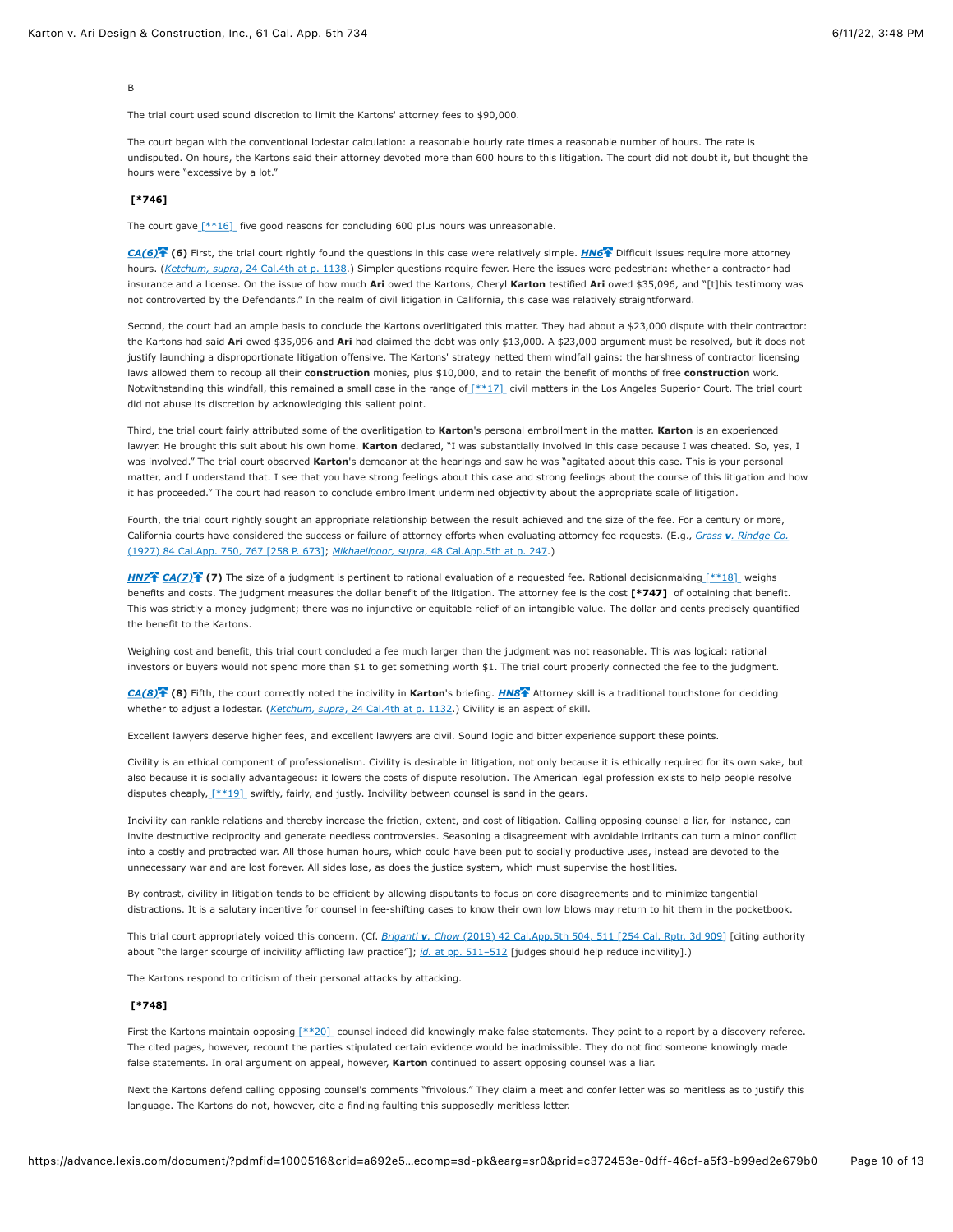B

The trial court used sound discretion to limit the Kartons' attorney fees to \$90,000.

The court began with the conventional lodestar calculation: a reasonable hourly rate times a reasonable number of hours. The rate is undisputed. On hours, the Kartons said their attorney devoted more than 600 hours to this litigation. The court did not doubt it, but thought the hours were "excessive by a lot."

#### **[\[\\*746\]](https://advance.lexis.com/document/?pdmfid=1000516&crid=a692e5a3-50fc-4810-8db6-3293c05744d3&pddocfullpath=%2Fshared%2Fdocument%2Fcases%2Furn%3AcontentItem%3A625N-WKS1-FJDY-X3CW-00000-00&pdcontentcomponentid=4860&pdshepid=urn%3AcontentItem%3A6250-Y9G3-GXF7-3401-00000-00&pdteaserkey=sr0&pditab=allpods&ecomp=sd-pk&earg=sr0&prid=c372453e-0dff-46cf-a5f3-b99ed2e679b0#)**

The court gave  $[**16]$  five good reasons for concluding 600 plus hours was unreasonable.

*[CA\(6\)](https://advance.lexis.com/document/?pdmfid=1000516&crid=a692e5a3-50fc-4810-8db6-3293c05744d3&pddocfullpath=%2Fshared%2Fdocument%2Fcases%2Furn%3AcontentItem%3A625N-WKS1-FJDY-X3CW-00000-00&pdcontentcomponentid=4860&pdshepid=urn%3AcontentItem%3A6250-Y9G3-GXF7-3401-00000-00&pdteaserkey=sr0&pditab=allpods&ecomp=sd-pk&earg=sr0&prid=c372453e-0dff-46cf-a5f3-b99ed2e679b0#)* **(6)** First, the trial court rightly found the questions in this case were relatively simple. *[HN6](https://advance.lexis.com/document/?pdmfid=1000516&crid=a692e5a3-50fc-4810-8db6-3293c05744d3&pddocfullpath=%2Fshared%2Fdocument%2Fcases%2Furn%3AcontentItem%3A625N-WKS1-FJDY-X3CW-00000-00&pdcontentcomponentid=4860&pdshepid=urn%3AcontentItem%3A6250-Y9G3-GXF7-3401-00000-00&pdteaserkey=sr0&pditab=allpods&ecomp=sd-pk&earg=sr0&prid=c372453e-0dff-46cf-a5f3-b99ed2e679b0#)* Difficult issues require more attorney hours. (*Ketchum, supra*[, 24 Cal.4th at p. 1138.](https://advance.lexis.com/document/?pdmfid=1000516&crid=a692e5a3-50fc-4810-8db6-3293c05744d3&pddocfullpath=%2Fshared%2Fdocument%2Fcases%2Furn%3AcontentItem%3A625N-WKS1-FJDY-X3CW-00000-00&pdcontentcomponentid=4860&pdshepid=urn%3AcontentItem%3A6250-Y9G3-GXF7-3401-00000-00&pdteaserkey=sr0&pditab=allpods&ecomp=sd-pk&earg=sr0&prid=c372453e-0dff-46cf-a5f3-b99ed2e679b0#)) Simpler questions require fewer. Here the issues were pedestrian: whether a contractor had insurance and a license. On the issue of how much **Ari** owed the Kartons, Cheryl **Karton** testified **Ari** owed \$35,096, and "[t]his testimony was not controverted by the Defendants." In the realm of civil litigation in California, this case was relatively straightforward.

Second, the court had an ample basis to conclude the Kartons overlitigated this matter. They had about a \$23,000 dispute with their contractor: the Kartons had said **Ari** owed \$35,096 and **Ari** had claimed the debt was only \$13,000. A \$23,000 argument must be resolved, but it does not justify launching a disproportionate litigation offensive. The Kartons' strategy netted them windfall gains: the harshness of contractor licensing laws allowed them to recoup all their **construction** monies, plus \$10,000, and to retain the benefit of months of free **construction** work. Notwithstanding this windfall, this remained a small case in the range of [\[\\*\\*17\]](https://advance.lexis.com/document/?pdmfid=1000516&crid=a692e5a3-50fc-4810-8db6-3293c05744d3&pddocfullpath=%2Fshared%2Fdocument%2Fcases%2Furn%3AcontentItem%3A625N-WKS1-FJDY-X3CW-00000-00&pdcontentcomponentid=4860&pdshepid=urn%3AcontentItem%3A6250-Y9G3-GXF7-3401-00000-00&pdteaserkey=sr0&pditab=allpods&ecomp=sd-pk&earg=sr0&prid=c372453e-0dff-46cf-a5f3-b99ed2e679b0#) civil matters in the Los Angeles Superior Court. The trial court did not abuse its discretion by acknowledging this salient point.

Third, the trial court fairly attributed some of the overlitigation to **Karton**'s personal embroilment in the matter. **Karton** is an experienced lawyer. He brought this suit about his own home. **Karton** declared, "I was substantially involved in this case because I was cheated. So, yes, I was involved." The trial court observed **Karton**'s demeanor at the hearings and saw he was "agitated about this case. This is your personal matter, and I understand that. I see that you have strong feelings about this case and strong feelings about the course of this litigation and how it has proceeded." The court had reason to conclude embroilment undermined objectivity about the appropriate scale of litigation.

Fourth, the trial court rightly sought an appropriate relationship between the result achieved and the size of the fee. For a century or more, [California courts have considered the success or failure of attorney efforts when evaluating attorney fee requests. \(E.g.,](https://advance.lexis.com/document/?pdmfid=1000516&crid=a692e5a3-50fc-4810-8db6-3293c05744d3&pddocfullpath=%2Fshared%2Fdocument%2Fcases%2Furn%3AcontentItem%3A625N-WKS1-FJDY-X3CW-00000-00&pdcontentcomponentid=4860&pdshepid=urn%3AcontentItem%3A6250-Y9G3-GXF7-3401-00000-00&pdteaserkey=sr0&pditab=allpods&ecomp=sd-pk&earg=sr0&prid=c372453e-0dff-46cf-a5f3-b99ed2e679b0#) *Grass v. Rindge Co.* (1927) 84 Cal.App. 750, 767 [258 P. 673]; *Mikhaeilpoor, supra*[, 48 Cal.App.5th at p. 247.](https://advance.lexis.com/document/?pdmfid=1000516&crid=a692e5a3-50fc-4810-8db6-3293c05744d3&pddocfullpath=%2Fshared%2Fdocument%2Fcases%2Furn%3AcontentItem%3A625N-WKS1-FJDY-X3CW-00000-00&pdcontentcomponentid=4860&pdshepid=urn%3AcontentItem%3A6250-Y9G3-GXF7-3401-00000-00&pdteaserkey=sr0&pditab=allpods&ecomp=sd-pk&earg=sr0&prid=c372453e-0dff-46cf-a5f3-b99ed2e679b0#))

*[HN7](https://advance.lexis.com/document/?pdmfid=1000516&crid=a692e5a3-50fc-4810-8db6-3293c05744d3&pddocfullpath=%2Fshared%2Fdocument%2Fcases%2Furn%3AcontentItem%3A625N-WKS1-FJDY-X3CW-00000-00&pdcontentcomponentid=4860&pdshepid=urn%3AcontentItem%3A6250-Y9G3-GXF7-3401-00000-00&pdteaserkey=sr0&pditab=allpods&ecomp=sd-pk&earg=sr0&prid=c372453e-0dff-46cf-a5f3-b99ed2e679b0#)* **[CA\(7\)](https://advance.lexis.com/document/?pdmfid=1000516&crid=a692e5a3-50fc-4810-8db6-3293c05744d3&pddocfullpath=%2Fshared%2Fdocument%2Fcases%2Furn%3AcontentItem%3A625N-WKS1-FJDY-X3CW-00000-00&pdcontentcomponentid=4860&pdshepid=urn%3AcontentItem%3A6250-Y9G3-GXF7-3401-00000-00&pdteaserkey=sr0&pditab=allpods&ecomp=sd-pk&earg=sr0&prid=c372453e-0dff-46cf-a5f3-b99ed2e679b0#) (7)** The size of a judgment is pertinent to rational evaluation of a requested fee. Rational decisionmakin[g \[\\*\\*18\]](https://advance.lexis.com/document/?pdmfid=1000516&crid=a692e5a3-50fc-4810-8db6-3293c05744d3&pddocfullpath=%2Fshared%2Fdocument%2Fcases%2Furn%3AcontentItem%3A625N-WKS1-FJDY-X3CW-00000-00&pdcontentcomponentid=4860&pdshepid=urn%3AcontentItem%3A6250-Y9G3-GXF7-3401-00000-00&pdteaserkey=sr0&pditab=allpods&ecomp=sd-pk&earg=sr0&prid=c372453e-0dff-46cf-a5f3-b99ed2e679b0#) weighs benefits and costs. The judgment measures the dollar benefit of the litigation. The attorney fee is the cost **[\[\\*747\]](https://advance.lexis.com/document/?pdmfid=1000516&crid=a692e5a3-50fc-4810-8db6-3293c05744d3&pddocfullpath=%2Fshared%2Fdocument%2Fcases%2Furn%3AcontentItem%3A625N-WKS1-FJDY-X3CW-00000-00&pdcontentcomponentid=4860&pdshepid=urn%3AcontentItem%3A6250-Y9G3-GXF7-3401-00000-00&pdteaserkey=sr0&pditab=allpods&ecomp=sd-pk&earg=sr0&prid=c372453e-0dff-46cf-a5f3-b99ed2e679b0#)** of obtaining that benefit. This was strictly a money judgment; there was no injunctive or equitable relief of an intangible value. The dollar and cents precisely quantified the benefit to the Kartons.

Weighing cost and benefit, this trial court concluded a fee much larger than the judgment was not reasonable. This was logical: rational investors or buyers would not spend more than \$1 to get something worth \$1. The trial court properly connected the fee to the judgment.

*[CA\(8\)](https://advance.lexis.com/document/?pdmfid=1000516&crid=a692e5a3-50fc-4810-8db6-3293c05744d3&pddocfullpath=%2Fshared%2Fdocument%2Fcases%2Furn%3AcontentItem%3A625N-WKS1-FJDY-X3CW-00000-00&pdcontentcomponentid=4860&pdshepid=urn%3AcontentItem%3A6250-Y9G3-GXF7-3401-00000-00&pdteaserkey=sr0&pditab=allpods&ecomp=sd-pk&earg=sr0&prid=c372453e-0dff-46cf-a5f3-b99ed2e679b0#)* **(8)** Fifth, the court correctly noted the incivility in **Karton**'s briefing. *[HN8](https://advance.lexis.com/document/?pdmfid=1000516&crid=a692e5a3-50fc-4810-8db6-3293c05744d3&pddocfullpath=%2Fshared%2Fdocument%2Fcases%2Furn%3AcontentItem%3A625N-WKS1-FJDY-X3CW-00000-00&pdcontentcomponentid=4860&pdshepid=urn%3AcontentItem%3A6250-Y9G3-GXF7-3401-00000-00&pdteaserkey=sr0&pditab=allpods&ecomp=sd-pk&earg=sr0&prid=c372453e-0dff-46cf-a5f3-b99ed2e679b0#)* Attorney skill is a traditional touchstone for deciding whether to adjust a lodestar. (*Ketchum, supra*[, 24 Cal.4th at p. 1132.](https://advance.lexis.com/document/?pdmfid=1000516&crid=a692e5a3-50fc-4810-8db6-3293c05744d3&pddocfullpath=%2Fshared%2Fdocument%2Fcases%2Furn%3AcontentItem%3A625N-WKS1-FJDY-X3CW-00000-00&pdcontentcomponentid=4860&pdshepid=urn%3AcontentItem%3A6250-Y9G3-GXF7-3401-00000-00&pdteaserkey=sr0&pditab=allpods&ecomp=sd-pk&earg=sr0&prid=c372453e-0dff-46cf-a5f3-b99ed2e679b0#)) Civility is an aspect of skill.

Excellent lawyers deserve higher fees, and excellent lawyers are civil. Sound logic and bitter experience support these points.

Civility is an ethical component of professionalism. Civility is desirable in litigation, not only because it is ethically required for its own sake, but also because it is socially advantageous: it lowers the costs of dispute resolution. The American legal profession exists to help people resolve disputes cheaply,  $[**19]$  swiftly, fairly, and justly. Incivility between counsel is sand in the gears.

Incivility can rankle relations and thereby increase the friction, extent, and cost of litigation. Calling opposing counsel a liar, for instance, can invite destructive reciprocity and generate needless controversies. Seasoning a disagreement with avoidable irritants can turn a minor conflict into a costly and protracted war. All those human hours, which could have been put to socially productive uses, instead are devoted to the unnecessary war and are lost forever. All sides lose, as does the justice system, which must supervise the hostilities.

By contrast, civility in litigation tends to be efficient by allowing disputants to focus on core disagreements and to minimize tangential distractions. It is a salutary incentive for counsel in fee-shifting cases to know their own low blows may return to hit them in the pocketbook.

This trial court appropriately voiced this concern. (Cf. *Briganti v. Chow* [\(2019\) 42 Cal.App.5th 504, 511 \[254 Cal. Rptr. 3d 909\]](https://advance.lexis.com/document/?pdmfid=1000516&crid=a692e5a3-50fc-4810-8db6-3293c05744d3&pddocfullpath=%2Fshared%2Fdocument%2Fcases%2Furn%3AcontentItem%3A625N-WKS1-FJDY-X3CW-00000-00&pdcontentcomponentid=4860&pdshepid=urn%3AcontentItem%3A6250-Y9G3-GXF7-3401-00000-00&pdteaserkey=sr0&pditab=allpods&ecomp=sd-pk&earg=sr0&prid=c372453e-0dff-46cf-a5f3-b99ed2e679b0#) [citing authority about "the larger scourge of incivility afflicting law practice"]; *id.* at pp. 511-512 [judges should help reduce incivility].)

The Kartons respond to criticism of their personal attacks by attacking.

### **[\[\\*748\]](https://advance.lexis.com/document/?pdmfid=1000516&crid=a692e5a3-50fc-4810-8db6-3293c05744d3&pddocfullpath=%2Fshared%2Fdocument%2Fcases%2Furn%3AcontentItem%3A625N-WKS1-FJDY-X3CW-00000-00&pdcontentcomponentid=4860&pdshepid=urn%3AcontentItem%3A6250-Y9G3-GXF7-3401-00000-00&pdteaserkey=sr0&pditab=allpods&ecomp=sd-pk&earg=sr0&prid=c372453e-0dff-46cf-a5f3-b99ed2e679b0#)**

First the Kartons maintain opposing [\[\\*\\*20\]](https://advance.lexis.com/document/?pdmfid=1000516&crid=a692e5a3-50fc-4810-8db6-3293c05744d3&pddocfullpath=%2Fshared%2Fdocument%2Fcases%2Furn%3AcontentItem%3A625N-WKS1-FJDY-X3CW-00000-00&pdcontentcomponentid=4860&pdshepid=urn%3AcontentItem%3A6250-Y9G3-GXF7-3401-00000-00&pdteaserkey=sr0&pditab=allpods&ecomp=sd-pk&earg=sr0&prid=c372453e-0dff-46cf-a5f3-b99ed2e679b0#) counsel indeed did knowingly make false statements. They point to a report by a discovery referee. The cited pages, however, recount the parties stipulated certain evidence would be inadmissible. They do not find someone knowingly made false statements. In oral argument on appeal, however, **Karton** continued to assert opposing counsel was a liar.

Next the Kartons defend calling opposing counsel's comments "frivolous." They claim a meet and confer letter was so meritless as to justify this language. The Kartons do not, however, cite a finding faulting this supposedly meritless letter.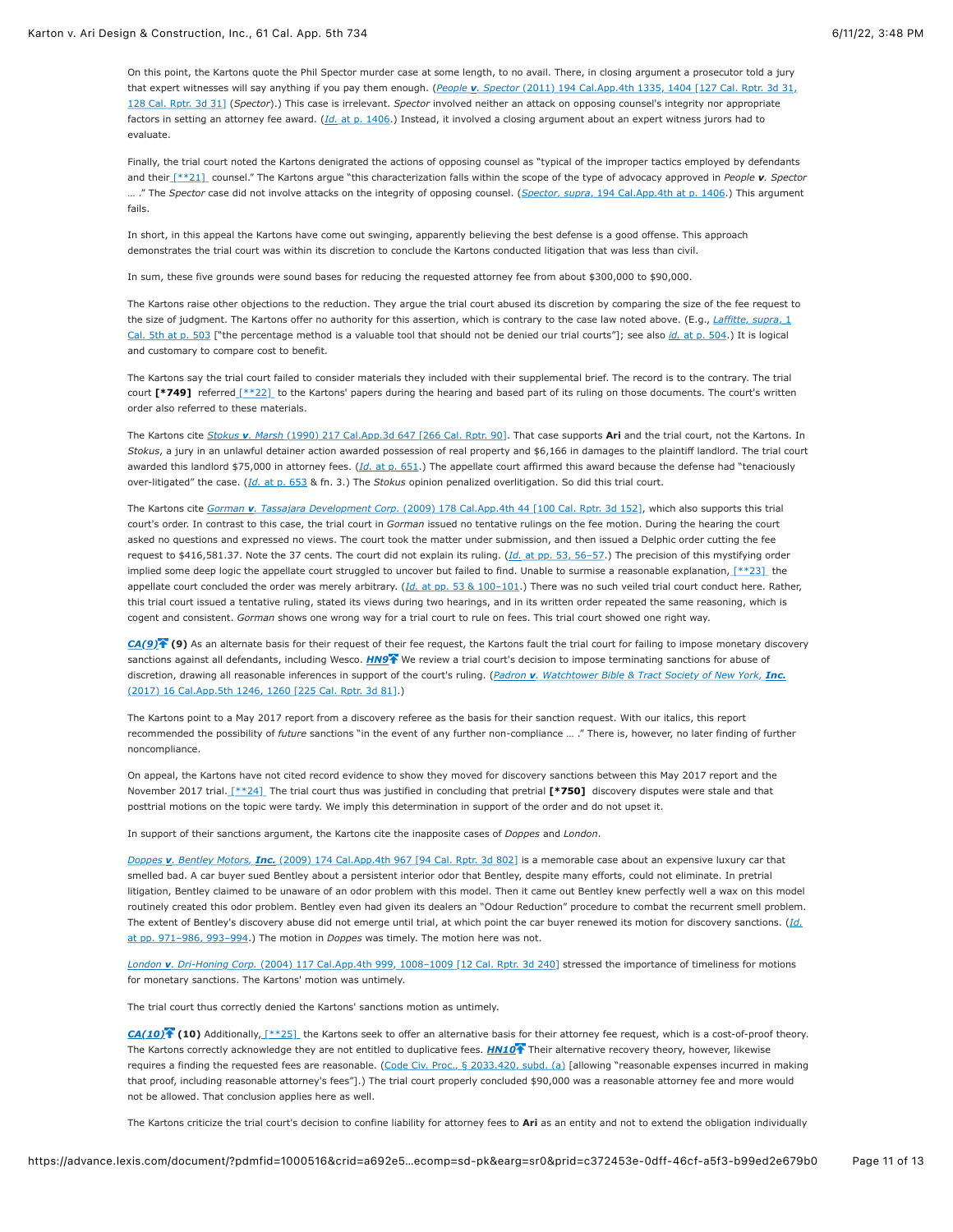On this point, the Kartons quote the Phil Spector murder case at some length, to no avail. There, in closing argument a prosecutor told a jury that expert witnesses will say anything if you pay them enough. (*People v. Spector* (2011) 194 Cal.App.4th 1335, 1404 [127 Cal. Rptr. 3d 31, 128 Cal. Rptr. 3d 31] (*Spector*).) This case is irrelevant. *Spector* [involved neither an attack on opposing counsel's integrity nor appropriate](https://advance.lexis.com/document/?pdmfid=1000516&crid=a692e5a3-50fc-4810-8db6-3293c05744d3&pddocfullpath=%2Fshared%2Fdocument%2Fcases%2Furn%3AcontentItem%3A625N-WKS1-FJDY-X3CW-00000-00&pdcontentcomponentid=4860&pdshepid=urn%3AcontentItem%3A6250-Y9G3-GXF7-3401-00000-00&pdteaserkey=sr0&pditab=allpods&ecomp=sd-pk&earg=sr0&prid=c372453e-0dff-46cf-a5f3-b99ed2e679b0#) factors in setting an attorney fee award. (*Id.* [at p. 1406.](https://advance.lexis.com/document/?pdmfid=1000516&crid=a692e5a3-50fc-4810-8db6-3293c05744d3&pddocfullpath=%2Fshared%2Fdocument%2Fcases%2Furn%3AcontentItem%3A625N-WKS1-FJDY-X3CW-00000-00&pdcontentcomponentid=4860&pdshepid=urn%3AcontentItem%3A6250-Y9G3-GXF7-3401-00000-00&pdteaserkey=sr0&pditab=allpods&ecomp=sd-pk&earg=sr0&prid=c372453e-0dff-46cf-a5f3-b99ed2e679b0#)) Instead, it involved a closing argument about an expert witness jurors had to evaluate.

Finally, the trial court noted the Kartons denigrated the actions of opposing counsel as "typical of the improper tactics employed by defendants and thei[r \[\\*\\*21\]](https://advance.lexis.com/document/?pdmfid=1000516&crid=a692e5a3-50fc-4810-8db6-3293c05744d3&pddocfullpath=%2Fshared%2Fdocument%2Fcases%2Furn%3AcontentItem%3A625N-WKS1-FJDY-X3CW-00000-00&pdcontentcomponentid=4860&pdshepid=urn%3AcontentItem%3A6250-Y9G3-GXF7-3401-00000-00&pdteaserkey=sr0&pditab=allpods&ecomp=sd-pk&earg=sr0&prid=c372453e-0dff-46cf-a5f3-b99ed2e679b0#) counsel." The Kartons argue "this characterization falls within the scope of the type of advocacy approved in *People v. Spector* … ." The *Spector* case did not involve attacks on the integrity of opposing counsel. (*Spector, supra*[, 194 Cal.App.4th at p. 1406.](https://advance.lexis.com/document/?pdmfid=1000516&crid=a692e5a3-50fc-4810-8db6-3293c05744d3&pddocfullpath=%2Fshared%2Fdocument%2Fcases%2Furn%3AcontentItem%3A625N-WKS1-FJDY-X3CW-00000-00&pdcontentcomponentid=4860&pdshepid=urn%3AcontentItem%3A6250-Y9G3-GXF7-3401-00000-00&pdteaserkey=sr0&pditab=allpods&ecomp=sd-pk&earg=sr0&prid=c372453e-0dff-46cf-a5f3-b99ed2e679b0#)) This argument fails.

In short, in this appeal the Kartons have come out swinging, apparently believing the best defense is a good offense. This approach demonstrates the trial court was within its discretion to conclude the Kartons conducted litigation that was less than civil.

In sum, these five grounds were sound bases for reducing the requested attorney fee from about \$300,000 to \$90,000.

The Kartons raise other objections to the reduction. They argue the trial court abused its discretion by comparing the size of the fee request to [the size of judgment. The Kartons offer no authority for this assertion, which is contrary to the case law noted above. \(E.g.,](https://advance.lexis.com/document/?pdmfid=1000516&crid=a692e5a3-50fc-4810-8db6-3293c05744d3&pddocfullpath=%2Fshared%2Fdocument%2Fcases%2Furn%3AcontentItem%3A625N-WKS1-FJDY-X3CW-00000-00&pdcontentcomponentid=4860&pdshepid=urn%3AcontentItem%3A6250-Y9G3-GXF7-3401-00000-00&pdteaserkey=sr0&pditab=allpods&ecomp=sd-pk&earg=sr0&prid=c372453e-0dff-46cf-a5f3-b99ed2e679b0#) *Laffitte, supra*, 1 Cal. 5th at p. 503 ["the percentage method is a valuable tool that should not be denied our trial courts"]; see also *id.* [at p. 504.](https://advance.lexis.com/document/?pdmfid=1000516&crid=a692e5a3-50fc-4810-8db6-3293c05744d3&pddocfullpath=%2Fshared%2Fdocument%2Fcases%2Furn%3AcontentItem%3A625N-WKS1-FJDY-X3CW-00000-00&pdcontentcomponentid=4860&pdshepid=urn%3AcontentItem%3A6250-Y9G3-GXF7-3401-00000-00&pdteaserkey=sr0&pditab=allpods&ecomp=sd-pk&earg=sr0&prid=c372453e-0dff-46cf-a5f3-b99ed2e679b0#)) It is logical and customary to compare cost to benefit.

The Kartons say the trial court failed to consider materials they included with their supplemental brief. The record is to the contrary. The trial court [\[\\*749\]](https://advance.lexis.com/document/?pdmfid=1000516&crid=a692e5a3-50fc-4810-8db6-3293c05744d3&pddocfullpath=%2Fshared%2Fdocument%2Fcases%2Furn%3AcontentItem%3A625N-WKS1-FJDY-X3CW-00000-00&pdcontentcomponentid=4860&pdshepid=urn%3AcontentItem%3A6250-Y9G3-GXF7-3401-00000-00&pdteaserkey=sr0&pditab=allpods&ecomp=sd-pk&earg=sr0&prid=c372453e-0dff-46cf-a5f3-b99ed2e679b0#) referred [\[\\*\\*22\]](https://advance.lexis.com/document/?pdmfid=1000516&crid=a692e5a3-50fc-4810-8db6-3293c05744d3&pddocfullpath=%2Fshared%2Fdocument%2Fcases%2Furn%3AcontentItem%3A625N-WKS1-FJDY-X3CW-00000-00&pdcontentcomponentid=4860&pdshepid=urn%3AcontentItem%3A6250-Y9G3-GXF7-3401-00000-00&pdteaserkey=sr0&pditab=allpods&ecomp=sd-pk&earg=sr0&prid=c372453e-0dff-46cf-a5f3-b99ed2e679b0#) to the Kartons' papers during the hearing and based part of its ruling on those documents. The court's written order also referred to these materials.

The Kartons cite *Stokus v. Marsh* [\(1990\) 217 Cal.App.3d 647 \[266 Cal. Rptr. 90\].](https://advance.lexis.com/document/?pdmfid=1000516&crid=a692e5a3-50fc-4810-8db6-3293c05744d3&pddocfullpath=%2Fshared%2Fdocument%2Fcases%2Furn%3AcontentItem%3A625N-WKS1-FJDY-X3CW-00000-00&pdcontentcomponentid=4860&pdshepid=urn%3AcontentItem%3A6250-Y9G3-GXF7-3401-00000-00&pdteaserkey=sr0&pditab=allpods&ecomp=sd-pk&earg=sr0&prid=c372453e-0dff-46cf-a5f3-b99ed2e679b0#) That case supports **Ari** and the trial court, not the Kartons. In *Stokus*, a jury in an unlawful detainer action awarded possession of real property and \$6,166 in damages to the plaintiff landlord. The trial court awarded this landlord \$75,000 in attorney fees. (*Id.* [at p. 651](https://advance.lexis.com/document/?pdmfid=1000516&crid=a692e5a3-50fc-4810-8db6-3293c05744d3&pddocfullpath=%2Fshared%2Fdocument%2Fcases%2Furn%3AcontentItem%3A625N-WKS1-FJDY-X3CW-00000-00&pdcontentcomponentid=4860&pdshepid=urn%3AcontentItem%3A6250-Y9G3-GXF7-3401-00000-00&pdteaserkey=sr0&pditab=allpods&ecomp=sd-pk&earg=sr0&prid=c372453e-0dff-46cf-a5f3-b99ed2e679b0#).) The appellate court affirmed this award because the defense had "tenaciously over-litigated" the case. (*Id.* [at p. 653](https://advance.lexis.com/document/?pdmfid=1000516&crid=a692e5a3-50fc-4810-8db6-3293c05744d3&pddocfullpath=%2Fshared%2Fdocument%2Fcases%2Furn%3AcontentItem%3A625N-WKS1-FJDY-X3CW-00000-00&pdcontentcomponentid=4860&pdshepid=urn%3AcontentItem%3A6250-Y9G3-GXF7-3401-00000-00&pdteaserkey=sr0&pditab=allpods&ecomp=sd-pk&earg=sr0&prid=c372453e-0dff-46cf-a5f3-b99ed2e679b0#) & fn. 3.) The *Stokus* opinion penalized overlitigation. So did this trial court.

The Kartons cite *Gorman v. Tassajara Development Corp.* [\(2009\) 178 Cal.App.4th 44 \[100 Cal. Rptr. 3d 152\],](https://advance.lexis.com/document/?pdmfid=1000516&crid=a692e5a3-50fc-4810-8db6-3293c05744d3&pddocfullpath=%2Fshared%2Fdocument%2Fcases%2Furn%3AcontentItem%3A625N-WKS1-FJDY-X3CW-00000-00&pdcontentcomponentid=4860&pdshepid=urn%3AcontentItem%3A6250-Y9G3-GXF7-3401-00000-00&pdteaserkey=sr0&pditab=allpods&ecomp=sd-pk&earg=sr0&prid=c372453e-0dff-46cf-a5f3-b99ed2e679b0#) which also supports this trial court's order. In contrast to this case, the trial court in *Gorman* issued no tentative rulings on the fee motion. During the hearing the court asked no questions and expressed no views. The court took the matter under submission, and then issued a Delphic order cutting the fee request to \$416,581.37. Note the 37 cents. The court did not explain its ruling. (*Id.* [at pp. 53, 56–57](https://advance.lexis.com/document/?pdmfid=1000516&crid=a692e5a3-50fc-4810-8db6-3293c05744d3&pddocfullpath=%2Fshared%2Fdocument%2Fcases%2Furn%3AcontentItem%3A625N-WKS1-FJDY-X3CW-00000-00&pdcontentcomponentid=4860&pdshepid=urn%3AcontentItem%3A6250-Y9G3-GXF7-3401-00000-00&pdteaserkey=sr0&pditab=allpods&ecomp=sd-pk&earg=sr0&prid=c372453e-0dff-46cf-a5f3-b99ed2e679b0#).) The precision of this mystifying order implied some deep logic the appellate court struggled to uncover but failed to find. Unable to surmise a reasonable explanation,  $[**23]$  the appellate court concluded the order was merely arbitrary. (*Id.* [at pp. 53 & 100–101.](https://advance.lexis.com/document/?pdmfid=1000516&crid=a692e5a3-50fc-4810-8db6-3293c05744d3&pddocfullpath=%2Fshared%2Fdocument%2Fcases%2Furn%3AcontentItem%3A625N-WKS1-FJDY-X3CW-00000-00&pdcontentcomponentid=4860&pdshepid=urn%3AcontentItem%3A6250-Y9G3-GXF7-3401-00000-00&pdteaserkey=sr0&pditab=allpods&ecomp=sd-pk&earg=sr0&prid=c372453e-0dff-46cf-a5f3-b99ed2e679b0#)) There was no such veiled trial court conduct here. Rather, this trial court issued a tentative ruling, stated its views during two hearings, and in its written order repeated the same reasoning, which is cogent and consistent. *Gorman* shows one wrong way for a trial court to rule on fees. This trial court showed one right way.

*[CA\(9\)](https://advance.lexis.com/document/?pdmfid=1000516&crid=a692e5a3-50fc-4810-8db6-3293c05744d3&pddocfullpath=%2Fshared%2Fdocument%2Fcases%2Furn%3AcontentItem%3A625N-WKS1-FJDY-X3CW-00000-00&pdcontentcomponentid=4860&pdshepid=urn%3AcontentItem%3A6250-Y9G3-GXF7-3401-00000-00&pdteaserkey=sr0&pditab=allpods&ecomp=sd-pk&earg=sr0&prid=c372453e-0dff-46cf-a5f3-b99ed2e679b0#)* **(9)** As an alternate basis for their request of their fee request, the Kartons fault the trial court for failing to impose monetary discovery sanctions against all defendants, including Wesco. *[HN9](https://advance.lexis.com/document/?pdmfid=1000516&crid=a692e5a3-50fc-4810-8db6-3293c05744d3&pddocfullpath=%2Fshared%2Fdocument%2Fcases%2Furn%3AcontentItem%3A625N-WKS1-FJDY-X3CW-00000-00&pdcontentcomponentid=4860&pdshepid=urn%3AcontentItem%3A6250-Y9G3-GXF7-3401-00000-00&pdteaserkey=sr0&pditab=allpods&ecomp=sd-pk&earg=sr0&prid=c372453e-0dff-46cf-a5f3-b99ed2e679b0#)*<sup>7</sup> We review a trial court's decision to impose terminating sanctions for abuse of [discretion, drawing all reasonable inferences in support of the court's ruling. \(](https://advance.lexis.com/document/?pdmfid=1000516&crid=a692e5a3-50fc-4810-8db6-3293c05744d3&pddocfullpath=%2Fshared%2Fdocument%2Fcases%2Furn%3AcontentItem%3A625N-WKS1-FJDY-X3CW-00000-00&pdcontentcomponentid=4860&pdshepid=urn%3AcontentItem%3A6250-Y9G3-GXF7-3401-00000-00&pdteaserkey=sr0&pditab=allpods&ecomp=sd-pk&earg=sr0&prid=c372453e-0dff-46cf-a5f3-b99ed2e679b0#)*Padron v. Watchtower Bible & Tract Society of New York, Inc.* (2017) 16 Cal.App.5th 1246, 1260 [225 Cal. Rptr. 3d 81].)

The Kartons point to a May 2017 report from a discovery referee as the basis for their sanction request. With our italics, this report recommended the possibility of *future* sanctions "in the event of any further non-compliance … ." There is, however, no later finding of further noncompliance.

On appeal, the Kartons have not cited record evidence to show they moved for discovery sanctions between this May 2017 report and the November 2017 trial[. \[\\*\\*24\]](https://advance.lexis.com/document/?pdmfid=1000516&crid=a692e5a3-50fc-4810-8db6-3293c05744d3&pddocfullpath=%2Fshared%2Fdocument%2Fcases%2Furn%3AcontentItem%3A625N-WKS1-FJDY-X3CW-00000-00&pdcontentcomponentid=4860&pdshepid=urn%3AcontentItem%3A6250-Y9G3-GXF7-3401-00000-00&pdteaserkey=sr0&pditab=allpods&ecomp=sd-pk&earg=sr0&prid=c372453e-0dff-46cf-a5f3-b99ed2e679b0#) The trial court thus was justified in concluding that pretrial **[\[\\*750\]](https://advance.lexis.com/document/?pdmfid=1000516&crid=a692e5a3-50fc-4810-8db6-3293c05744d3&pddocfullpath=%2Fshared%2Fdocument%2Fcases%2Furn%3AcontentItem%3A625N-WKS1-FJDY-X3CW-00000-00&pdcontentcomponentid=4860&pdshepid=urn%3AcontentItem%3A6250-Y9G3-GXF7-3401-00000-00&pdteaserkey=sr0&pditab=allpods&ecomp=sd-pk&earg=sr0&prid=c372453e-0dff-46cf-a5f3-b99ed2e679b0#)** discovery disputes were stale and that posttrial motions on the topic were tardy. We imply this determination in support of the order and do not upset it.

In support of their sanctions argument, the Kartons cite the inapposite cases of *Doppes* and *London*.

*Doppes v. Bentley Motors, Inc.* [\(2009\) 174 Cal.App.4th 967 \[94 Cal. Rptr. 3d 802\]](https://advance.lexis.com/document/?pdmfid=1000516&crid=a692e5a3-50fc-4810-8db6-3293c05744d3&pddocfullpath=%2Fshared%2Fdocument%2Fcases%2Furn%3AcontentItem%3A625N-WKS1-FJDY-X3CW-00000-00&pdcontentcomponentid=4860&pdshepid=urn%3AcontentItem%3A6250-Y9G3-GXF7-3401-00000-00&pdteaserkey=sr0&pditab=allpods&ecomp=sd-pk&earg=sr0&prid=c372453e-0dff-46cf-a5f3-b99ed2e679b0#) is a memorable case about an expensive luxury car that smelled bad. A car buyer sued Bentley about a persistent interior odor that Bentley, despite many efforts, could not eliminate. In pretrial litigation, Bentley claimed to be unaware of an odor problem with this model. Then it came out Bentley knew perfectly well a wax on this model routinely created this odor problem. Bentley even had given its dealers an "Odour Reduction" procedure to combat the recurrent smell problem. [The extent of Bentley's discovery abuse did not emerge until trial, at which point the car buyer renewed its motion for discovery sanctions. \(](https://advance.lexis.com/document/?pdmfid=1000516&crid=a692e5a3-50fc-4810-8db6-3293c05744d3&pddocfullpath=%2Fshared%2Fdocument%2Fcases%2Furn%3AcontentItem%3A625N-WKS1-FJDY-X3CW-00000-00&pdcontentcomponentid=4860&pdshepid=urn%3AcontentItem%3A6250-Y9G3-GXF7-3401-00000-00&pdteaserkey=sr0&pditab=allpods&ecomp=sd-pk&earg=sr0&prid=c372453e-0dff-46cf-a5f3-b99ed2e679b0#)*Id.* at pp. 971–986, 993–994.) The motion in *Doppes* was timely. The motion here was not.

*London v. Dri-Honing Corp.* [\(2004\) 117 Cal.App.4th 999, 1008–1009 \[12 Cal. Rptr. 3d 240\]](https://advance.lexis.com/document/?pdmfid=1000516&crid=a692e5a3-50fc-4810-8db6-3293c05744d3&pddocfullpath=%2Fshared%2Fdocument%2Fcases%2Furn%3AcontentItem%3A625N-WKS1-FJDY-X3CW-00000-00&pdcontentcomponentid=4860&pdshepid=urn%3AcontentItem%3A6250-Y9G3-GXF7-3401-00000-00&pdteaserkey=sr0&pditab=allpods&ecomp=sd-pk&earg=sr0&prid=c372453e-0dff-46cf-a5f3-b99ed2e679b0#) stressed the importance of timeliness for motions for monetary sanctions. The Kartons' motion was untimely.

The trial court thus correctly denied the Kartons' sanctions motion as untimely.

*[CA\(10\)](https://advance.lexis.com/document/?pdmfid=1000516&crid=a692e5a3-50fc-4810-8db6-3293c05744d3&pddocfullpath=%2Fshared%2Fdocument%2Fcases%2Furn%3AcontentItem%3A625N-WKS1-FJDY-X3CW-00000-00&pdcontentcomponentid=4860&pdshepid=urn%3AcontentItem%3A6250-Y9G3-GXF7-3401-00000-00&pdteaserkey=sr0&pditab=allpods&ecomp=sd-pk&earg=sr0&prid=c372453e-0dff-46cf-a5f3-b99ed2e679b0#)* **(10)** Additionally[, \[\\*\\*25\]](https://advance.lexis.com/document/?pdmfid=1000516&crid=a692e5a3-50fc-4810-8db6-3293c05744d3&pddocfullpath=%2Fshared%2Fdocument%2Fcases%2Furn%3AcontentItem%3A625N-WKS1-FJDY-X3CW-00000-00&pdcontentcomponentid=4860&pdshepid=urn%3AcontentItem%3A6250-Y9G3-GXF7-3401-00000-00&pdteaserkey=sr0&pditab=allpods&ecomp=sd-pk&earg=sr0&prid=c372453e-0dff-46cf-a5f3-b99ed2e679b0#) the Kartons seek to offer an alternative basis for their attorney fee request, which is a cost-of-proof theory. The Kartons correctly acknowledge they are not entitled to duplicative fees. *[HN10](https://advance.lexis.com/document/?pdmfid=1000516&crid=a692e5a3-50fc-4810-8db6-3293c05744d3&pddocfullpath=%2Fshared%2Fdocument%2Fcases%2Furn%3AcontentItem%3A625N-WKS1-FJDY-X3CW-00000-00&pdcontentcomponentid=4860&pdshepid=urn%3AcontentItem%3A6250-Y9G3-GXF7-3401-00000-00&pdteaserkey=sr0&pditab=allpods&ecomp=sd-pk&earg=sr0&prid=c372453e-0dff-46cf-a5f3-b99ed2e679b0#)* Their alternative recovery theory, however, likewise requires a finding the requested fees are reasonable. [\(Code Civ. Proc., § 2033.420, subd. \(a\)](https://advance.lexis.com/document/?pdmfid=1000516&crid=a692e5a3-50fc-4810-8db6-3293c05744d3&pddocfullpath=%2Fshared%2Fdocument%2Fcases%2Furn%3AcontentItem%3A625N-WKS1-FJDY-X3CW-00000-00&pdcontentcomponentid=4860&pdshepid=urn%3AcontentItem%3A6250-Y9G3-GXF7-3401-00000-00&pdteaserkey=sr0&pditab=allpods&ecomp=sd-pk&earg=sr0&prid=c372453e-0dff-46cf-a5f3-b99ed2e679b0#) [allowing "reasonable expenses incurred in making that proof, including reasonable attorney's fees"].) The trial court properly concluded \$90,000 was a reasonable attorney fee and more would not be allowed. That conclusion applies here as well.

The Kartons criticize the trial court's decision to confine liability for attorney fees to **Ari** as an entity and not to extend the obligation individually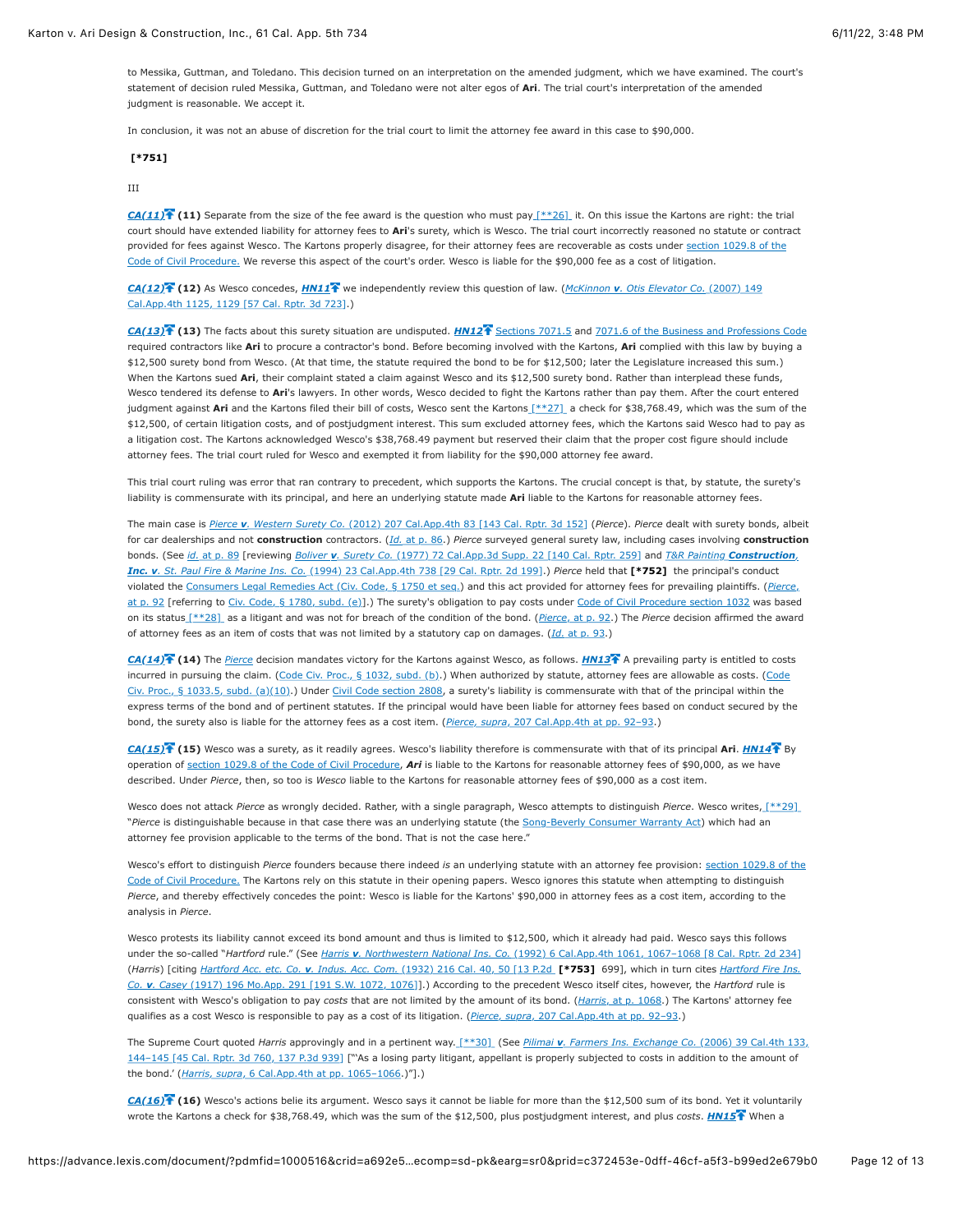to Messika, Guttman, and Toledano. This decision turned on an interpretation on the amended judgment, which we have examined. The court's statement of decision ruled Messika, Guttman, and Toledano were not alter egos of **Ari**. The trial court's interpretation of the amended judgment is reasonable. We accept it.

In conclusion, it was not an abuse of discretion for the trial court to limit the attorney fee award in this case to \$90,000.

# **[\[\\*751\]](https://advance.lexis.com/document/?pdmfid=1000516&crid=a692e5a3-50fc-4810-8db6-3293c05744d3&pddocfullpath=%2Fshared%2Fdocument%2Fcases%2Furn%3AcontentItem%3A625N-WKS1-FJDY-X3CW-00000-00&pdcontentcomponentid=4860&pdshepid=urn%3AcontentItem%3A6250-Y9G3-GXF7-3401-00000-00&pdteaserkey=sr0&pditab=allpods&ecomp=sd-pk&earg=sr0&prid=c372453e-0dff-46cf-a5f3-b99ed2e679b0#)**

### III

*[CA\(11\)](https://advance.lexis.com/document/?pdmfid=1000516&crid=a692e5a3-50fc-4810-8db6-3293c05744d3&pddocfullpath=%2Fshared%2Fdocument%2Fcases%2Furn%3AcontentItem%3A625N-WKS1-FJDY-X3CW-00000-00&pdcontentcomponentid=4860&pdshepid=urn%3AcontentItem%3A6250-Y9G3-GXF7-3401-00000-00&pdteaserkey=sr0&pditab=allpods&ecomp=sd-pk&earg=sr0&prid=c372453e-0dff-46cf-a5f3-b99ed2e679b0#)* **(11)** Separate from the size of the fee award is the question who must pay [\[\\*\\*26\]](https://advance.lexis.com/document/?pdmfid=1000516&crid=a692e5a3-50fc-4810-8db6-3293c05744d3&pddocfullpath=%2Fshared%2Fdocument%2Fcases%2Furn%3AcontentItem%3A625N-WKS1-FJDY-X3CW-00000-00&pdcontentcomponentid=4860&pdshepid=urn%3AcontentItem%3A6250-Y9G3-GXF7-3401-00000-00&pdteaserkey=sr0&pditab=allpods&ecomp=sd-pk&earg=sr0&prid=c372453e-0dff-46cf-a5f3-b99ed2e679b0#) it. On this issue the Kartons are right: the trial court should have extended liability for attorney fees to **Ari**'s surety, which is Wesco. The trial court incorrectly reasoned no statute or contract [provided for fees against Wesco. The Kartons properly disagree, for their attorney fees are recoverable as costs under section 1029.8 of the](https://advance.lexis.com/document/?pdmfid=1000516&crid=a692e5a3-50fc-4810-8db6-3293c05744d3&pddocfullpath=%2Fshared%2Fdocument%2Fcases%2Furn%3AcontentItem%3A625N-WKS1-FJDY-X3CW-00000-00&pdcontentcomponentid=4860&pdshepid=urn%3AcontentItem%3A6250-Y9G3-GXF7-3401-00000-00&pdteaserkey=sr0&pditab=allpods&ecomp=sd-pk&earg=sr0&prid=c372453e-0dff-46cf-a5f3-b99ed2e679b0#) Code of Civil Procedure. We reverse this aspect of the court's order. Wesco is liable for the \$90,000 fee as a cost of litigation.

*[CA\(12\)](https://advance.lexis.com/document/?pdmfid=1000516&crid=a692e5a3-50fc-4810-8db6-3293c05744d3&pddocfullpath=%2Fshared%2Fdocument%2Fcases%2Furn%3AcontentItem%3A625N-WKS1-FJDY-X3CW-00000-00&pdcontentcomponentid=4860&pdshepid=urn%3AcontentItem%3A6250-Y9G3-GXF7-3401-00000-00&pdteaserkey=sr0&pditab=allpods&ecomp=sd-pk&earg=sr0&prid=c372453e-0dff-46cf-a5f3-b99ed2e679b0#)* **(12)** As Wesco concedes, *[HN11](https://advance.lexis.com/document/?pdmfid=1000516&crid=a692e5a3-50fc-4810-8db6-3293c05744d3&pddocfullpath=%2Fshared%2Fdocument%2Fcases%2Furn%3AcontentItem%3A625N-WKS1-FJDY-X3CW-00000-00&pdcontentcomponentid=4860&pdshepid=urn%3AcontentItem%3A6250-Y9G3-GXF7-3401-00000-00&pdteaserkey=sr0&pditab=allpods&ecomp=sd-pk&earg=sr0&prid=c372453e-0dff-46cf-a5f3-b99ed2e679b0#)* we independently review this question of law. (*McKinnon v. Otis Elevator Co.* (2007) 149 [Cal.App.4th 1125, 1129 \[57 Cal. Rptr. 3d 723\].\)](https://advance.lexis.com/document/?pdmfid=1000516&crid=a692e5a3-50fc-4810-8db6-3293c05744d3&pddocfullpath=%2Fshared%2Fdocument%2Fcases%2Furn%3AcontentItem%3A625N-WKS1-FJDY-X3CW-00000-00&pdcontentcomponentid=4860&pdshepid=urn%3AcontentItem%3A6250-Y9G3-GXF7-3401-00000-00&pdteaserkey=sr0&pditab=allpods&ecomp=sd-pk&earg=sr0&prid=c372453e-0dff-46cf-a5f3-b99ed2e679b0#)

*[CA\(13\)](https://advance.lexis.com/document/?pdmfid=1000516&crid=a692e5a3-50fc-4810-8db6-3293c05744d3&pddocfullpath=%2Fshared%2Fdocument%2Fcases%2Furn%3AcontentItem%3A625N-WKS1-FJDY-X3CW-00000-00&pdcontentcomponentid=4860&pdshepid=urn%3AcontentItem%3A6250-Y9G3-GXF7-3401-00000-00&pdteaserkey=sr0&pditab=allpods&ecomp=sd-pk&earg=sr0&prid=c372453e-0dff-46cf-a5f3-b99ed2e679b0#)* **(13)** The facts about this surety situation are undisputed. *[HN12](https://advance.lexis.com/document/?pdmfid=1000516&crid=a692e5a3-50fc-4810-8db6-3293c05744d3&pddocfullpath=%2Fshared%2Fdocument%2Fcases%2Furn%3AcontentItem%3A625N-WKS1-FJDY-X3CW-00000-00&pdcontentcomponentid=4860&pdshepid=urn%3AcontentItem%3A6250-Y9G3-GXF7-3401-00000-00&pdteaserkey=sr0&pditab=allpods&ecomp=sd-pk&earg=sr0&prid=c372453e-0dff-46cf-a5f3-b99ed2e679b0#)* [Sections 7071.5](https://advance.lexis.com/document/?pdmfid=1000516&crid=a692e5a3-50fc-4810-8db6-3293c05744d3&pddocfullpath=%2Fshared%2Fdocument%2Fcases%2Furn%3AcontentItem%3A625N-WKS1-FJDY-X3CW-00000-00&pdcontentcomponentid=4860&pdshepid=urn%3AcontentItem%3A6250-Y9G3-GXF7-3401-00000-00&pdteaserkey=sr0&pditab=allpods&ecomp=sd-pk&earg=sr0&prid=c372453e-0dff-46cf-a5f3-b99ed2e679b0#) and [7071.6 of the Business and Professions Code](https://advance.lexis.com/document/?pdmfid=1000516&crid=a692e5a3-50fc-4810-8db6-3293c05744d3&pddocfullpath=%2Fshared%2Fdocument%2Fcases%2Furn%3AcontentItem%3A625N-WKS1-FJDY-X3CW-00000-00&pdcontentcomponentid=4860&pdshepid=urn%3AcontentItem%3A6250-Y9G3-GXF7-3401-00000-00&pdteaserkey=sr0&pditab=allpods&ecomp=sd-pk&earg=sr0&prid=c372453e-0dff-46cf-a5f3-b99ed2e679b0#) required contractors like **Ari** to procure a contractor's bond. Before becoming involved with the Kartons, **Ari** complied with this law by buying a \$12,500 surety bond from Wesco. (At that time, the statute required the bond to be for \$12,500; later the Legislature increased this sum.) When the Kartons sued Ari, their complaint stated a claim against Wesco and its \$12,500 surety bond. Rather than interplead these funds, Wesco tendered its defense to **Ari**'s lawyers. In other words, Wesco decided to fight the Kartons rather than pay them. After the court entered judgment against Ari and the Kartons filed their bill of costs, Wesco sent the Karton[s \[\\*\\*27\]](https://advance.lexis.com/document/?pdmfid=1000516&crid=a692e5a3-50fc-4810-8db6-3293c05744d3&pddocfullpath=%2Fshared%2Fdocument%2Fcases%2Furn%3AcontentItem%3A625N-WKS1-FJDY-X3CW-00000-00&pdcontentcomponentid=4860&pdshepid=urn%3AcontentItem%3A6250-Y9G3-GXF7-3401-00000-00&pdteaserkey=sr0&pditab=allpods&ecomp=sd-pk&earg=sr0&prid=c372453e-0dff-46cf-a5f3-b99ed2e679b0#) a check for \$38,768.49, which was the sum of the \$12,500, of certain litigation costs, and of postjudgment interest. This sum excluded attorney fees, which the Kartons said Wesco had to pay as a litigation cost. The Kartons acknowledged Wesco's \$38,768.49 payment but reserved their claim that the proper cost figure should include attorney fees. The trial court ruled for Wesco and exempted it from liability for the \$90,000 attorney fee award.

This trial court ruling was error that ran contrary to precedent, which supports the Kartons. The crucial concept is that, by statute, the surety's liability is commensurate with its principal, and here an underlying statute made **Ari** liable to the Kartons for reasonable attorney fees.

The main case is *Pierce v. Western Surety Co.* [\(2012\) 207 Cal.App.4th 83 \[143 Cal. Rptr. 3d 152\]](https://advance.lexis.com/document/?pdmfid=1000516&crid=a692e5a3-50fc-4810-8db6-3293c05744d3&pddocfullpath=%2Fshared%2Fdocument%2Fcases%2Furn%3AcontentItem%3A625N-WKS1-FJDY-X3CW-00000-00&pdcontentcomponentid=4860&pdshepid=urn%3AcontentItem%3A6250-Y9G3-GXF7-3401-00000-00&pdteaserkey=sr0&pditab=allpods&ecomp=sd-pk&earg=sr0&prid=c372453e-0dff-46cf-a5f3-b99ed2e679b0#) (*Pierce*). *Pierce* dealt with surety bonds, albeit for car dealerships and not **construction** contractors. (*Id.* [at p. 86.](https://advance.lexis.com/document/?pdmfid=1000516&crid=a692e5a3-50fc-4810-8db6-3293c05744d3&pddocfullpath=%2Fshared%2Fdocument%2Fcases%2Furn%3AcontentItem%3A625N-WKS1-FJDY-X3CW-00000-00&pdcontentcomponentid=4860&pdshepid=urn%3AcontentItem%3A6250-Y9G3-GXF7-3401-00000-00&pdteaserkey=sr0&pditab=allpods&ecomp=sd-pk&earg=sr0&prid=c372453e-0dff-46cf-a5f3-b99ed2e679b0#)) *Pierce* surveyed general surety law, including cases involving **construction** bonds. (See *id.* [at p. 89](https://advance.lexis.com/document/?pdmfid=1000516&crid=a692e5a3-50fc-4810-8db6-3293c05744d3&pddocfullpath=%2Fshared%2Fdocument%2Fcases%2Furn%3AcontentItem%3A625N-WKS1-FJDY-X3CW-00000-00&pdcontentcomponentid=4860&pdshepid=urn%3AcontentItem%3A6250-Y9G3-GXF7-3401-00000-00&pdteaserkey=sr0&pditab=allpods&ecomp=sd-pk&earg=sr0&prid=c372453e-0dff-46cf-a5f3-b99ed2e679b0#) [reviewing *Boliver v. Surety Co.* [\(1977\) 72 Cal.App.3d Supp. 22 \[140 Cal. Rptr. 259\] and](https://advance.lexis.com/document/?pdmfid=1000516&crid=a692e5a3-50fc-4810-8db6-3293c05744d3&pddocfullpath=%2Fshared%2Fdocument%2Fcases%2Furn%3AcontentItem%3A625N-WKS1-FJDY-X3CW-00000-00&pdcontentcomponentid=4860&pdshepid=urn%3AcontentItem%3A6250-Y9G3-GXF7-3401-00000-00&pdteaserkey=sr0&pditab=allpods&ecomp=sd-pk&earg=sr0&prid=c372453e-0dff-46cf-a5f3-b99ed2e679b0#) *T&R Painting Construction, Inc. v. St. Paul Fire & Marine Ins. Co.* (1994) 23 Cal.App.4th 738 [29 Cal. Rptr. 2d 199].) *Pierce* held that **[\[\\*752\]](https://advance.lexis.com/document/?pdmfid=1000516&crid=a692e5a3-50fc-4810-8db6-3293c05744d3&pddocfullpath=%2Fshared%2Fdocument%2Fcases%2Furn%3AcontentItem%3A625N-WKS1-FJDY-X3CW-00000-00&pdcontentcomponentid=4860&pdshepid=urn%3AcontentItem%3A6250-Y9G3-GXF7-3401-00000-00&pdteaserkey=sr0&pditab=allpods&ecomp=sd-pk&earg=sr0&prid=c372453e-0dff-46cf-a5f3-b99ed2e679b0#)** the principal's conduct violated the [Consumers Legal Remedies Act \(Civ. Code, § 1750 et seq.\)](https://advance.lexis.com/document/?pdmfid=1000516&crid=a692e5a3-50fc-4810-8db6-3293c05744d3&pddocfullpath=%2Fshared%2Fdocument%2Fcases%2Furn%3AcontentItem%3A625N-WKS1-FJDY-X3CW-00000-00&pdcontentcomponentid=4860&pdshepid=urn%3AcontentItem%3A6250-Y9G3-GXF7-3401-00000-00&pdteaserkey=sr0&pditab=allpods&ecomp=sd-pk&earg=sr0&prid=c372453e-0dff-46cf-a5f3-b99ed2e679b0#) and this act provided for attorney fees for prevailing plaintiffs. (*Pierce*, [at p. 92 \[referring to Civ. Code, § 1780, subd. \(e\)\].\) The surety's obligation to pay costs under Code of Civil Procedure section 1032 was based](https://advance.lexis.com/document/?pdmfid=1000516&crid=a692e5a3-50fc-4810-8db6-3293c05744d3&pddocfullpath=%2Fshared%2Fdocument%2Fcases%2Furn%3AcontentItem%3A625N-WKS1-FJDY-X3CW-00000-00&pdcontentcomponentid=4860&pdshepid=urn%3AcontentItem%3A6250-Y9G3-GXF7-3401-00000-00&pdteaserkey=sr0&pditab=allpods&ecomp=sd-pk&earg=sr0&prid=c372453e-0dff-46cf-a5f3-b99ed2e679b0#) on its statu[s \[\\*\\*28\]](https://advance.lexis.com/document/?pdmfid=1000516&crid=a692e5a3-50fc-4810-8db6-3293c05744d3&pddocfullpath=%2Fshared%2Fdocument%2Fcases%2Furn%3AcontentItem%3A625N-WKS1-FJDY-X3CW-00000-00&pdcontentcomponentid=4860&pdshepid=urn%3AcontentItem%3A6250-Y9G3-GXF7-3401-00000-00&pdteaserkey=sr0&pditab=allpods&ecomp=sd-pk&earg=sr0&prid=c372453e-0dff-46cf-a5f3-b99ed2e679b0#) as a litigant and was not for breach of the condition of the bond. (*Pierce*[, at p. 92](https://advance.lexis.com/document/?pdmfid=1000516&crid=a692e5a3-50fc-4810-8db6-3293c05744d3&pddocfullpath=%2Fshared%2Fdocument%2Fcases%2Furn%3AcontentItem%3A625N-WKS1-FJDY-X3CW-00000-00&pdcontentcomponentid=4860&pdshepid=urn%3AcontentItem%3A6250-Y9G3-GXF7-3401-00000-00&pdteaserkey=sr0&pditab=allpods&ecomp=sd-pk&earg=sr0&prid=c372453e-0dff-46cf-a5f3-b99ed2e679b0#).) The *Pierce* decision affirmed the award of attorney fees as an item of costs that was not limited by a statutory cap on damages. (*Id.* [at p. 93.](https://advance.lexis.com/document/?pdmfid=1000516&crid=a692e5a3-50fc-4810-8db6-3293c05744d3&pddocfullpath=%2Fshared%2Fdocument%2Fcases%2Furn%3AcontentItem%3A625N-WKS1-FJDY-X3CW-00000-00&pdcontentcomponentid=4860&pdshepid=urn%3AcontentItem%3A6250-Y9G3-GXF7-3401-00000-00&pdteaserkey=sr0&pditab=allpods&ecomp=sd-pk&earg=sr0&prid=c372453e-0dff-46cf-a5f3-b99ed2e679b0#))

*[CA\(14\)](https://advance.lexis.com/document/?pdmfid=1000516&crid=a692e5a3-50fc-4810-8db6-3293c05744d3&pddocfullpath=%2Fshared%2Fdocument%2Fcases%2Furn%3AcontentItem%3A625N-WKS1-FJDY-X3CW-00000-00&pdcontentcomponentid=4860&pdshepid=urn%3AcontentItem%3A6250-Y9G3-GXF7-3401-00000-00&pdteaserkey=sr0&pditab=allpods&ecomp=sd-pk&earg=sr0&prid=c372453e-0dff-46cf-a5f3-b99ed2e679b0#)* **(14)** The *[Pierce](https://advance.lexis.com/document/?pdmfid=1000516&crid=a692e5a3-50fc-4810-8db6-3293c05744d3&pddocfullpath=%2Fshared%2Fdocument%2Fcases%2Furn%3AcontentItem%3A625N-WKS1-FJDY-X3CW-00000-00&pdcontentcomponentid=4860&pdshepid=urn%3AcontentItem%3A6250-Y9G3-GXF7-3401-00000-00&pdteaserkey=sr0&pditab=allpods&ecomp=sd-pk&earg=sr0&prid=c372453e-0dff-46cf-a5f3-b99ed2e679b0#)* decision mandates victory for the Kartons against Wesco, as follows. *[HN13](https://advance.lexis.com/document/?pdmfid=1000516&crid=a692e5a3-50fc-4810-8db6-3293c05744d3&pddocfullpath=%2Fshared%2Fdocument%2Fcases%2Furn%3AcontentItem%3A625N-WKS1-FJDY-X3CW-00000-00&pdcontentcomponentid=4860&pdshepid=urn%3AcontentItem%3A6250-Y9G3-GXF7-3401-00000-00&pdteaserkey=sr0&pditab=allpods&ecomp=sd-pk&earg=sr0&prid=c372453e-0dff-46cf-a5f3-b99ed2e679b0#)* A prevailing party is entitled to costs [incurred in pursuing the claim. \(Code Civ. Proc., § 1032, subd. \(b\).\) When authorized by statute, attorney fees are allowable as costs. \(Code](https://advance.lexis.com/document/?pdmfid=1000516&crid=a692e5a3-50fc-4810-8db6-3293c05744d3&pddocfullpath=%2Fshared%2Fdocument%2Fcases%2Furn%3AcontentItem%3A625N-WKS1-FJDY-X3CW-00000-00&pdcontentcomponentid=4860&pdshepid=urn%3AcontentItem%3A6250-Y9G3-GXF7-3401-00000-00&pdteaserkey=sr0&pditab=allpods&ecomp=sd-pk&earg=sr0&prid=c372453e-0dff-46cf-a5f3-b99ed2e679b0#) Civ. Proc., § 1033.5, subd. (a)(10).) Under [Civil Code section 2808](https://advance.lexis.com/document/?pdmfid=1000516&crid=a692e5a3-50fc-4810-8db6-3293c05744d3&pddocfullpath=%2Fshared%2Fdocument%2Fcases%2Furn%3AcontentItem%3A625N-WKS1-FJDY-X3CW-00000-00&pdcontentcomponentid=4860&pdshepid=urn%3AcontentItem%3A6250-Y9G3-GXF7-3401-00000-00&pdteaserkey=sr0&pditab=allpods&ecomp=sd-pk&earg=sr0&prid=c372453e-0dff-46cf-a5f3-b99ed2e679b0#), a surety's liability is commensurate with that of the principal within the express terms of the bond and of pertinent statutes. If the principal would have been liable for attorney fees based on conduct secured by the bond, the surety also is liable for the attorney fees as a cost item. (*Pierce, supra*[, 207 Cal.App.4th at pp. 92–93](https://advance.lexis.com/document/?pdmfid=1000516&crid=a692e5a3-50fc-4810-8db6-3293c05744d3&pddocfullpath=%2Fshared%2Fdocument%2Fcases%2Furn%3AcontentItem%3A625N-WKS1-FJDY-X3CW-00000-00&pdcontentcomponentid=4860&pdshepid=urn%3AcontentItem%3A6250-Y9G3-GXF7-3401-00000-00&pdteaserkey=sr0&pditab=allpods&ecomp=sd-pk&earg=sr0&prid=c372453e-0dff-46cf-a5f3-b99ed2e679b0#).)

*[CA\(15\)](https://advance.lexis.com/document/?pdmfid=1000516&crid=a692e5a3-50fc-4810-8db6-3293c05744d3&pddocfullpath=%2Fshared%2Fdocument%2Fcases%2Furn%3AcontentItem%3A625N-WKS1-FJDY-X3CW-00000-00&pdcontentcomponentid=4860&pdshepid=urn%3AcontentItem%3A6250-Y9G3-GXF7-3401-00000-00&pdteaserkey=sr0&pditab=allpods&ecomp=sd-pk&earg=sr0&prid=c372453e-0dff-46cf-a5f3-b99ed2e679b0#)* **(15)** Wesco was a surety, as it readily agrees. Wesco's liability therefore is commensurate with that of its principal **Ari**. *[HN14](https://advance.lexis.com/document/?pdmfid=1000516&crid=a692e5a3-50fc-4810-8db6-3293c05744d3&pddocfullpath=%2Fshared%2Fdocument%2Fcases%2Furn%3AcontentItem%3A625N-WKS1-FJDY-X3CW-00000-00&pdcontentcomponentid=4860&pdshepid=urn%3AcontentItem%3A6250-Y9G3-GXF7-3401-00000-00&pdteaserkey=sr0&pditab=allpods&ecomp=sd-pk&earg=sr0&prid=c372453e-0dff-46cf-a5f3-b99ed2e679b0#)* By operation of [section 1029.8 of the Code of Civil Procedure,](https://advance.lexis.com/document/?pdmfid=1000516&crid=a692e5a3-50fc-4810-8db6-3293c05744d3&pddocfullpath=%2Fshared%2Fdocument%2Fcases%2Furn%3AcontentItem%3A625N-WKS1-FJDY-X3CW-00000-00&pdcontentcomponentid=4860&pdshepid=urn%3AcontentItem%3A6250-Y9G3-GXF7-3401-00000-00&pdteaserkey=sr0&pditab=allpods&ecomp=sd-pk&earg=sr0&prid=c372453e-0dff-46cf-a5f3-b99ed2e679b0#) *Ari* is liable to the Kartons for reasonable attorney fees of \$90,000, as we have described. Under *Pierce*, then, so too is *Wesco* liable to the Kartons for reasonable attorney fees of \$90,000 as a cost item.

Wesco does not attack *Pierce* as wrongly decided. Rather, with a single paragraph, Wesco attempts to distinguish *Pierce*. Wesco writes, [\[\\*\\*29\]](https://advance.lexis.com/document/?pdmfid=1000516&crid=a692e5a3-50fc-4810-8db6-3293c05744d3&pddocfullpath=%2Fshared%2Fdocument%2Fcases%2Furn%3AcontentItem%3A625N-WKS1-FJDY-X3CW-00000-00&pdcontentcomponentid=4860&pdshepid=urn%3AcontentItem%3A6250-Y9G3-GXF7-3401-00000-00&pdteaserkey=sr0&pditab=allpods&ecomp=sd-pk&earg=sr0&prid=c372453e-0dff-46cf-a5f3-b99ed2e679b0#)  "*Pierce* is distinguishable because in that case there was an underlying statute (the [Song-Beverly Consumer Warranty Act](https://advance.lexis.com/document/?pdmfid=1000516&crid=a692e5a3-50fc-4810-8db6-3293c05744d3&pddocfullpath=%2Fshared%2Fdocument%2Fcases%2Furn%3AcontentItem%3A625N-WKS1-FJDY-X3CW-00000-00&pdcontentcomponentid=4860&pdshepid=urn%3AcontentItem%3A6250-Y9G3-GXF7-3401-00000-00&pdteaserkey=sr0&pditab=allpods&ecomp=sd-pk&earg=sr0&prid=c372453e-0dff-46cf-a5f3-b99ed2e679b0#)) which had an attorney fee provision applicable to the terms of the bond. That is not the case here."

Wesco's effort to distinguish *Pierce* founders because there indeed *is* an underlying statute with an attorney fee provision: section 1029.8 of the [Code of Civil Procedure. The Kartons rely on this statute in their opening papers. Wesco ignores this statute when attempting to distinguish](https://advance.lexis.com/document/?pdmfid=1000516&crid=a692e5a3-50fc-4810-8db6-3293c05744d3&pddocfullpath=%2Fshared%2Fdocument%2Fcases%2Furn%3AcontentItem%3A625N-WKS1-FJDY-X3CW-00000-00&pdcontentcomponentid=4860&pdshepid=urn%3AcontentItem%3A6250-Y9G3-GXF7-3401-00000-00&pdteaserkey=sr0&pditab=allpods&ecomp=sd-pk&earg=sr0&prid=c372453e-0dff-46cf-a5f3-b99ed2e679b0#) Pierce, and thereby effectively concedes the point: Wesco is liable for the Kartons' \$90,000 in attorney fees as a cost item, according to the analysis in *Pierce*.

Wesco protests its liability cannot exceed its bond amount and thus is limited to \$12,500, which it already had paid. Wesco says this follows under the so-called "*Hartford* rule." (See *Harris v. Northwestern National Ins. Co.* [\(1992\) 6 Cal.App.4th 1061, 1067–1068 \[8 Cal. Rptr. 2d 234\]](https://advance.lexis.com/document/?pdmfid=1000516&crid=a692e5a3-50fc-4810-8db6-3293c05744d3&pddocfullpath=%2Fshared%2Fdocument%2Fcases%2Furn%3AcontentItem%3A625N-WKS1-FJDY-X3CW-00000-00&pdcontentcomponentid=4860&pdshepid=urn%3AcontentItem%3A6250-Y9G3-GXF7-3401-00000-00&pdteaserkey=sr0&pditab=allpods&ecomp=sd-pk&earg=sr0&prid=c372453e-0dff-46cf-a5f3-b99ed2e679b0#) (*Harris*) [citing *Hartford Acc. etc. Co. v. Indus. Acc. Com.* [\(1932\) 216 Cal. 40, 50 \[13 P.2d](https://advance.lexis.com/document/?pdmfid=1000516&crid=a692e5a3-50fc-4810-8db6-3293c05744d3&pddocfullpath=%2Fshared%2Fdocument%2Fcases%2Furn%3AcontentItem%3A625N-WKS1-FJDY-X3CW-00000-00&pdcontentcomponentid=4860&pdshepid=urn%3AcontentItem%3A6250-Y9G3-GXF7-3401-00000-00&pdteaserkey=sr0&pditab=allpods&ecomp=sd-pk&earg=sr0&prid=c372453e-0dff-46cf-a5f3-b99ed2e679b0#) **[\[\\*753\]](https://advance.lexis.com/document/?pdmfid=1000516&crid=a692e5a3-50fc-4810-8db6-3293c05744d3&pddocfullpath=%2Fshared%2Fdocument%2Fcases%2Furn%3AcontentItem%3A625N-WKS1-FJDY-X3CW-00000-00&pdcontentcomponentid=4860&pdshepid=urn%3AcontentItem%3A6250-Y9G3-GXF7-3401-00000-00&pdteaserkey=sr0&pditab=allpods&ecomp=sd-pk&earg=sr0&prid=c372453e-0dff-46cf-a5f3-b99ed2e679b0#)** 699], which in turn cites *Hartford Fire Ins. Co. v. Casey* [\(1917\) 196 Mo.App. 291 \[191 S.W. 1072, 1076\]\].\) According to the precedent Wesco itself cites, however, the](https://advance.lexis.com/document/?pdmfid=1000516&crid=a692e5a3-50fc-4810-8db6-3293c05744d3&pddocfullpath=%2Fshared%2Fdocument%2Fcases%2Furn%3AcontentItem%3A625N-WKS1-FJDY-X3CW-00000-00&pdcontentcomponentid=4860&pdshepid=urn%3AcontentItem%3A6250-Y9G3-GXF7-3401-00000-00&pdteaserkey=sr0&pditab=allpods&ecomp=sd-pk&earg=sr0&prid=c372453e-0dff-46cf-a5f3-b99ed2e679b0#) *Hartford* rule is consistent with Wesco's obligation to pay *costs* that are not limited by the amount of its bond. (*Harris*[, at p. 1068](https://advance.lexis.com/document/?pdmfid=1000516&crid=a692e5a3-50fc-4810-8db6-3293c05744d3&pddocfullpath=%2Fshared%2Fdocument%2Fcases%2Furn%3AcontentItem%3A625N-WKS1-FJDY-X3CW-00000-00&pdcontentcomponentid=4860&pdshepid=urn%3AcontentItem%3A6250-Y9G3-GXF7-3401-00000-00&pdteaserkey=sr0&pditab=allpods&ecomp=sd-pk&earg=sr0&prid=c372453e-0dff-46cf-a5f3-b99ed2e679b0#).) The Kartons' attorney fee qualifies as a cost Wesco is responsible to pay as a cost of its litigation. (*Pierce, supra*[, 207 Cal.App.4th at pp. 92–93.](https://advance.lexis.com/document/?pdmfid=1000516&crid=a692e5a3-50fc-4810-8db6-3293c05744d3&pddocfullpath=%2Fshared%2Fdocument%2Fcases%2Furn%3AcontentItem%3A625N-WKS1-FJDY-X3CW-00000-00&pdcontentcomponentid=4860&pdshepid=urn%3AcontentItem%3A6250-Y9G3-GXF7-3401-00000-00&pdteaserkey=sr0&pditab=allpods&ecomp=sd-pk&earg=sr0&prid=c372453e-0dff-46cf-a5f3-b99ed2e679b0#))

The Supreme Court quoted *Harris* approvingly and in a pertinent way[. \[\\*\\*30\]](https://advance.lexis.com/document/?pdmfid=1000516&crid=a692e5a3-50fc-4810-8db6-3293c05744d3&pddocfullpath=%2Fshared%2Fdocument%2Fcases%2Furn%3AcontentItem%3A625N-WKS1-FJDY-X3CW-00000-00&pdcontentcomponentid=4860&pdshepid=urn%3AcontentItem%3A6250-Y9G3-GXF7-3401-00000-00&pdteaserkey=sr0&pditab=allpods&ecomp=sd-pk&earg=sr0&prid=c372453e-0dff-46cf-a5f3-b99ed2e679b0#) (See *Pilimai v. Farmers Ins. Exchange Co.* (2006) 39 Cal.4th 133, 144-145 [45 Cal. Rptr. 3d 760, 137 P.3d 939] ["'As a losing party litigant, appellant is properly subjected to costs in addition to the amount of the bond.' (*Harris, supra*[, 6 Cal.App.4th at pp. 1065–1066.](https://advance.lexis.com/document/?pdmfid=1000516&crid=a692e5a3-50fc-4810-8db6-3293c05744d3&pddocfullpath=%2Fshared%2Fdocument%2Fcases%2Furn%3AcontentItem%3A625N-WKS1-FJDY-X3CW-00000-00&pdcontentcomponentid=4860&pdshepid=urn%3AcontentItem%3A6250-Y9G3-GXF7-3401-00000-00&pdteaserkey=sr0&pditab=allpods&ecomp=sd-pk&earg=sr0&prid=c372453e-0dff-46cf-a5f3-b99ed2e679b0#))"].)

*[CA\(16\)](https://advance.lexis.com/document/?pdmfid=1000516&crid=a692e5a3-50fc-4810-8db6-3293c05744d3&pddocfullpath=%2Fshared%2Fdocument%2Fcases%2Furn%3AcontentItem%3A625N-WKS1-FJDY-X3CW-00000-00&pdcontentcomponentid=4860&pdshepid=urn%3AcontentItem%3A6250-Y9G3-GXF7-3401-00000-00&pdteaserkey=sr0&pditab=allpods&ecomp=sd-pk&earg=sr0&prid=c372453e-0dff-46cf-a5f3-b99ed2e679b0#)* **(16)** Wesco's actions belie its argument. Wesco says it cannot be liable for more than the \$12,500 sum of its bond. Yet it voluntarily wrote the Kartons a check for \$38,768.49, which was the sum of the \$12,500, plus postjudgment interest, and plus *costs*. *[HN15](https://advance.lexis.com/document/?pdmfid=1000516&crid=a692e5a3-50fc-4810-8db6-3293c05744d3&pddocfullpath=%2Fshared%2Fdocument%2Fcases%2Furn%3AcontentItem%3A625N-WKS1-FJDY-X3CW-00000-00&pdcontentcomponentid=4860&pdshepid=urn%3AcontentItem%3A6250-Y9G3-GXF7-3401-00000-00&pdteaserkey=sr0&pditab=allpods&ecomp=sd-pk&earg=sr0&prid=c372453e-0dff-46cf-a5f3-b99ed2e679b0#)* When a